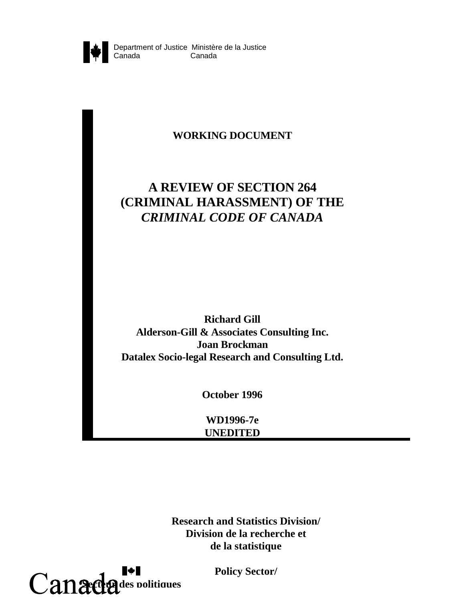

## **WORKING DOCUMENT**

# **A REVIEW OF SECTION 264 (CRIMINAL HARASSMENT) OF THE** *CRIMINAL CODE OF CANADA*

**Richard Gill Alderson-Gill & Associates Consulting Inc. Joan Brockman Datalex Socio-legal Research and Consulting Ltd.**

**October 1996**

**WD1996-7e UNEDITED**

**Research and Statistics Division/ Division de la recherche et de la statistique**



**Policy Sector/**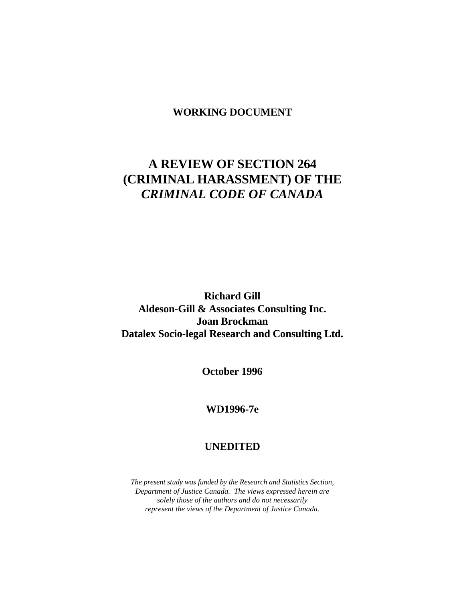## **WORKING DOCUMENT**

# **A REVIEW OF SECTION 264 (CRIMINAL HARASSMENT) OF THE** *CRIMINAL CODE OF CANADA*

**Richard Gill Aldeson-Gill & Associates Consulting Inc. Joan Brockman Datalex Socio-legal Research and Consulting Ltd.**

**October 1996**

## **WD1996-7e**

## **UNEDITED**

*The present study was funded by the Research and Statistics Section, Department of Justice Canada. The views expressed herein are solely those of the authors and do not necessarily represent the views of the Department of Justice Canada.*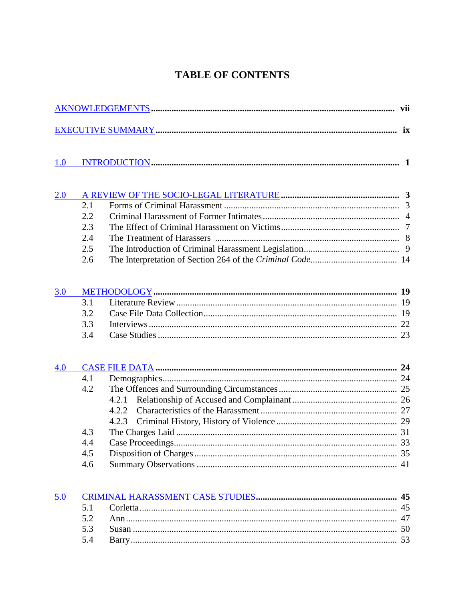## **TABLE OF CONTENTS**

| 1.0 |     |       |  |  |  |
|-----|-----|-------|--|--|--|
| 2.0 |     |       |  |  |  |
|     | 2.1 |       |  |  |  |
|     | 2.2 |       |  |  |  |
|     | 2.3 |       |  |  |  |
|     | 2.4 |       |  |  |  |
|     | 2.5 |       |  |  |  |
|     | 2.6 |       |  |  |  |
| 3.0 |     |       |  |  |  |
|     | 3.1 |       |  |  |  |
|     | 3.2 |       |  |  |  |
|     | 3.3 |       |  |  |  |
|     | 3.4 |       |  |  |  |
| 4.0 |     |       |  |  |  |
|     | 4.1 |       |  |  |  |
|     | 4.2 |       |  |  |  |
|     |     | 4.2.1 |  |  |  |
|     |     | 4.2.2 |  |  |  |
|     |     | 4.2.3 |  |  |  |
|     | 4.3 |       |  |  |  |
|     | 4.4 |       |  |  |  |
|     | 4.5 |       |  |  |  |
|     | 4.6 |       |  |  |  |
| 5.0 |     |       |  |  |  |
|     | 5.1 |       |  |  |  |
|     | 5.2 |       |  |  |  |
|     | 5.3 |       |  |  |  |

 $5.4$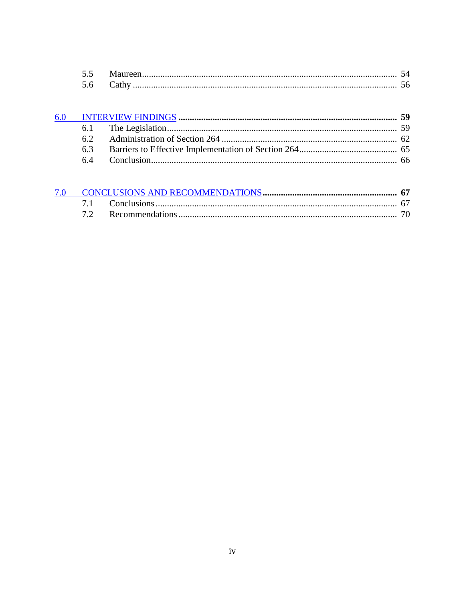| ັ້ |  |
|----|--|
|    |  |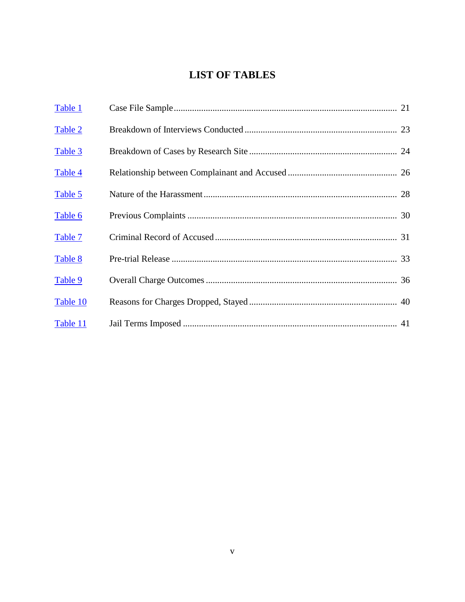## **LIST OF TABLES**

| Table 1  |  |
|----------|--|
| Table 2  |  |
| Table 3  |  |
| Table 4  |  |
| Table 5  |  |
| Table 6  |  |
| Table 7  |  |
| Table 8  |  |
| Table 9  |  |
| Table 10 |  |
| Table 11 |  |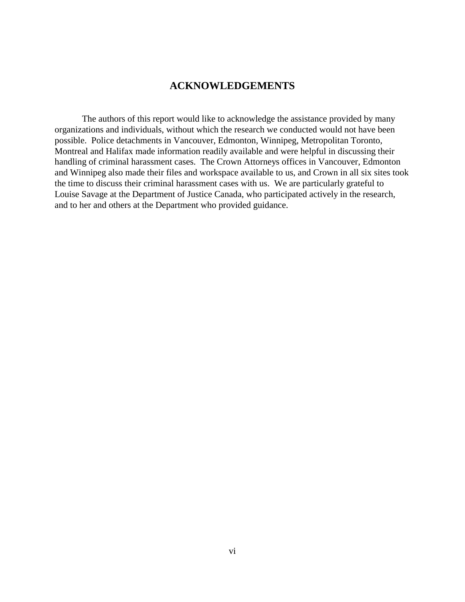## **ACKNOWLEDGEMENTS**

<span id="page-5-0"></span>The authors of this report would like to acknowledge the assistance provided by many organizations and individuals, without which the research we conducted would not have been possible. Police detachments in Vancouver, Edmonton, Winnipeg, Metropolitan Toronto, Montreal and Halifax made information readily available and were helpful in discussing their handling of criminal harassment cases. The Crown Attorneys offices in Vancouver, Edmonton and Winnipeg also made their files and workspace available to us, and Crown in all six sites took the time to discuss their criminal harassment cases with us. We are particularly grateful to Louise Savage at the Department of Justice Canada, who participated actively in the research, and to her and others at the Department who provided guidance.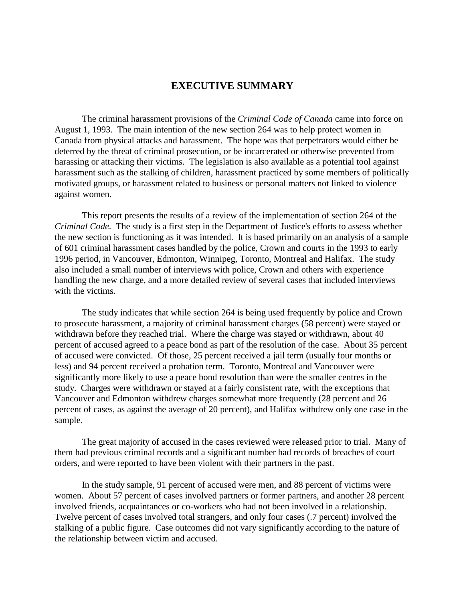## **EXECUTIVE SUMMARY**

<span id="page-6-0"></span>The criminal harassment provisions of the *Criminal Code of Canada* came into force on August 1, 1993. The main intention of the new section 264 was to help protect women in Canada from physical attacks and harassment. The hope was that perpetrators would either be deterred by the threat of criminal prosecution, or be incarcerated or otherwise prevented from harassing or attacking their victims. The legislation is also available as a potential tool against harassment such as the stalking of children, harassment practiced by some members of politically motivated groups, or harassment related to business or personal matters not linked to violence against women.

This report presents the results of a review of the implementation of section 264 of the *Criminal Code.* The study is a first step in the Department of Justice's efforts to assess whether the new section is functioning as it was intended. It is based primarily on an analysis of a sample of 601 criminal harassment cases handled by the police, Crown and courts in the 1993 to early 1996 period, in Vancouver, Edmonton, Winnipeg, Toronto, Montreal and Halifax. The study also included a small number of interviews with police, Crown and others with experience handling the new charge, and a more detailed review of several cases that included interviews with the victims.

The study indicates that while section 264 is being used frequently by police and Crown to prosecute harassment, a majority of criminal harassment charges (58 percent) were stayed or withdrawn before they reached trial. Where the charge was stayed or withdrawn, about 40 percent of accused agreed to a peace bond as part of the resolution of the case. About 35 percent of accused were convicted. Of those, 25 percent received a jail term (usually four months or less) and 94 percent received a probation term. Toronto, Montreal and Vancouver were significantly more likely to use a peace bond resolution than were the smaller centres in the study. Charges were withdrawn or stayed at a fairly consistent rate, with the exceptions that Vancouver and Edmonton withdrew charges somewhat more frequently (28 percent and 26 percent of cases, as against the average of 20 percent), and Halifax withdrew only one case in the sample.

The great majority of accused in the cases reviewed were released prior to trial. Many of them had previous criminal records and a significant number had records of breaches of court orders, and were reported to have been violent with their partners in the past.

In the study sample, 91 percent of accused were men, and 88 percent of victims were women. About 57 percent of cases involved partners or former partners, and another 28 percent involved friends, acquaintances or co-workers who had not been involved in a relationship. Twelve percent of cases involved total strangers, and only four cases (.7 percent) involved the stalking of a public figure. Case outcomes did not vary significantly according to the nature of the relationship between victim and accused.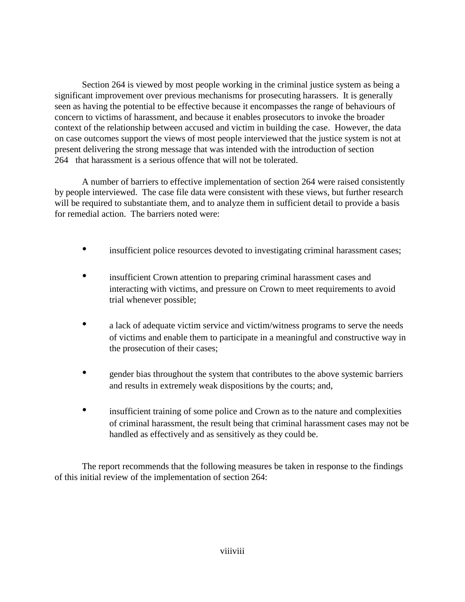Section 264 is viewed by most people working in the criminal justice system as being a significant improvement over previous mechanisms for prosecuting harassers. It is generally seen as having the potential to be effective because it encompasses the range of behaviours of concern to victims of harassment, and because it enables prosecutors to invoke the broader context of the relationship between accused and victim in building the case. However, the data on case outcomes support the views of most people interviewed that the justice system is not at present delivering the strong message that was intended with the introduction of section 264 that harassment is a serious offence that will not be tolerated.

A number of barriers to effective implementation of section 264 were raised consistently by people interviewed. The case file data were consistent with these views, but further research will be required to substantiate them, and to analyze them in sufficient detail to provide a basis for remedial action. The barriers noted were:

- insufficient police resources devoted to investigating criminal harassment cases;
- insufficient Crown attention to preparing criminal harassment cases and interacting with victims, and pressure on Crown to meet requirements to avoid trial whenever possible;
- a lack of adequate victim service and victim/witness programs to serve the needs of victims and enable them to participate in a meaningful and constructive way in the prosecution of their cases;
- gender bias throughout the system that contributes to the above systemic barriers and results in extremely weak dispositions by the courts; and,
- insufficient training of some police and Crown as to the nature and complexities of criminal harassment, the result being that criminal harassment cases may not be handled as effectively and as sensitively as they could be.

The report recommends that the following measures be taken in response to the findings of this initial review of the implementation of section 264: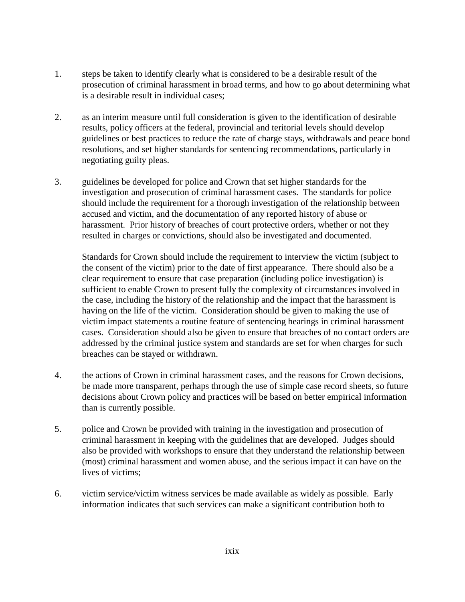- 1. steps be taken to identify clearly what is considered to be a desirable result of the prosecution of criminal harassment in broad terms, and how to go about determining what is a desirable result in individual cases;
- 2. as an interim measure until full consideration is given to the identification of desirable results, policy officers at the federal, provincial and teritorial levels should develop guidelines or best practices to reduce the rate of charge stays, withdrawals and peace bond resolutions, and set higher standards for sentencing recommendations, particularly in negotiating guilty pleas.
- 3. guidelines be developed for police and Crown that set higher standards for the investigation and prosecution of criminal harassment cases. The standards for police should include the requirement for a thorough investigation of the relationship between accused and victim, and the documentation of any reported history of abuse or harassment. Prior history of breaches of court protective orders, whether or not they resulted in charges or convictions, should also be investigated and documented.

Standards for Crown should include the requirement to interview the victim (subject to the consent of the victim) prior to the date of first appearance. There should also be a clear requirement to ensure that case preparation (including police investigation) is sufficient to enable Crown to present fully the complexity of circumstances involved in the case, including the history of the relationship and the impact that the harassment is having on the life of the victim. Consideration should be given to making the use of victim impact statements a routine feature of sentencing hearings in criminal harassment cases. Consideration should also be given to ensure that breaches of no contact orders are addressed by the criminal justice system and standards are set for when charges for such breaches can be stayed or withdrawn.

- 4. the actions of Crown in criminal harassment cases, and the reasons for Crown decisions, be made more transparent, perhaps through the use of simple case record sheets, so future decisions about Crown policy and practices will be based on better empirical information than is currently possible.
- 5. police and Crown be provided with training in the investigation and prosecution of criminal harassment in keeping with the guidelines that are developed. Judges should also be provided with workshops to ensure that they understand the relationship between (most) criminal harassment and women abuse, and the serious impact it can have on the lives of victims;
- 6. victim service/victim witness services be made available as widely as possible. Early information indicates that such services can make a significant contribution both to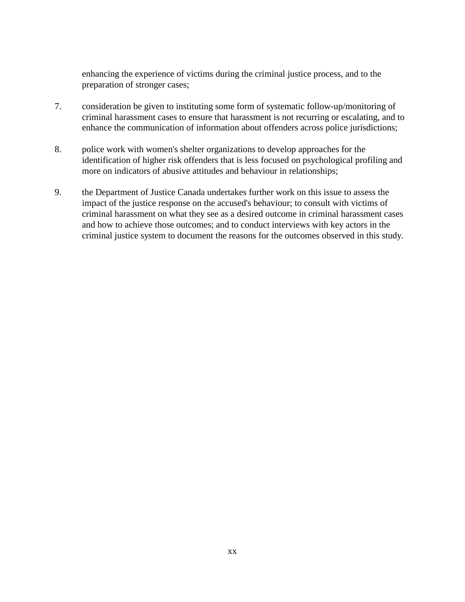enhancing the experience of victims during the criminal justice process, and to the preparation of stronger cases;

- 7. consideration be given to instituting some form of systematic follow-up/monitoring of criminal harassment cases to ensure that harassment is not recurring or escalating, and to enhance the communication of information about offenders across police jurisdictions;
- 8. police work with women's shelter organizations to develop approaches for the identification of higher risk offenders that is less focused on psychological profiling and more on indicators of abusive attitudes and behaviour in relationships;
- 9. the Department of Justice Canada undertakes further work on this issue to assess the impact of the justice response on the accused's behaviour; to consult with victims of criminal harassment on what they see as a desired outcome in criminal harassment cases and how to achieve those outcomes; and to conduct interviews with key actors in the criminal justice system to document the reasons for the outcomes observed in this study.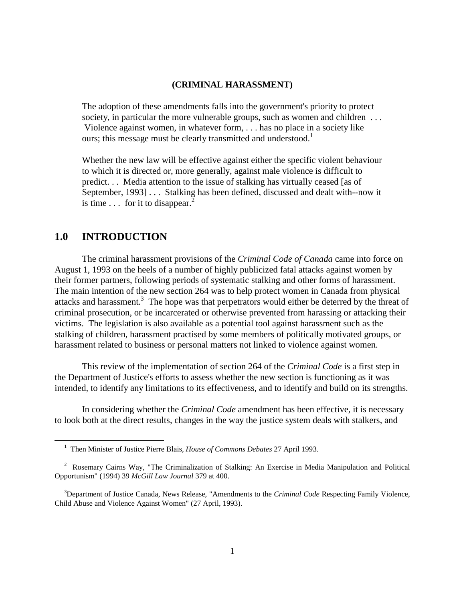#### **(CRIMINAL HARASSMENT)**

<span id="page-10-0"></span>The adoption of these amendments falls into the government's priority to protect society, in particular the more vulnerable groups, such as women and children ... Violence against women, in whatever form, . . . has no place in a society like ours; this message must be clearly transmitted and understood.<sup>1</sup>

Whether the new law will be effective against either the specific violent behaviour to which it is directed or, more generally, against male violence is difficult to predict. . . Media attention to the issue of stalking has virtually ceased [as of September, 1993] . . . Stalking has been defined, discussed and dealt with--now it is time  $\ldots$  for it to disappear.<sup>2</sup>

### **1.0 INTRODUCTION**

 $\overline{a}$ 

The criminal harassment provisions of the *Criminal Code of Canada* came into force on August 1, 1993 on the heels of a number of highly publicized fatal attacks against women by their former partners, following periods of systematic stalking and other forms of harassment. The main intention of the new section 264 was to help protect women in Canada from physical attacks and harassment.<sup>3</sup> The hope was that perpetrators would either be deterred by the threat of criminal prosecution, or be incarcerated or otherwise prevented from harassing or attacking their victims. The legislation is also available as a potential tool against harassment such as the stalking of children, harassment practised by some members of politically motivated groups, or harassment related to business or personal matters not linked to violence against women.

This review of the implementation of section 264 of the *Criminal Code* is a first step in the Department of Justice's efforts to assess whether the new section is functioning as it was intended, to identify any limitations to its effectiveness, and to identify and build on its strengths.

In considering whether the *Criminal Code* amendment has been effective, it is necessary to look both at the direct results, changes in the way the justice system deals with stalkers, and

<sup>&</sup>lt;sup>1</sup> Then Minister of Justice Pierre Blais, *House of Commons Debates* 27 April 1993.

<sup>&</sup>lt;sup>2</sup> Rosemary Cairns Way, "The Criminalization of Stalking: An Exercise in Media Manipulation and Political Opportunism" (1994) 39 *McGill Law Journal* 379 at 400.

<sup>&</sup>lt;sup>3</sup>Department of Justice Canada, News Release, "Amendments to the *Criminal Code* Respecting Family Violence, Child Abuse and Violence Against Women" (27 April, 1993).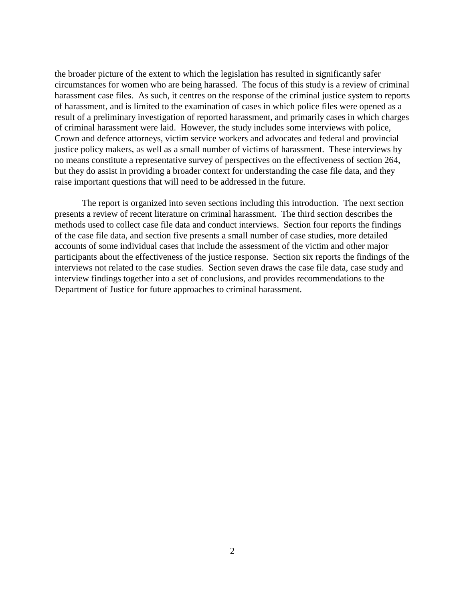the broader picture of the extent to which the legislation has resulted in significantly safer circumstances for women who are being harassed. The focus of this study is a review of criminal harassment case files. As such, it centres on the response of the criminal justice system to reports of harassment, and is limited to the examination of cases in which police files were opened as a result of a preliminary investigation of reported harassment, and primarily cases in which charges of criminal harassment were laid. However, the study includes some interviews with police, Crown and defence attorneys, victim service workers and advocates and federal and provincial justice policy makers, as well as a small number of victims of harassment. These interviews by no means constitute a representative survey of perspectives on the effectiveness of section 264, but they do assist in providing a broader context for understanding the case file data, and they raise important questions that will need to be addressed in the future.

The report is organized into seven sections including this introduction. The next section presents a review of recent literature on criminal harassment. The third section describes the methods used to collect case file data and conduct interviews. Section four reports the findings of the case file data, and section five presents a small number of case studies, more detailed accounts of some individual cases that include the assessment of the victim and other major participants about the effectiveness of the justice response. Section six reports the findings of the interviews not related to the case studies. Section seven draws the case file data, case study and interview findings together into a set of conclusions, and provides recommendations to the Department of Justice for future approaches to criminal harassment.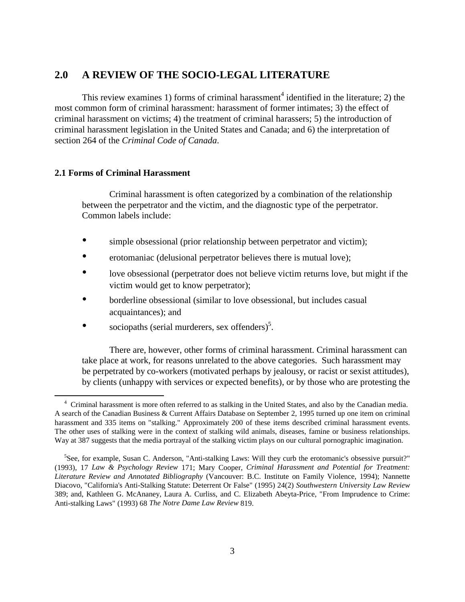## <span id="page-12-0"></span>**2.0 A REVIEW OF THE SOCIO-LEGAL LITERATURE**

This review examines 1) forms of criminal harassment<sup>4</sup> identified in the literature; 2) the most common form of criminal harassment: harassment of former intimates; 3) the effect of criminal harassment on victims; 4) the treatment of criminal harassers; 5) the introduction of criminal harassment legislation in the United States and Canada; and 6) the interpretation of section 264 of the *Criminal Code of Canada*.

#### **2.1 Forms of Criminal Harassment**

 $\overline{a}$ 

Criminal harassment is often categorized by a combination of the relationship between the perpetrator and the victim, and the diagnostic type of the perpetrator. Common labels include:

- simple obsessional (prior relationship between perpetrator and victim);
- erotomaniac (delusional perpetrator believes there is mutual love);
- love obsessional (perpetrator does not believe victim returns love, but might if the victim would get to know perpetrator);
- borderline obsessional (similar to love obsessional, but includes casual acquaintances); and
- sociopaths (serial murderers, sex offenders)<sup>5</sup>.

There are, however, other forms of criminal harassment. Criminal harassment can take place at work, for reasons unrelated to the above categories. Such harassment may be perpetrated by co-workers (motivated perhaps by jealousy, or racist or sexist attitudes), by clients (unhappy with services or expected benefits), or by those who are protesting the

<sup>&</sup>lt;sup>4</sup> Criminal harassment is more often referred to as stalking in the United States, and also by the Canadian media. A search of the Canadian Business & Current Affairs Database on September 2, 1995 turned up one item on criminal harassment and 335 items on "stalking." Approximately 200 of these items described criminal harassment events. The other uses of stalking were in the context of stalking wild animals, diseases, famine or business relationships. Way at 387 suggests that the media portrayal of the stalking victim plays on our cultural pornographic imagination.

<sup>&</sup>lt;sup>5</sup>See, for example, Susan C. Anderson, "Anti-stalking Laws: Will they curb the erotomanic's obsessive pursuit?" (1993), 17 *Law & Psychology Review* 171; Mary Cooper, *Criminal Harassment and Potential for Treatment: Literature Review and Annotated Bibliography* (Vancouver: B.C. Institute on Family Violence, 1994); Nannette Diacovo, "California's Anti-Stalking Statute: Deterrent Or False" (1995) 24(2) *Southwestern University Law Review* 389; and, Kathleen G. McAnaney, Laura A. Curliss, and C. Elizabeth Abeyta-Price, "From Imprudence to Crime: Anti-stalking Laws" (1993) 68 *The Notre Dame Law Review* 819.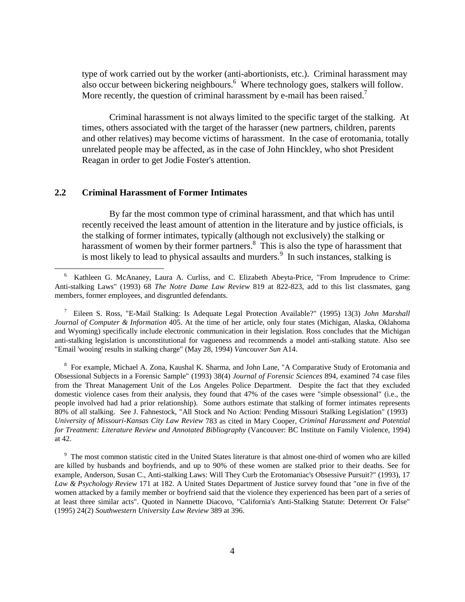type of work carried out by the worker (anti-abortionists, etc.). Criminal harassment may also occur between bickering neighbours.<sup>6</sup> Where technology goes, stalkers will follow. More recently, the question of criminal harassment by e-mail has been raised.<sup>7</sup>

Criminal harassment is not always limited to the specific target of the stalking. At times, others associated with the target of the harasser (new partners, children, parents and other relatives) may become victims of harassment. In the case of erotomania, totally unrelated people may be affected, as in the case of John Hinckley, who shot President Reagan in order to get Jodie Foster's attention.

#### **2.2 Criminal Harassment of Former Intimates**

 $\overline{a}$ 

By far the most common type of criminal harassment, and that which has until recently received the least amount of attention in the literature and by justice officials, is the stalking of former intimates, typically (although not exclusively) the stalking or harassment of women by their former partners.<sup>8</sup> This is also the type of harassment that is most likely to lead to physical assaults and murders.<sup>9</sup> In such instances, stalking is

<sup>8</sup> For example, Michael A. Zona, Kaushal K. Sharma, and John Lane, "A Comparative Study of Erotomania and Obsessional Subjects in a Forensic Sample" (1993) 38(4) *Journal of Forensic Sciences* 894, examined 74 case files from the Threat Management Unit of the Los Angeles Police Department. Despite the fact that they excluded domestic violence cases from their analysis, they found that 47% of the cases were "simple obsessional" (i.e., the people involved had had a prior relationship). Some authors estimate that stalking of former intimates represents 80% of all stalking. See J. Fahnestock, "All Stock and No Action: Pending Missouri Stalking Legislation" (1993) *University of Missouri-Kansas City Law Review* 783 as cited in Mary Cooper, *Criminal Harassment and Potential for Treatment: Literature Review and Annotated Bibliography* (Vancouver: BC Institute on Family Violence, 1994) at 42.

<sup>9</sup> The most common statistic cited in the United States literature is that almost one-third of women who are killed are killed by husbands and boyfriends, and up to 90% of these women are stalked prior to their deaths. See for example, Anderson, Susan C., Anti-stalking Laws: Will They Curb the Erotomaniac's Obsessive Pursuit?" (1993), 17 *Law & Psychology Review* 171 at 182. A United States Department of Justice survey found that "one in five of the women attacked by a family member or boyfriend said that the violence they experienced has been part of a series of at least three similar acts". Quoted in Nannette Diacovo, "California's Anti-Stalking Statute: Deterrent Or False" (1995) 24(2) *Southwestern University Law Review* 389 at 396.

<sup>6</sup> Kathleen G. McAnaney, Laura A. Curliss, and C. Elizabeth Abeyta-Price, "From Imprudence to Crime: Anti-stalking Laws" (1993) 68 *The Notre Dame Law Review* 819 at 822-823, add to this list classmates, gang members, former employees, and disgruntled defendants.

<sup>7</sup> Eileen S. Ross, "E-Mail Stalking: Is Adequate Legal Protection Available?" (1995) 13(3) *John Marshall Journal of Computer & Information* 405. At the time of her article, only four states (Michigan, Alaska, Oklahoma and Wyoming) specifically include electronic communication in their legislation. Ross concludes that the Michigan anti-stalking legislation is unconstitutional for vagueness and recommends a model anti-stalking statute. Also see "Email 'wooing' results in stalking charge" (May 28, 1994) *Vancouver Sun* A14.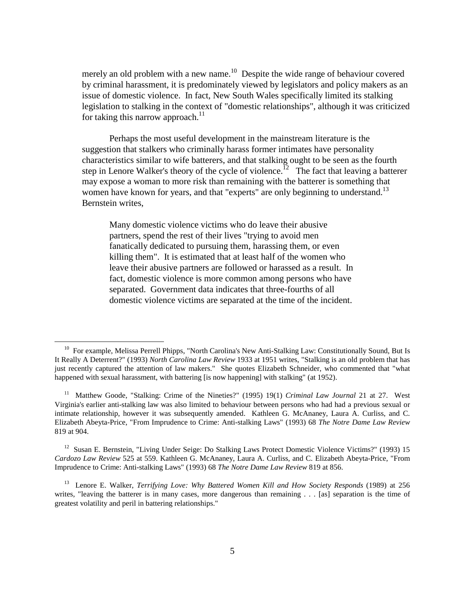merely an old problem with a new name.<sup>10</sup> Despite the wide range of behaviour covered by criminal harassment, it is predominately viewed by legislators and policy makers as an issue of domestic violence. In fact, New South Wales specifically limited its stalking legislation to stalking in the context of "domestic relationships", although it was criticized for taking this narrow approach.<sup>11</sup>

Perhaps the most useful development in the mainstream literature is the suggestion that stalkers who criminally harass former intimates have personality characteristics similar to wife batterers, and that stalking ought to be seen as the fourth step in Lenore Walker's theory of the cycle of violence.<sup>12</sup> The fact that leaving a batterer may expose a woman to more risk than remaining with the batterer is something that women have known for years, and that "experts" are only beginning to understand.<sup>13</sup> Bernstein writes,

Many domestic violence victims who do leave their abusive partners, spend the rest of their lives "trying to avoid men fanatically dedicated to pursuing them, harassing them, or even killing them". It is estimated that at least half of the women who leave their abusive partners are followed or harassed as a result. In fact, domestic violence is more common among persons who have separated. Government data indicates that three-fourths of all domestic violence victims are separated at the time of the incident.

 $\overline{a}$ 

<sup>12</sup> Susan E. Bernstein, "Living Under Seige: Do Stalking Laws Protect Domestic Violence Victims?" (1993) 15 *Cardozo Law Review* 525 at 559. Kathleen G. McAnaney, Laura A. Curliss, and C. Elizabeth Abeyta-Price, "From Imprudence to Crime: Anti-stalking Laws" (1993) 68 *The Notre Dame Law Review* 819 at 856.

<sup>&</sup>lt;sup>10</sup> For example, Melissa Perrell Phipps, "North Carolina's New Anti-Stalking Law: Constitutionally Sound, But Is It Really A Deterrent?" (1993) *North Carolina Law Review* 1933 at 1951 writes, "Stalking is an old problem that has just recently captured the attention of law makers." She quotes Elizabeth Schneider, who commented that "what happened with sexual harassment, with battering [is now happening] with stalking" (at 1952).

11 Matthew Goode, "Stalking: Crime of the Nineties?" (1995) 19(1) *Criminal Law Journal* 21 at 27. West Virginia's earlier anti-stalking law was also limited to behaviour between persons who had had a previous sexual or intimate relationship, however it was subsequently amended. Kathleen G. McAnaney, Laura A. Curliss, and C. Elizabeth Abeyta-Price, "From Imprudence to Crime: Anti-stalking Laws" (1993) 68 *The Notre Dame Law Review* 819 at 904.

13 Lenore E. Walker, *Terrifying Love: Why Battered Women Kill and How Society Responds* (1989) at 256 writes, "leaving the batterer is in many cases, more dangerous than remaining . . . [as] separation is the time of greatest volatility and peril in battering relationships."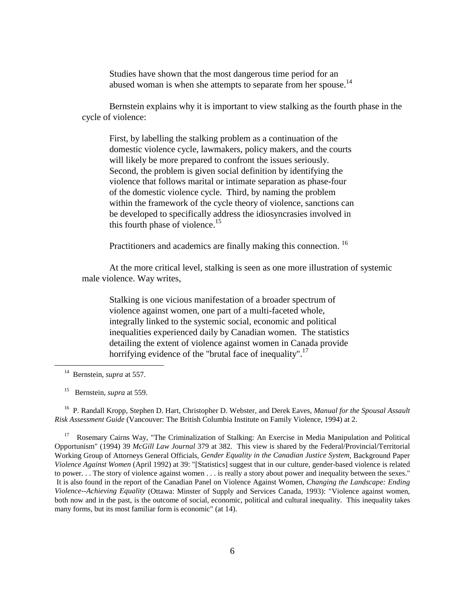Studies have shown that the most dangerous time period for an abused woman is when she attempts to separate from her spouse.<sup>14</sup>

Bernstein explains why it is important to view stalking as the fourth phase in the cycle of violence:

 First, by labelling the stalking problem as a continuation of the domestic violence cycle, lawmakers, policy makers, and the courts will likely be more prepared to confront the issues seriously. Second, the problem is given social definition by identifying the violence that follows marital or intimate separation as phase-four of the domestic violence cycle. Third, by naming the problem within the framework of the cycle theory of violence, sanctions can be developed to specifically address the idiosyncrasies involved in this fourth phase of violence.<sup>15</sup>

Practitioners and academics are finally making this connection.<sup>16</sup>

At the more critical level, stalking is seen as one more illustration of systemic male violence. Way writes,

Stalking is one vicious manifestation of a broader spectrum of violence against women, one part of a multi-faceted whole, integrally linked to the systemic social, economic and political inequalities experienced daily by Canadian women. The statistics detailing the extent of violence against women in Canada provide horrifying evidence of the "brutal face of inequality".<sup>17</sup>

 $\overline{a}$ 

15 Bernstein, *supra* at 559.

 16 P. Randall Kropp, Stephen D. Hart, Christopher D. Webster, and Derek Eaves, *Manual for the Spousal Assault Risk Assessment Guide* (Vancouver: The British Columbia Institute on Family Violence, 1994) at 2.

<sup>17</sup> Rosemary Cairns Way, "The Criminalization of Stalking: An Exercise in Media Manipulation and Political Opportunism" (1994) 39 *McGill Law Journal* 379 at 382. This view is shared by the Federal/Provincial/Territorial Working Group of Attorneys General Officials, *Gender Equality in the Canadian Justice System*, Background Paper *Violence Against Women* (April 1992) at 39: "[Statistics] suggest that in our culture, gender-based violence is related to power. . . The story of violence against women . . . is really a story about power and inequality between the sexes." It is also found in the report of the Canadian Panel on Violence Against Women, *Changing the Landscape: Ending Violence--Achieving Equality* (Ottawa: Minster of Supply and Services Canada, 1993): "Violence against women, both now and in the past, is the outcome of social, economic, political and cultural inequality. This inequality takes many forms, but its most familiar form is economic" (at 14).

14 Bernstein, *supra* at 557.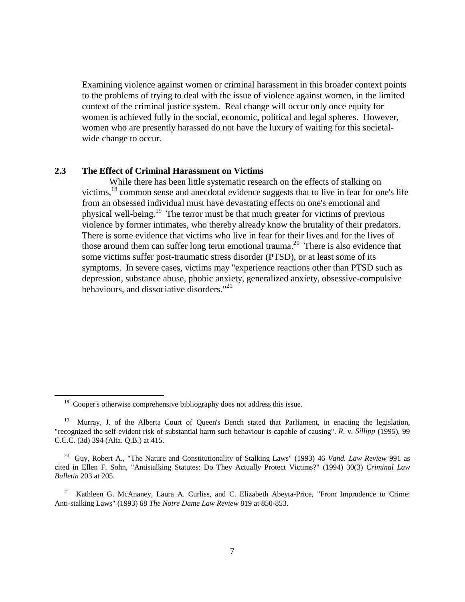Examining violence against women or criminal harassment in this broader context points to the problems of trying to deal with the issue of violence against women, in the limited context of the criminal justice system. Real change will occur only once equity for women is achieved fully in the social, economic, political and legal spheres. However, women who are presently harassed do not have the luxury of waiting for this societalwide change to occur.

#### **2.3 The Effect of Criminal Harassment on Victims**

While there has been little systematic research on the effects of stalking on victims,<sup>18</sup> common sense and anecdotal evidence suggests that to live in fear for one's life from an obsessed individual must have devastating effects on one's emotional and physical well-being.19 The terror must be that much greater for victims of previous violence by former intimates, who thereby already know the brutality of their predators. There is some evidence that victims who live in fear for their lives and for the lives of those around them can suffer long term emotional trauma.<sup>20</sup> There is also evidence that some victims suffer post-traumatic stress disorder (PTSD), or at least some of its symptoms. In severe cases, victims may "experience reactions other than PTSD such as depression, substance abuse, phobic anxiety, generalized anxiety, obsessive-compulsive behaviours, and dissociative disorders."<sup>21</sup>

 $\overline{a}$ 

<sup>&</sup>lt;sup>18</sup> Cooper's otherwise comprehensive bibliography does not address this issue.

<sup>&</sup>lt;sup>19</sup> Murray, J. of the Alberta Court of Queen's Bench stated that Parliament, in enacting the legislation, "recognized the self-evident risk of substantial harm such behaviour is capable of causing". *R*. v. *Sillipp* (1995), 99 C.C.C. (3d) 394 (Alta. Q.B.) at 415.

20 Guy, Robert A., "The Nature and Constitutionality of Stalking Laws" (1993) 46 *Vand. Law Review* 991 as cited in Ellen F. Sohn, "Antistalking Statutes: Do They Actually Protect Victims?" (1994) 30(3) *Criminal Law Bulletin* 203 at 205.

<sup>&</sup>lt;sup>21</sup> Kathleen G. McAnaney, Laura A. Curliss, and C. Elizabeth Abeyta-Price, "From Imprudence to Crime: Anti-stalking Laws" (1993) 68 *The Notre Dame Law Review* 819 at 850-853.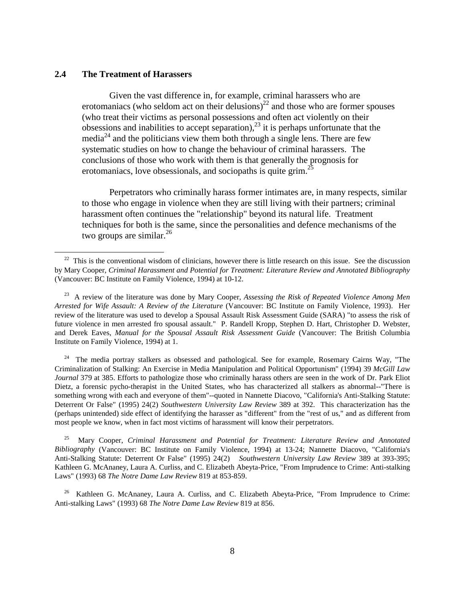#### **2.4 The Treatment of Harassers**

 $\overline{a}$ 

Given the vast difference in, for example, criminal harassers who are erotomaniacs (who seldom act on their delusions)<sup>22</sup> and those who are former spouses (who treat their victims as personal possessions and often act violently on their obsessions and inabilities to accept separation), $^{23}$  it is perhaps unfortunate that the media<sup>24</sup> and the politicians view them both through a single lens. There are few systematic studies on how to change the behaviour of criminal harassers. The conclusions of those who work with them is that generally the prognosis for erotomaniacs, love obsessionals, and sociopaths is quite grim.<sup>25</sup>

Perpetrators who criminally harass former intimates are, in many respects, similar to those who engage in violence when they are still living with their partners; criminal harassment often continues the "relationship" beyond its natural life. Treatment techniques for both is the same, since the personalities and defence mechanisms of the two groups are similar.<sup>26</sup>

<sup>24</sup> The media portray stalkers as obsessed and pathological. See for example, Rosemary Cairns Way, "The Criminalization of Stalking: An Exercise in Media Manipulation and Political Opportunism" (1994) 39 *McGill Law Journal* 379 at 385. Efforts to pathologize those who criminally harass others are seen in the work of Dr. Park Eliot Dietz, a forensic pycho-therapist in the United States, who has characterized all stalkers as abnormal--"There is something wrong with each and everyone of them"--quoted in Nannette Diacovo, "California's Anti-Stalking Statute: Deterrent Or False" (1995) 24(2) *Southwestern University Law Review* 389 at 392. This characterization has the (perhaps unintended) side effect of identifying the harasser as "different" from the "rest of us," and as different from most people we know, when in fact most victims of harassment will know their perpetrators.

 25 Mary Cooper, *Criminal Harassment and Potential for Treatment: Literature Review and Annotated Bibliography* (Vancouver: BC Institute on Family Violence, 1994) at 13-24; Nannette Diacovo, "California's Anti-Stalking Statute: Deterrent Or False" (1995) 24(2) *Southwestern University Law Review* 389 at 393-395; Kathleen G. McAnaney, Laura A. Curliss, and C. Elizabeth Abeyta-Price, "From Imprudence to Crime: Anti-stalking Laws" (1993) 68 *The Notre Dame Law Review* 819 at 853-859.

<sup>26</sup> Kathleen G. McAnaney, Laura A. Curliss, and C. Elizabeth Abeyta-Price, "From Imprudence to Crime: Anti-stalking Laws" (1993) 68 *The Notre Dame Law Review* 819 at 856.

 $22$  This is the conventional wisdom of clinicians, however there is little research on this issue. See the discussion by Mary Cooper, *Criminal Harassment and Potential for Treatment: Literature Review and Annotated Bibliography* (Vancouver: BC Institute on Family Violence, 1994) at 10-12.

23 A review of the literature was done by Mary Cooper, *Assessing the Risk of Repeated Violence Among Men Arrested for Wife Assault: A Review of the Literature* (Vancouver: BC Institute on Family Violence, 1993). Her review of the literature was used to develop a Spousal Assault Risk Assessment Guide (SARA) "to assess the risk of future violence in men arrested fro spousal assault." P. Randell Kropp, Stephen D. Hart, Christopher D. Webster, and Derek Eaves, *Manual for the Spousal Assault Risk Assessment Guide* (Vancouver: The British Columbia Institute on Family Violence, 1994) at 1.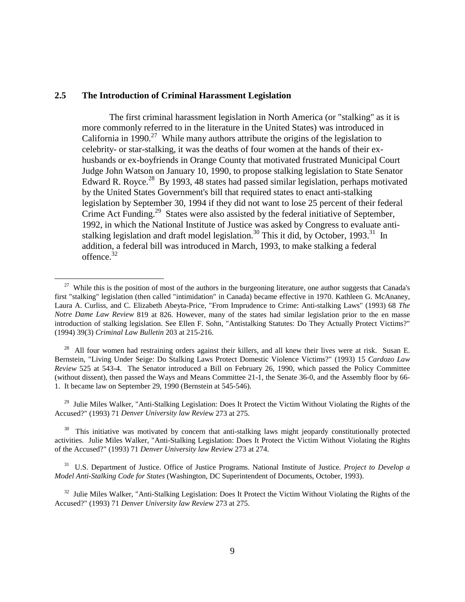#### **2.5 The Introduction of Criminal Harassment Legislation**

 $\overline{a}$ 

The first criminal harassment legislation in North America (or "stalking" as it is more commonly referred to in the literature in the United States) was introduced in California in 1990.<sup>27</sup> While many authors attribute the origins of the legislation to celebrity- or star-stalking, it was the deaths of four women at the hands of their exhusbands or ex-boyfriends in Orange County that motivated frustrated Municipal Court Judge John Watson on January 10, 1990, to propose stalking legislation to State Senator Edward R. Royce.<sup>28</sup> By 1993, 48 states had passed similar legislation, perhaps motivated by the United States Government's bill that required states to enact anti-stalking legislation by September 30, 1994 if they did not want to lose 25 percent of their federal Crime Act Funding.<sup>29</sup> States were also assisted by the federal initiative of September, 1992, in which the National Institute of Justice was asked by Congress to evaluate antistalking legislation and draft model legislation.<sup>30</sup> This it did, by October, 1993.<sup>31</sup> In addition, a federal bill was introduced in March, 1993, to make stalking a federal offence.<sup>32</sup>

 $^{28}$  All four women had restraining orders against their killers, and all knew their lives were at risk. Susan E. Bernstein, "Living Under Seige: Do Stalking Laws Protect Domestic Violence Victims?" (1993) 15 *Cardozo Law Review* 525 at 543-4. The Senator introduced a Bill on February 26, 1990, which passed the Policy Committee (without dissent), then passed the Ways and Means Committee 21-1, the Senate 36-0, and the Assembly floor by 66- 1. It became law on September 29, 1990 (Bernstein at 545-546).

<sup>29</sup> Julie Miles Walker, "Anti-Stalking Legislation: Does It Protect the Victim Without Violating the Rights of the Accused?" (1993) 71 *Denver University law Revie*w 273 at 275.

<sup>30</sup> This initiative was motivated by concern that anti-stalking laws might jeopardy constitutionally protected activities. Julie Miles Walker, "Anti-Stalking Legislation: Does It Protect the Victim Without Violating the Rights of the Accused?" (1993) 71 *Denver University law Revie*w 273 at 274.

 31 U.S. Department of Justice. Office of Justice Programs. National Institute of Justice. *Project to Develop a Model Anti-Stalking Code for States* (Washington, DC Superintendent of Documents, October, 1993).

<sup>32</sup> Julie Miles Walker, "Anti-Stalking Legislation: Does It Protect the Victim Without Violating the Rights of the Accused?" (1993) 71 *Denver University law Revie*w 273 at 275.

<sup>&</sup>lt;sup>27</sup> While this is the position of most of the authors in the burgeoning literature, one author suggests that Canada's first "stalking" legislation (then called "intimidation" in Canada) became effective in 1970. Kathleen G. McAnaney, Laura A. Curliss, and C. Elizabeth Abeyta-Price, "From Imprudence to Crime: Anti-stalking Laws" (1993) 68 *The Notre Dame Law Review* 819 at 826. However, many of the states had similar legislation prior to the en masse introduction of stalking legislation. See Ellen F. Sohn, "Antistalking Statutes: Do They Actually Protect Victims?" (1994) 39(3) *Criminal Law Bulletin* 203 at 215-216.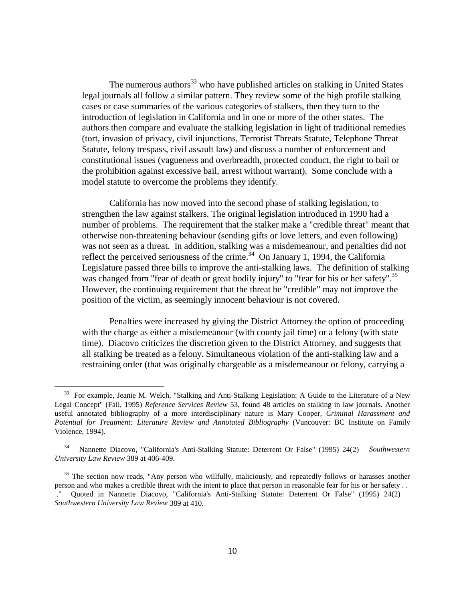The numerous authors<sup>33</sup> who have published articles on stalking in United States legal journals all follow a similar pattern. They review some of the high profile stalking cases or case summaries of the various categories of stalkers, then they turn to the introduction of legislation in California and in one or more of the other states. The authors then compare and evaluate the stalking legislation in light of traditional remedies (tort, invasion of privacy, civil injunctions, Terrorist Threats Statute, Telephone Threat Statute, felony trespass, civil assault law) and discuss a number of enforcement and constitutional issues (vagueness and overbreadth, protected conduct, the right to bail or the prohibition against excessive bail, arrest without warrant). Some conclude with a model statute to overcome the problems they identify.

California has now moved into the second phase of stalking legislation, to strengthen the law against stalkers. The original legislation introduced in 1990 had a number of problems. The requirement that the stalker make a "credible threat" meant that otherwise non-threatening behaviour (sending gifts or love letters, and even following) was not seen as a threat. In addition, stalking was a misdemeanour, and penalties did not reflect the perceived seriousness of the crime.<sup>34</sup> On January 1, 1994, the California Legislature passed three bills to improve the anti-stalking laws. The definition of stalking was changed from "fear of death or great bodily injury" to "fear for his or her safety".<sup>35</sup> However, the continuing requirement that the threat be "credible" may not improve the position of the victim, as seemingly innocent behaviour is not covered.

Penalties were increased by giving the District Attorney the option of proceeding with the charge as either a misdemeanour (with county jail time) or a felony (with state time). Diacovo criticizes the discretion given to the District Attorney, and suggests that all stalking be treated as a felony. Simultaneous violation of the anti-stalking law and a restraining order (that was originally chargeable as a misdemeanour or felony, carrying a

 $\overline{a}$ 

<sup>&</sup>lt;sup>33</sup> For example, Jeanie M. Welch, "Stalking and Anti-Stalking Legislation: A Guide to the Literature of a New Legal Concept" (Fall, 1995) *Reference Services Review* 53, found 48 articles on stalking in law journals. Another useful annotated bibliography of a more interdisciplinary nature is Mary Cooper, *Criminal Harassment and Potential for Treatment: Literature Review and Annotated Bibliography* (Vancouver: BC Institute on Family Violence, 1994).

34 Nannette Diacovo, "California's Anti-Stalking Statute: Deterrent Or False" (1995) 24(2) *Southwestern University Law Review* 389 at 406-409.

<sup>&</sup>lt;sup>35</sup> The section now reads, "Any person who willfully, maliciously, and repeatedly follows or harasses another person and who makes a credible threat with the intent to place that person in reasonable fear for his or her safety . . ." Quoted in Nannette Diacovo, "California's Anti-Stalking Statute: Deterrent Or False" (1995) 24(2) *Southwestern University Law Review* 389 at 410.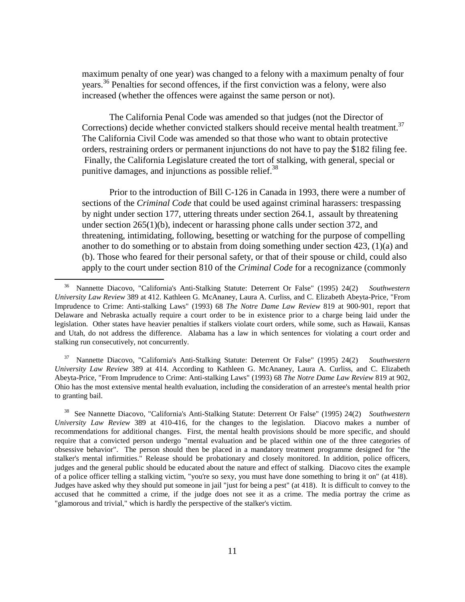maximum penalty of one year) was changed to a felony with a maximum penalty of four years.36 Penalties for second offences, if the first conviction was a felony, were also increased (whether the offences were against the same person or not).

The California Penal Code was amended so that judges (not the Director of Corrections) decide whether convicted stalkers should receive mental health treatment.<sup>37</sup> The California Civil Code was amended so that those who want to obtain protective orders, restraining orders or permanent injunctions do not have to pay the \$182 filing fee. Finally, the California Legislature created the tort of stalking, with general, special or punitive damages, and injunctions as possible relief.<sup>38</sup>

Prior to the introduction of Bill C-126 in Canada in 1993, there were a number of sections of the *Criminal Code* that could be used against criminal harassers: trespassing by night under section 177, uttering threats under section 264.1, assault by threatening under section 265(1)(b), indecent or harassing phone calls under section 372, and threatening, intimidating, following, besetting or watching for the purpose of compelling another to do something or to abstain from doing something under section 423, (1)(a) and (b). Those who feared for their personal safety, or that of their spouse or child, could also apply to the court under section 810 of the *Criminal Code* for a recognizance (commonly

 $\overline{a}$ 

 37 Nannette Diacovo, "California's Anti-Stalking Statute: Deterrent Or False" (1995) 24(2) *Southwestern University Law Review* 389 at 414. According to Kathleen G. McAnaney, Laura A. Curliss, and C. Elizabeth Abeyta-Price, "From Imprudence to Crime: Anti-stalking Laws" (1993) 68 *The Notre Dame Law Review* 819 at 902, Ohio has the most extensive mental health evaluation, including the consideration of an arrestee's mental health prior to granting bail.

 38 See Nannette Diacovo, "California's Anti-Stalking Statute: Deterrent Or False" (1995) 24(2) *Southwestern University Law Review* 389 at 410-416, for the changes to the legislation. Diacovo makes a number of recommendations for additional changes. First, the mental health provisions should be more specific, and should require that a convicted person undergo "mental evaluation and be placed within one of the three categories of obsessive behavior". The person should then be placed in a mandatory treatment programme designed for "the stalker's mental infirmities." Release should be probationary and closely monitored. In addition, police officers, judges and the general public should be educated about the nature and effect of stalking. Diacovo cites the example of a police officer telling a stalking victim, "you're so sexy, you must have done something to bring it on" (at 418). Judges have asked why they should put someone in jail "just for being a pest" (at 418). It is difficult to convey to the accused that he committed a crime, if the judge does not see it as a crime. The media portray the crime as "glamorous and trivial," which is hardly the perspective of the stalker's victim.

36 Nannette Diacovo, "California's Anti-Stalking Statute: Deterrent Or False" (1995) 24(2) *Southwestern University Law Review* 389 at 412. Kathleen G. McAnaney, Laura A. Curliss, and C. Elizabeth Abeyta-Price, "From Imprudence to Crime: Anti-stalking Laws" (1993) 68 *The Notre Dame Law Review* 819 at 900-901, report that Delaware and Nebraska actually require a court order to be in existence prior to a charge being laid under the legislation. Other states have heavier penalties if stalkers violate court orders, while some, such as Hawaii, Kansas and Utah, do not address the difference. Alabama has a law in which sentences for violating a court order and stalking run consecutively, not concurrently.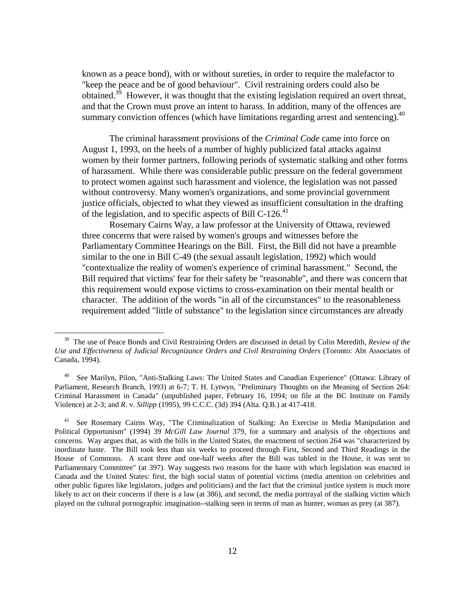known as a peace bond), with or without sureties, in order to require the malefactor to "keep the peace and be of good behaviour". Civil restraining orders could also be obtained.<sup>39</sup> However, it was thought that the existing legislation required an overt threat, and that the Crown must prove an intent to harass. In addition, many of the offences are summary conviction offences (which have limitations regarding arrest and sentencing).<sup>40</sup>

The criminal harassment provisions of the *Criminal Code* came into force on August 1, 1993, on the heels of a number of highly publicized fatal attacks against women by their former partners, following periods of systematic stalking and other forms of harassment. While there was considerable public pressure on the federal government to protect women against such harassment and violence, the legislation was not passed without controversy. Many women's organizations, and some provincial government justice officials, objected to what they viewed as insufficient consultation in the drafting of the legislation, and to specific aspects of Bill C-126.<sup>41</sup>

Rosemary Cairns Way, a law professor at the University of Ottawa, reviewed three concerns that were raised by women's groups and witnesses before the Parliamentary Committee Hearings on the Bill. First, the Bill did not have a preamble similar to the one in Bill C-49 (the sexual assault legislation, 1992) which would "contextualize the reality of women's experience of criminal harassment." Second, the Bill required that victims' fear for their safety be "reasonable", and there was concern that this requirement would expose victims to cross-examination on their mental health or character. The addition of the words "in all of the circumstances" to the reasonableness requirement added "little of substance" to the legislation since circumstances are already

 $\overline{a}$ 

39 The use of Peace Bonds and Civil Restraining Orders are discussed in detail by Colin Meredith, *Review of the Use and Effectiveness of Judicial Recognizance Orders and Civil Restraining Orders* (Toronto: Abt Associates of Canada, 1994).

40 See Marilyn, Pilon, "Anti-Stalking Laws: The United States and Canadian Experience" (Ottawa: Library of Parliament, Research Branch, 1993) at 6-7; T. H. Lytwyn, "Preliminary Thoughts on the Meaning of Section 264: Criminal Harassment in Canada" (unpublished paper, February 16, 1994; on file at the BC Institute on Family Violence) at 2-3; and *R*. v. *Sillipp* (1995), 99 C.C.C. (3d) 394 (Alta. Q.B.) at 417-418.

<sup>&</sup>lt;sup>41</sup> See Rosemary Cairns Way, "The Criminalization of Stalking: An Exercise in Media Manipulation and Political Opportunism" (1994) 39 *McGill Law Journal* 379, for a summary and analysis of the objections and concerns. Way argues that, as with the bills in the United States, the enactment of section 264 was "characterized by inordinate haste. The Bill took less than six weeks to proceed through First, Second and Third Readings in the House of Commons. A scant three and one-half weeks after the Bill was tabled in the House, it was sent to Parliamentary Committee" (at 397). Way suggests two reasons for the haste with which legislation was enacted in Canada and the United States: first, the high social status of potential victims (media attention on celebrities and other public figures like legislators, judges and politicians) and the fact that the criminal justice system is much more likely to act on their concerns if there is a law (at 386), and second, the media portrayal of the stalking victim which played on the cultural pornographic imagination--stalking seen in terms of man as hunter, woman as prey (at 387).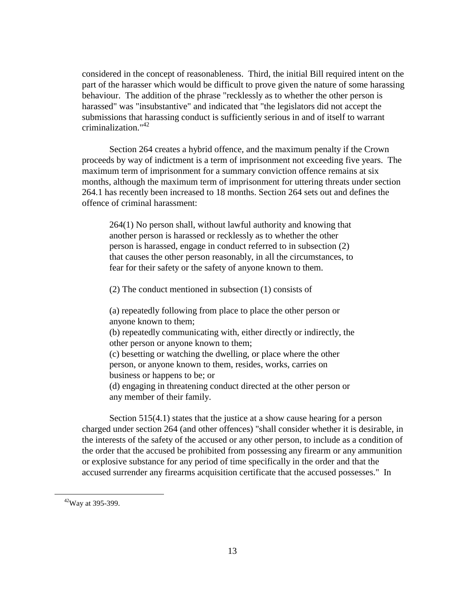considered in the concept of reasonableness. Third, the initial Bill required intent on the part of the harasser which would be difficult to prove given the nature of some harassing behaviour. The addition of the phrase "recklessly as to whether the other person is harassed" was "insubstantive" and indicated that "the legislators did not accept the submissions that harassing conduct is sufficiently serious in and of itself to warrant criminalization."42

Section 264 creates a hybrid offence, and the maximum penalty if the Crown proceeds by way of indictment is a term of imprisonment not exceeding five years. The maximum term of imprisonment for a summary conviction offence remains at six months, although the maximum term of imprisonment for uttering threats under section 264.1 has recently been increased to 18 months. Section 264 sets out and defines the offence of criminal harassment:

264(1) No person shall, without lawful authority and knowing that another person is harassed or recklessly as to whether the other person is harassed, engage in conduct referred to in subsection (2) that causes the other person reasonably, in all the circumstances, to fear for their safety or the safety of anyone known to them.

(2) The conduct mentioned in subsection (1) consists of

(a) repeatedly following from place to place the other person or anyone known to them;

(b) repeatedly communicating with, either directly or indirectly, the other person or anyone known to them;

(c) besetting or watching the dwelling, or place where the other person, or anyone known to them, resides, works, carries on business or happens to be; or

(d) engaging in threatening conduct directed at the other person or any member of their family.

Section 515(4.1) states that the justice at a show cause hearing for a person charged under section 264 (and other offences) "shall consider whether it is desirable, in the interests of the safety of the accused or any other person, to include as a condition of the order that the accused be prohibited from possessing any firearm or any ammunition or explosive substance for any period of time specifically in the order and that the accused surrender any firearms acquisition certificate that the accused possesses." In

 $\overline{a}$ 

42Way at 395-399.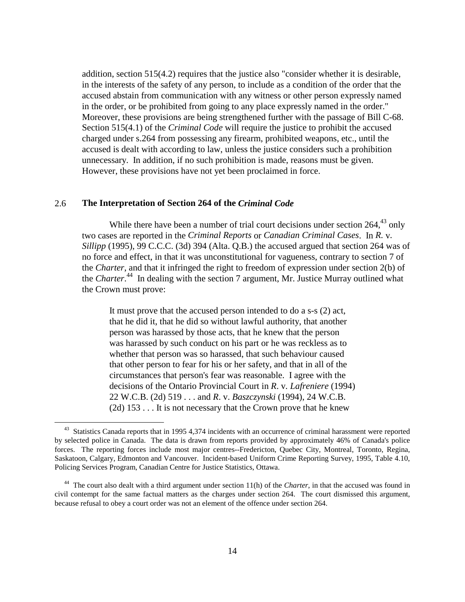addition, section 515(4.2) requires that the justice also "consider whether it is desirable, in the interests of the safety of any person, to include as a condition of the order that the accused abstain from communication with any witness or other person expressly named in the order, or be prohibited from going to any place expressly named in the order." Moreover, these provisions are being strengthened further with the passage of Bill C-68. Section 515(4.1) of the *Criminal Code* will require the justice to prohibit the accused charged under s.264 from possessing any firearm, prohibited weapons, etc., until the accused is dealt with according to law, unless the justice considers such a prohibition unnecessary. In addition, if no such prohibition is made, reasons must be given. However, these provisions have not yet been proclaimed in force.

#### 2.6 **The Interpretation of Section 264 of the** *Criminal Code*

 $\overline{a}$ 

While there have been a number of trial court decisions under section  $264<sup>43</sup>$  only two cases are reported in the *Criminal Reports* or *Canadian Criminal Cases*. In *R.* v*. Sillipp* (1995), 99 C.C.C. (3d) 394 (Alta. Q.B.) the accused argued that section 264 was of no force and effect, in that it was unconstitutional for vagueness, contrary to section 7 of the *Charter*, and that it infringed the right to freedom of expression under section 2(b) of the *Charter*. 44 In dealing with the section 7 argument, Mr. Justice Murray outlined what the Crown must prove:

It must prove that the accused person intended to do a s-s (2) act, that he did it, that he did so without lawful authority, that another person was harassed by those acts, that he knew that the person was harassed by such conduct on his part or he was reckless as to whether that person was so harassed, that such behaviour caused that other person to fear for his or her safety, and that in all of the circumstances that person's fear was reasonable. I agree with the decisions of the Ontario Provincial Court in *R*. v*. Lafreniere* (1994) 22 W.C.B. (2d) 519 . . . and *R*. v. *Baszczynski* (1994), 24 W.C.B. (2d) 153 . . . It is not necessary that the Crown prove that he knew

<sup>&</sup>lt;sup>43</sup> Statistics Canada reports that in 1995 4,374 incidents with an occurrence of criminal harassment were reported by selected police in Canada. The data is drawn from reports provided by approximately 46% of Canada's police forces. The reporting forces include most major centres--Fredericton, Quebec City, Montreal, Toronto, Regina, Saskatoon, Calgary, Edmonton and Vancouver. Incident-based Uniform Crime Reporting Survey, 1995, Table 4.10, Policing Services Program, Canadian Centre for Justice Statistics, Ottawa.

<sup>&</sup>lt;sup>44</sup> The court also dealt with a third argument under section 11(h) of the *Charter*, in that the accused was found in civil contempt for the same factual matters as the charges under section 264. The court dismissed this argument, because refusal to obey a court order was not an element of the offence under section 264.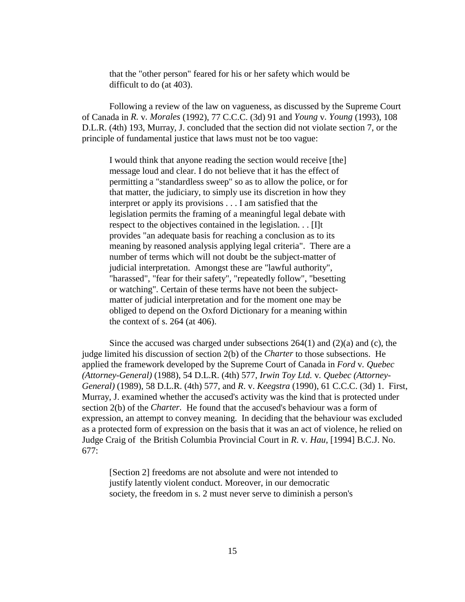that the "other person" feared for his or her safety which would be difficult to do (at 403).

Following a review of the law on vagueness, as discussed by the Supreme Court of Canada in *R.* v*. Morales* (1992), 77 C.C.C. (3d) 91 and *Young* v*. Young* (1993), 108 D.L.R. (4th) 193, Murray, J. concluded that the section did not violate section 7, or the principle of fundamental justice that laws must not be too vague:

I would think that anyone reading the section would receive [the] message loud and clear. I do not believe that it has the effect of permitting a "standardless sweep" so as to allow the police, or for that matter, the judiciary, to simply use its discretion in how they interpret or apply its provisions . . . I am satisfied that the legislation permits the framing of a meaningful legal debate with respect to the objectives contained in the legislation. . . [I]t provides "an adequate basis for reaching a conclusion as to its meaning by reasoned analysis applying legal criteria". There are a number of terms which will not doubt be the subject-matter of judicial interpretation. Amongst these are "lawful authority", "harassed", "fear for their safety", "repeatedly follow", "besetting or watching". Certain of these terms have not been the subjectmatter of judicial interpretation and for the moment one may be obliged to depend on the Oxford Dictionary for a meaning within the context of s. 264 (at 406).

Since the accused was charged under subsections  $264(1)$  and  $(2)(a)$  and  $(c)$ , the judge limited his discussion of section 2(b) of the *Charter* to those subsections. He applied the framework developed by the Supreme Court of Canada in *Ford* v*. Quebec (Attorney-General)* (1988), 54 D.L.R. (4th) 577, *Irwin Toy Ltd.* v*. Quebec (Attorney-General)* (1989), 58 D.L.R. (4th) 577, and *R*. v. *Keegstra* (1990), 61 C.C.C. (3d) 1. First, Murray, J. examined whether the accused's activity was the kind that is protected under section 2(b) of the *Charter.* He found that the accused's behaviour was a form of expression, an attempt to convey meaning. In deciding that the behaviour was excluded as a protected form of expression on the basis that it was an act of violence, he relied on Judge Craig of the British Columbia Provincial Court in *R*. v*. Hau*, [1994] B.C.J. No. 677:

[Section 2] freedoms are not absolute and were not intended to justify latently violent conduct. Moreover, in our democratic society, the freedom in s. 2 must never serve to diminish a person's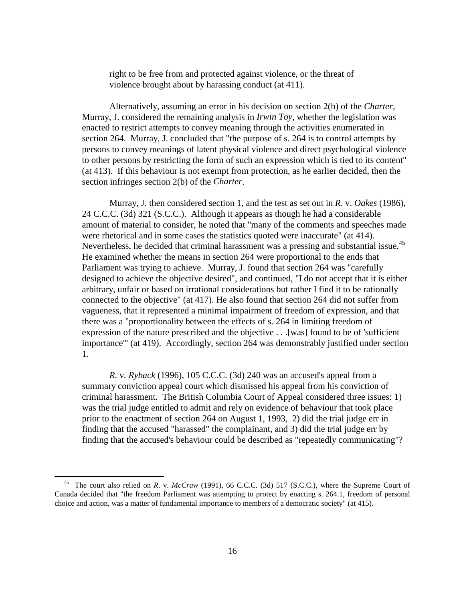right to be free from and protected against violence, or the threat of violence brought about by harassing conduct (at 411).

Alternatively, assuming an error in his decision on section 2(b) of the *Charter*, Murray, J. considered the remaining analysis in *Irwin Toy*, whether the legislation was enacted to restrict attempts to convey meaning through the activities enumerated in section 264. Murray, J. concluded that "the purpose of s. 264 is to control attempts by persons to convey meanings of latent physical violence and direct psychological violence to other persons by restricting the form of such an expression which is tied to its content" (at 413). If this behaviour is not exempt from protection, as he earlier decided, then the section infringes section 2(b) of the *Charter*.

Murray, J. then considered section 1, and the test as set out in *R*. v. *Oakes* (1986), 24 C.C.C. (3d) 321 (S.C.C.). Although it appears as though he had a considerable amount of material to consider, he noted that "many of the comments and speeches made were rhetorical and in some cases the statistics quoted were inaccurate" (at 414). Nevertheless, he decided that criminal harassment was a pressing and substantial issue.<sup>45</sup> He examined whether the means in section 264 were proportional to the ends that Parliament was trying to achieve. Murray, J. found that section 264 was "carefully designed to achieve the objective desired", and continued, "I do not accept that it is either arbitrary, unfair or based on irrational considerations but rather I find it to be rationally connected to the objective" (at 417). He also found that section 264 did not suffer from vagueness, that it represented a minimal impairment of freedom of expression, and that there was a "proportionality between the effects of s. 264 in limiting freedom of expression of the nature prescribed and the objective . . .[was] found to be of 'sufficient importance'" (at 419). Accordingly, section 264 was demonstrably justified under section 1.

*R*. v*. Ryback* (1996), 105 C.C.C. (3d) 240 was an accused's appeal from a summary conviction appeal court which dismissed his appeal from his conviction of criminal harassment. The British Columbia Court of Appeal considered three issues: 1) was the trial judge entitled to admit and rely on evidence of behaviour that took place prior to the enactment of section 264 on August 1, 1993, 2) did the trial judge err in finding that the accused "harassed" the complainant, and 3) did the trial judge err by finding that the accused's behaviour could be described as "repeatedly communicating"?

 $\overline{a}$ 

45 The court also relied on *R*. v. *McCraw* (1991), 66 C.C.C. (3d) 517 (S.C.C.), where the Supreme Court of Canada decided that "the freedom Parliament was attempting to protect by enacting s. 264.1, freedom of personal choice and action, was a matter of fundamental importance to members of a democratic society" (at 415).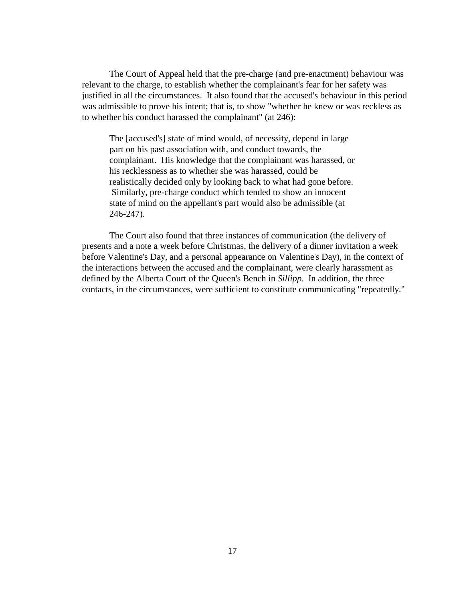The Court of Appeal held that the pre-charge (and pre-enactment) behaviour was relevant to the charge, to establish whether the complainant's fear for her safety was justified in all the circumstances. It also found that the accused's behaviour in this period was admissible to prove his intent; that is, to show "whether he knew or was reckless as to whether his conduct harassed the complainant" (at 246):

The [accused's] state of mind would, of necessity, depend in large part on his past association with, and conduct towards, the complainant. His knowledge that the complainant was harassed, or his recklessness as to whether she was harassed, could be realistically decided only by looking back to what had gone before. Similarly, pre-charge conduct which tended to show an innocent state of mind on the appellant's part would also be admissible (at 246-247).

The Court also found that three instances of communication (the delivery of presents and a note a week before Christmas, the delivery of a dinner invitation a week before Valentine's Day, and a personal appearance on Valentine's Day), in the context of the interactions between the accused and the complainant, were clearly harassment as defined by the Alberta Court of the Queen's Bench in *Sillipp*. In addition, the three contacts, in the circumstances, were sufficient to constitute communicating "repeatedly."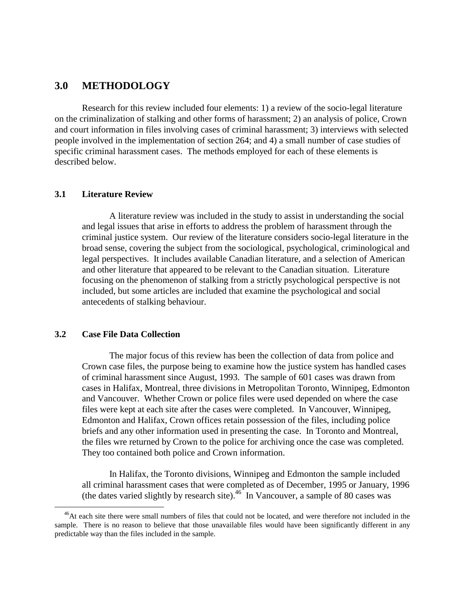## <span id="page-27-0"></span>**3.0 METHODOLOGY**

Research for this review included four elements: 1) a review of the socio-legal literature on the criminalization of stalking and other forms of harassment; 2) an analysis of police, Crown and court information in files involving cases of criminal harassment; 3) interviews with selected people involved in the implementation of section 264; and 4) a small number of case studies of specific criminal harassment cases. The methods employed for each of these elements is described below.

#### **3.1 Literature Review**

A literature review was included in the study to assist in understanding the social and legal issues that arise in efforts to address the problem of harassment through the criminal justice system. Our review of the literature considers socio-legal literature in the broad sense, covering the subject from the sociological, psychological, criminological and legal perspectives. It includes available Canadian literature, and a selection of American and other literature that appeared to be relevant to the Canadian situation. Literature focusing on the phenomenon of stalking from a strictly psychological perspective is not included, but some articles are included that examine the psychological and social antecedents of stalking behaviour.

#### **3.2 Case File Data Collection**

 $\overline{a}$ 

The major focus of this review has been the collection of data from police and Crown case files, the purpose being to examine how the justice system has handled cases of criminal harassment since August, 1993. The sample of 601 cases was drawn from cases in Halifax, Montreal, three divisions in Metropolitan Toronto, Winnipeg, Edmonton and Vancouver. Whether Crown or police files were used depended on where the case files were kept at each site after the cases were completed. In Vancouver, Winnipeg, Edmonton and Halifax, Crown offices retain possession of the files, including police briefs and any other information used in presenting the case. In Toronto and Montreal, the files wre returned by Crown to the police for archiving once the case was completed. They too contained both police and Crown information.

In Halifax, the Toronto divisions, Winnipeg and Edmonton the sample included all criminal harassment cases that were completed as of December, 1995 or January, 1996 (the dates varied slightly by research site).<sup>46</sup> In Vancouver, a sample of 80 cases was

<sup>&</sup>lt;sup>46</sup>At each site there were small numbers of files that could not be located, and were therefore not included in the sample. There is no reason to believe that those unavailable files would have been significantly different in any predictable way than the files included in the sample.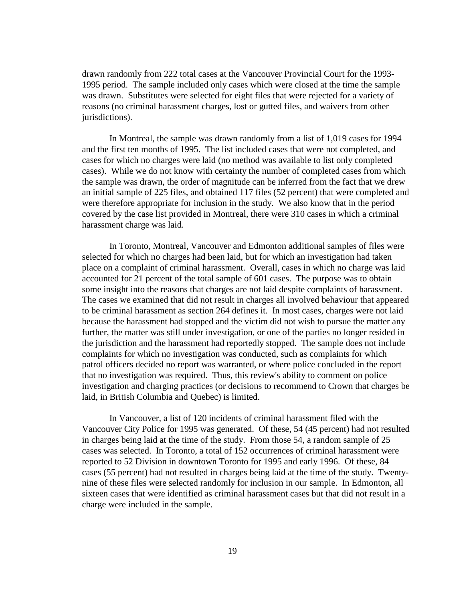drawn randomly from 222 total cases at the Vancouver Provincial Court for the 1993- 1995 period. The sample included only cases which were closed at the time the sample was drawn. Substitutes were selected for eight files that were rejected for a variety of reasons (no criminal harassment charges, lost or gutted files, and waivers from other jurisdictions).

In Montreal, the sample was drawn randomly from a list of 1,019 cases for 1994 and the first ten months of 1995. The list included cases that were not completed, and cases for which no charges were laid (no method was available to list only completed cases). While we do not know with certainty the number of completed cases from which the sample was drawn, the order of magnitude can be inferred from the fact that we drew an initial sample of 225 files, and obtained 117 files (52 percent) that were completed and were therefore appropriate for inclusion in the study. We also know that in the period covered by the case list provided in Montreal, there were 310 cases in which a criminal harassment charge was laid.

In Toronto, Montreal, Vancouver and Edmonton additional samples of files were selected for which no charges had been laid, but for which an investigation had taken place on a complaint of criminal harassment. Overall, cases in which no charge was laid accounted for 21 percent of the total sample of 601 cases. The purpose was to obtain some insight into the reasons that charges are not laid despite complaints of harassment. The cases we examined that did not result in charges all involved behaviour that appeared to be criminal harassment as section 264 defines it. In most cases, charges were not laid because the harassment had stopped and the victim did not wish to pursue the matter any further, the matter was still under investigation, or one of the parties no longer resided in the jurisdiction and the harassment had reportedly stopped. The sample does not include complaints for which no investigation was conducted, such as complaints for which patrol officers decided no report was warranted, or where police concluded in the report that no investigation was required. Thus, this review's ability to comment on police investigation and charging practices (or decisions to recommend to Crown that charges be laid, in British Columbia and Quebec) is limited.

In Vancouver, a list of 120 incidents of criminal harassment filed with the Vancouver City Police for 1995 was generated. Of these, 54 (45 percent) had not resulted in charges being laid at the time of the study. From those 54, a random sample of 25 cases was selected. In Toronto, a total of 152 occurrences of criminal harassment were reported to 52 Division in downtown Toronto for 1995 and early 1996. Of these, 84 cases (55 percent) had not resulted in charges being laid at the time of the study. Twentynine of these files were selected randomly for inclusion in our sample. In Edmonton, all sixteen cases that were identified as criminal harassment cases but that did not result in a charge were included in the sample.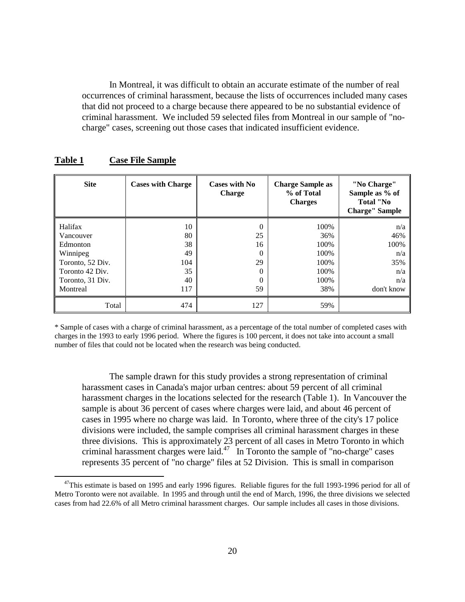<span id="page-29-0"></span>In Montreal, it was difficult to obtain an accurate estimate of the number of real occurrences of criminal harassment, because the lists of occurrences included many cases that did not proceed to a charge because there appeared to be no substantial evidence of criminal harassment. We included 59 selected files from Montreal in our sample of "nocharge" cases, screening out those cases that indicated insufficient evidence.

| <b>Site</b>      | <b>Cases with Charge</b> | <b>Cases with No</b><br><b>Charge</b> | <b>Charge Sample as</b><br>% of Total<br><b>Charges</b> | "No Charge"<br>Sample as % of<br>Total "No<br><b>Charge'' Sample</b> |
|------------------|--------------------------|---------------------------------------|---------------------------------------------------------|----------------------------------------------------------------------|
| Halifax          | 10                       | 0                                     | 100%                                                    | n/a                                                                  |
| Vancouver        | 80                       | 25                                    | 36%                                                     | 46%                                                                  |
| Edmonton         | 38                       | 16                                    | 100%                                                    | 100%                                                                 |
| Winnipeg         | 49                       |                                       | 100%                                                    | n/a                                                                  |
| Toronto, 52 Div. | 104                      | 29                                    | 100%                                                    | 35%                                                                  |
| Toronto 42 Div.  | 35                       |                                       | 100\%                                                   | n/a                                                                  |
| Toronto, 31 Div. | 40                       |                                       | 100%                                                    | n/a                                                                  |
| Montreal         | 117                      | 59                                    | 38%                                                     | don't know                                                           |
| Total            | 474                      | 127                                   | 59%                                                     |                                                                      |

## **Table 1 Case File Sample**

 $\overline{a}$ 

\* Sample of cases with a charge of criminal harassment, as a percentage of the total number of completed cases with charges in the 1993 to early 1996 period. Where the figures is 100 percent, it does not take into account a small number of files that could not be located when the research was being conducted.

The sample drawn for this study provides a strong representation of criminal harassment cases in Canada's major urban centres: about 59 percent of all criminal harassment charges in the locations selected for the research (Table 1). In Vancouver the sample is about 36 percent of cases where charges were laid, and about 46 percent of cases in 1995 where no charge was laid. In Toronto, where three of the city's 17 police divisions were included, the sample comprises all criminal harassment charges in these three divisions. This is approximately 23 percent of all cases in Metro Toronto in which criminal harassment charges were laid. $47$  In Toronto the sample of "no-charge" cases represents 35 percent of "no charge" files at 52 Division. This is small in comparison

 $47$ This estimate is based on 1995 and early 1996 figures. Reliable figures for the full 1993-1996 period for all of Metro Toronto were not available. In 1995 and through until the end of March, 1996, the three divisions we selected cases from had 22.6% of all Metro criminal harassment charges. Our sample includes all cases in those divisions.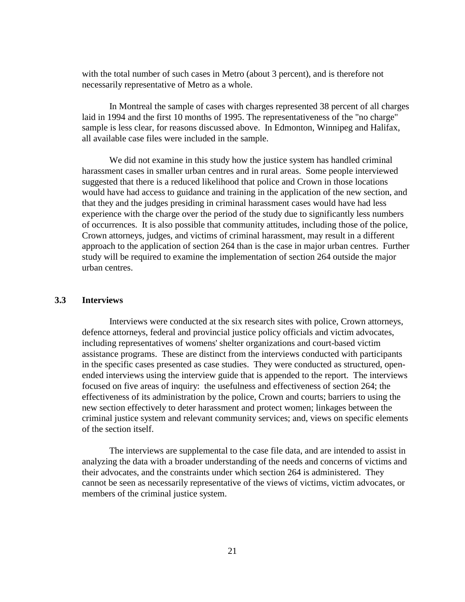with the total number of such cases in Metro (about 3 percent), and is therefore not necessarily representative of Metro as a whole.

In Montreal the sample of cases with charges represented 38 percent of all charges laid in 1994 and the first 10 months of 1995. The representativeness of the "no charge" sample is less clear, for reasons discussed above. In Edmonton, Winnipeg and Halifax, all available case files were included in the sample.

We did not examine in this study how the justice system has handled criminal harassment cases in smaller urban centres and in rural areas. Some people interviewed suggested that there is a reduced likelihood that police and Crown in those locations would have had access to guidance and training in the application of the new section, and that they and the judges presiding in criminal harassment cases would have had less experience with the charge over the period of the study due to significantly less numbers of occurrences. It is also possible that community attitudes, including those of the police, Crown attorneys, judges, and victims of criminal harassment, may result in a different approach to the application of section 264 than is the case in major urban centres. Further study will be required to examine the implementation of section 264 outside the major urban centres.

#### **3.3 Interviews**

Interviews were conducted at the six research sites with police, Crown attorneys, defence attorneys, federal and provincial justice policy officials and victim advocates, including representatives of womens' shelter organizations and court-based victim assistance programs. These are distinct from the interviews conducted with participants in the specific cases presented as case studies. They were conducted as structured, openended interviews using the interview guide that is appended to the report. The interviews focused on five areas of inquiry: the usefulness and effectiveness of section 264; the effectiveness of its administration by the police, Crown and courts; barriers to using the new section effectively to deter harassment and protect women; linkages between the criminal justice system and relevant community services; and, views on specific elements of the section itself.

The interviews are supplemental to the case file data, and are intended to assist in analyzing the data with a broader understanding of the needs and concerns of victims and their advocates, and the constraints under which section 264 is administered. They cannot be seen as necessarily representative of the views of victims, victim advocates, or members of the criminal justice system.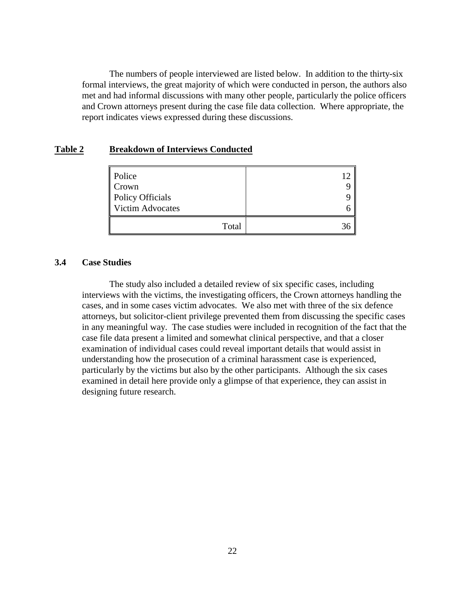<span id="page-31-0"></span>The numbers of people interviewed are listed below. In addition to the thirty-six formal interviews, the great majority of which were conducted in person, the authors also met and had informal discussions with many other people, particularly the police officers and Crown attorneys present during the case file data collection. Where appropriate, the report indicates views expressed during these discussions.

#### **Table 2 Breakdown of Interviews Conducted**

| Police                  |  |
|-------------------------|--|
| Crown                   |  |
| Policy Officials        |  |
| <b>Victim Advocates</b> |  |
| Total                   |  |

#### **3.4 Case Studies**

The study also included a detailed review of six specific cases, including interviews with the victims, the investigating officers, the Crown attorneys handling the cases, and in some cases victim advocates. We also met with three of the six defence attorneys, but solicitor-client privilege prevented them from discussing the specific cases in any meaningful way. The case studies were included in recognition of the fact that the case file data present a limited and somewhat clinical perspective, and that a closer examination of individual cases could reveal important details that would assist in understanding how the prosecution of a criminal harassment case is experienced, particularly by the victims but also by the other participants. Although the six cases examined in detail here provide only a glimpse of that experience, they can assist in designing future research.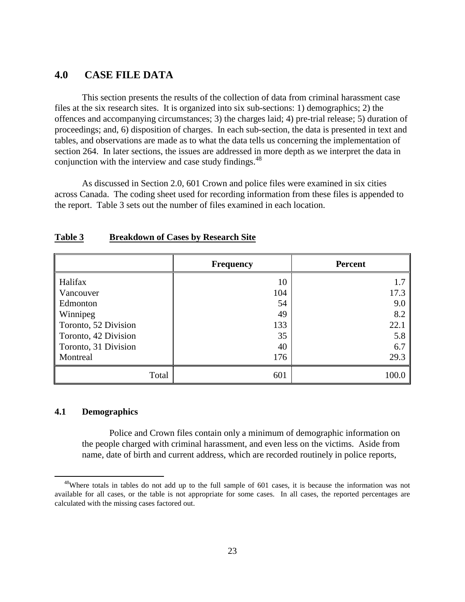## <span id="page-32-0"></span>**4.0 CASE FILE DATA**

This section presents the results of the collection of data from criminal harassment case files at the six research sites. It is organized into six sub-sections: 1) demographics; 2) the offences and accompanying circumstances; 3) the charges laid; 4) pre-trial release; 5) duration of proceedings; and, 6) disposition of charges. In each sub-section, the data is presented in text and tables, and observations are made as to what the data tells us concerning the implementation of section 264. In later sections, the issues are addressed in more depth as we interpret the data in conjunction with the interview and case study findings.<sup>48</sup>

As discussed in Section 2.0, 601 Crown and police files were examined in six cities across Canada. The coding sheet used for recording information from these files is appended to the report. Table 3 sets out the number of files examined in each location.

|                      | <b>Frequency</b> | <b>Percent</b> |
|----------------------|------------------|----------------|
| <b>Halifax</b>       | 10               | 1.7            |
| Vancouver            | 104              | 17.3           |
| Edmonton             | 54               | 9.0            |
| Winnipeg             | 49               | 8.2            |
| Toronto, 52 Division | 133              | 22.1           |
| Toronto, 42 Division | 35               | 5.8            |
| Toronto, 31 Division | 40               | 6.7            |
| Montreal             | 176              | 29.3           |
| Total                | 601              | 100.0          |

#### **Table 3 Breakdown of Cases by Research Site**

#### **4.1 Demographics**

 $\overline{a}$ 

Police and Crown files contain only a minimum of demographic information on the people charged with criminal harassment, and even less on the victims. Aside from name, date of birth and current address, which are recorded routinely in police reports,

<sup>&</sup>lt;sup>48</sup>Where totals in tables do not add up to the full sample of 601 cases, it is because the information was not available for all cases, or the table is not appropriate for some cases. In all cases, the reported percentages are calculated with the missing cases factored out.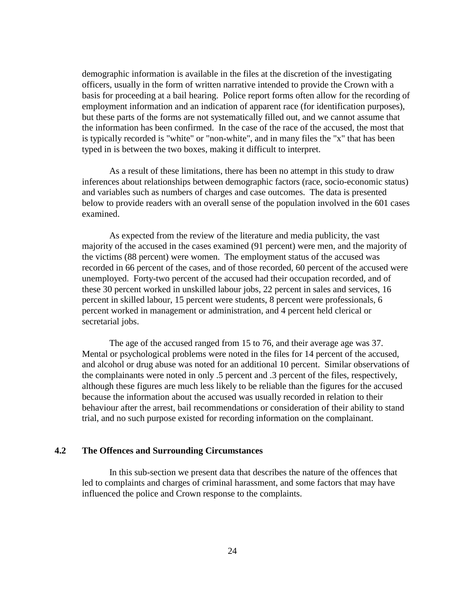demographic information is available in the files at the discretion of the investigating officers, usually in the form of written narrative intended to provide the Crown with a basis for proceeding at a bail hearing. Police report forms often allow for the recording of employment information and an indication of apparent race (for identification purposes), but these parts of the forms are not systematically filled out, and we cannot assume that the information has been confirmed. In the case of the race of the accused, the most that is typically recorded is "white" or "non-white", and in many files the "x" that has been typed in is between the two boxes, making it difficult to interpret.

As a result of these limitations, there has been no attempt in this study to draw inferences about relationships between demographic factors (race, socio-economic status) and variables such as numbers of charges and case outcomes. The data is presented below to provide readers with an overall sense of the population involved in the 601 cases examined.

As expected from the review of the literature and media publicity, the vast majority of the accused in the cases examined (91 percent) were men, and the majority of the victims (88 percent) were women. The employment status of the accused was recorded in 66 percent of the cases, and of those recorded, 60 percent of the accused were unemployed. Forty-two percent of the accused had their occupation recorded, and of these 30 percent worked in unskilled labour jobs, 22 percent in sales and services, 16 percent in skilled labour, 15 percent were students, 8 percent were professionals, 6 percent worked in management or administration, and 4 percent held clerical or secretarial jobs.

The age of the accused ranged from 15 to 76, and their average age was 37. Mental or psychological problems were noted in the files for 14 percent of the accused, and alcohol or drug abuse was noted for an additional 10 percent. Similar observations of the complainants were noted in only .5 percent and .3 percent of the files, respectively, although these figures are much less likely to be reliable than the figures for the accused because the information about the accused was usually recorded in relation to their behaviour after the arrest, bail recommendations or consideration of their ability to stand trial, and no such purpose existed for recording information on the complainant.

#### **4.2 The Offences and Surrounding Circumstances**

In this sub-section we present data that describes the nature of the offences that led to complaints and charges of criminal harassment, and some factors that may have influenced the police and Crown response to the complaints.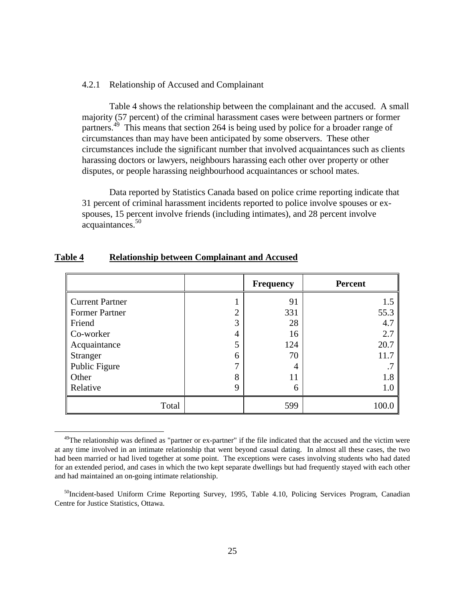#### <span id="page-34-0"></span>4.2.1 Relationship of Accused and Complainant

Table 4 shows the relationship between the complainant and the accused. A small majority (57 percent) of the criminal harassment cases were between partners or former partners.<sup>49</sup> This means that section 264 is being used by police for a broader range of circumstances than may have been anticipated by some observers. These other circumstances include the significant number that involved acquaintances such as clients harassing doctors or lawyers, neighbours harassing each other over property or other disputes, or people harassing neighbourhood acquaintances or school mates.

Data reported by Statistics Canada based on police crime reporting indicate that 31 percent of criminal harassment incidents reported to police involve spouses or exspouses, 15 percent involve friends (including intimates), and 28 percent involve acquaintances.<sup>50</sup>

|                        |   | <b>Frequency</b> | <b>Percent</b> |
|------------------------|---|------------------|----------------|
| <b>Current Partner</b> |   | 91               | 1.5            |
| <b>Former Partner</b>  | ി | 331              | 55.3           |
| Friend                 | 3 | 28               | 4.7            |
| Co-worker              | 4 | 16               | 2.7            |
| Acquaintance           | 5 | 124              | 20.7           |
| Stranger               | 6 | 70               | 11.7           |
| Public Figure          | ⇁ | 4                |                |
| Other                  | 8 | 11               | 1.8            |
| Relative               | 9 | 6                | 1.0            |
| Total                  |   | 599              | 100.0          |

#### **Table 4 Relationship between Complainant and Accused**

 $\overline{a}$ 

<sup>&</sup>lt;sup>49</sup>The relationship was defined as "partner or ex-partner" if the file indicated that the accused and the victim were at any time involved in an intimate relationship that went beyond casual dating. In almost all these cases, the two had been married or had lived together at some point. The exceptions were cases involving students who had dated for an extended period, and cases in which the two kept separate dwellings but had frequently stayed with each other and had maintained an on-going intimate relationship.

 $<sup>50</sup>$ Incident-based Uniform Crime Reporting Survey, 1995, Table 4.10, Policing Services Program, Canadian</sup> Centre for Justice Statistics, Ottawa.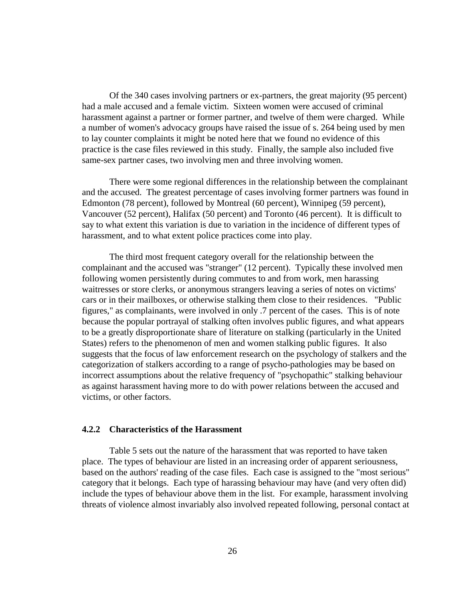Of the 340 cases involving partners or ex-partners, the great majority (95 percent) had a male accused and a female victim. Sixteen women were accused of criminal harassment against a partner or former partner, and twelve of them were charged. While a number of women's advocacy groups have raised the issue of s. 264 being used by men to lay counter complaints it might be noted here that we found no evidence of this practice is the case files reviewed in this study. Finally, the sample also included five same-sex partner cases, two involving men and three involving women.

There were some regional differences in the relationship between the complainant and the accused. The greatest percentage of cases involving former partners was found in Edmonton (78 percent), followed by Montreal (60 percent), Winnipeg (59 percent), Vancouver (52 percent), Halifax (50 percent) and Toronto (46 percent). It is difficult to say to what extent this variation is due to variation in the incidence of different types of harassment, and to what extent police practices come into play.

The third most frequent category overall for the relationship between the complainant and the accused was "stranger" (12 percent). Typically these involved men following women persistently during commutes to and from work, men harassing waitresses or store clerks, or anonymous strangers leaving a series of notes on victims' cars or in their mailboxes, or otherwise stalking them close to their residences. "Public figures," as complainants, were involved in only .7 percent of the cases. This is of note because the popular portrayal of stalking often involves public figures, and what appears to be a greatly disproportionate share of literature on stalking (particularly in the United States) refers to the phenomenon of men and women stalking public figures. It also suggests that the focus of law enforcement research on the psychology of stalkers and the categorization of stalkers according to a range of psycho-pathologies may be based on incorrect assumptions about the relative frequency of "psychopathic" stalking behaviour as against harassment having more to do with power relations between the accused and victims, or other factors.

#### **4.2.2 Characteristics of the Harassment**

Table 5 sets out the nature of the harassment that was reported to have taken place. The types of behaviour are listed in an increasing order of apparent seriousness, based on the authors' reading of the case files. Each case is assigned to the "most serious" category that it belongs. Each type of harassing behaviour may have (and very often did) include the types of behaviour above them in the list. For example, harassment involving threats of violence almost invariably also involved repeated following, personal contact at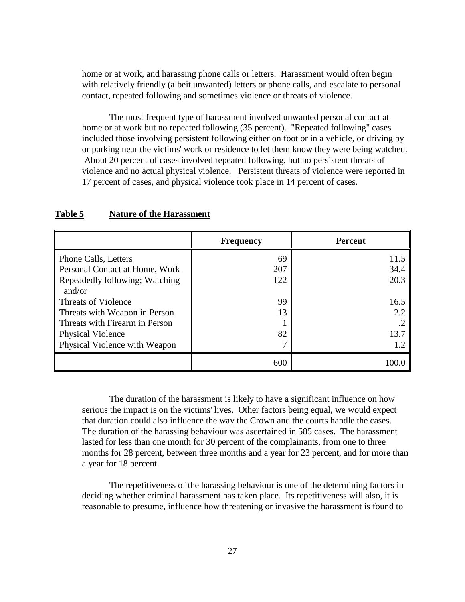home or at work, and harassing phone calls or letters. Harassment would often begin with relatively friendly (albeit unwanted) letters or phone calls, and escalate to personal contact, repeated following and sometimes violence or threats of violence.

The most frequent type of harassment involved unwanted personal contact at home or at work but no repeated following (35 percent). "Repeated following" cases included those involving persistent following either on foot or in a vehicle, or driving by or parking near the victims' work or residence to let them know they were being watched. About 20 percent of cases involved repeated following, but no persistent threats of violence and no actual physical violence. Persistent threats of violence were reported in 17 percent of cases, and physical violence took place in 14 percent of cases.

|                                | <b>Frequency</b> | <b>Percent</b> |
|--------------------------------|------------------|----------------|
| Phone Calls, Letters           | 69               | 11.5           |
| Personal Contact at Home, Work | 207              | 34.4           |
| Repeadedly following; Watching | 122              | 20.3           |
| and/or                         |                  |                |
| Threats of Violence            | 99               | 16.5           |
| Threats with Weapon in Person  | 13               | 2.2            |
| Threats with Firearm in Person |                  |                |
| <b>Physical Violence</b>       | 82               | 13.7           |
| Physical Violence with Weapon  | 7                | 1.2            |
|                                | 600              | 100.0          |

### **Table 5 Nature of the Harassment**

The duration of the harassment is likely to have a significant influence on how serious the impact is on the victims' lives. Other factors being equal, we would expect that duration could also influence the way the Crown and the courts handle the cases. The duration of the harassing behaviour was ascertained in 585 cases. The harassment lasted for less than one month for 30 percent of the complainants, from one to three months for 28 percent, between three months and a year for 23 percent, and for more than a year for 18 percent.

The repetitiveness of the harassing behaviour is one of the determining factors in deciding whether criminal harassment has taken place. Its repetitiveness will also, it is reasonable to presume, influence how threatening or invasive the harassment is found to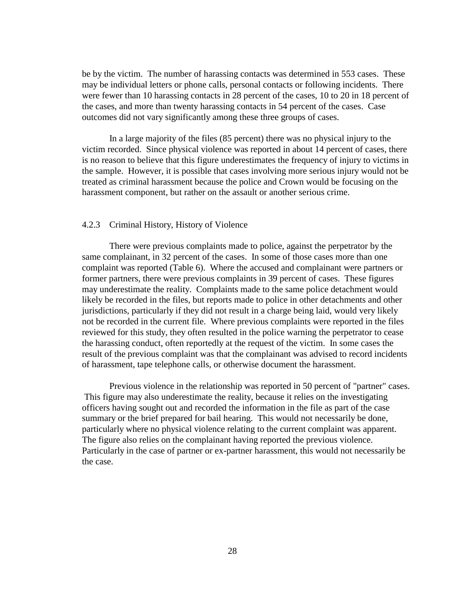be by the victim. The number of harassing contacts was determined in 553 cases. These may be individual letters or phone calls, personal contacts or following incidents. There were fewer than 10 harassing contacts in 28 percent of the cases, 10 to 20 in 18 percent of the cases, and more than twenty harassing contacts in 54 percent of the cases. Case outcomes did not vary significantly among these three groups of cases.

In a large majority of the files (85 percent) there was no physical injury to the victim recorded. Since physical violence was reported in about 14 percent of cases, there is no reason to believe that this figure underestimates the frequency of injury to victims in the sample. However, it is possible that cases involving more serious injury would not be treated as criminal harassment because the police and Crown would be focusing on the harassment component, but rather on the assault or another serious crime.

#### 4.2.3 Criminal History, History of Violence

There were previous complaints made to police, against the perpetrator by the same complainant, in 32 percent of the cases. In some of those cases more than one complaint was reported (Table 6). Where the accused and complainant were partners or former partners, there were previous complaints in 39 percent of cases. These figures may underestimate the reality. Complaints made to the same police detachment would likely be recorded in the files, but reports made to police in other detachments and other jurisdictions, particularly if they did not result in a charge being laid, would very likely not be recorded in the current file. Where previous complaints were reported in the files reviewed for this study, they often resulted in the police warning the perpetrator to cease the harassing conduct, often reportedly at the request of the victim. In some cases the result of the previous complaint was that the complainant was advised to record incidents of harassment, tape telephone calls, or otherwise document the harassment.

Previous violence in the relationship was reported in 50 percent of "partner" cases. This figure may also underestimate the reality, because it relies on the investigating officers having sought out and recorded the information in the file as part of the case summary or the brief prepared for bail hearing. This would not necessarily be done, particularly where no physical violence relating to the current complaint was apparent. The figure also relies on the complainant having reported the previous violence. Particularly in the case of partner or ex-partner harassment, this would not necessarily be the case.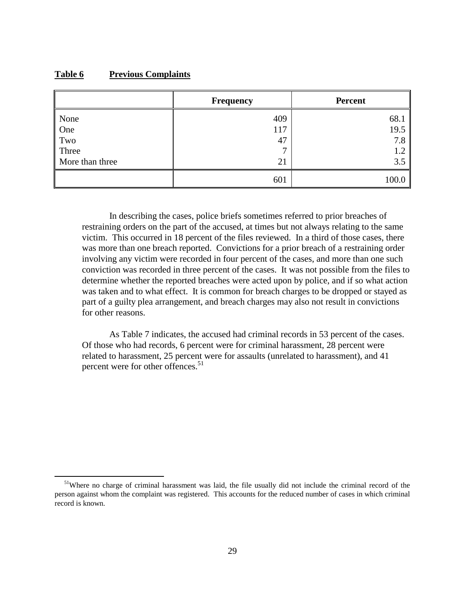## **Table 6 Previous Complaints**

 $\overline{a}$ 

|                 | <b>Frequency</b> | <b>Percent</b> |
|-----------------|------------------|----------------|
| None            | 409              | 68.1           |
| One             | 117              | 19.5           |
| Two             | 47               | 7.8            |
| Three           | ⇁                | 1.2            |
| More than three | 21               | 3.5            |
|                 | 601              | 100.0          |

In describing the cases, police briefs sometimes referred to prior breaches of restraining orders on the part of the accused, at times but not always relating to the same victim. This occurred in 18 percent of the files reviewed. In a third of those cases, there was more than one breach reported. Convictions for a prior breach of a restraining order involving any victim were recorded in four percent of the cases, and more than one such conviction was recorded in three percent of the cases. It was not possible from the files to determine whether the reported breaches were acted upon by police, and if so what action was taken and to what effect. It is common for breach charges to be dropped or stayed as part of a guilty plea arrangement, and breach charges may also not result in convictions for other reasons.

As Table 7 indicates, the accused had criminal records in 53 percent of the cases. Of those who had records, 6 percent were for criminal harassment, 28 percent were related to harassment, 25 percent were for assaults (unrelated to harassment), and 41 percent were for other offences.<sup>51</sup>

<sup>&</sup>lt;sup>51</sup>Where no charge of criminal harassment was laid, the file usually did not include the criminal record of the person against whom the complaint was registered. This accounts for the reduced number of cases in which criminal record is known.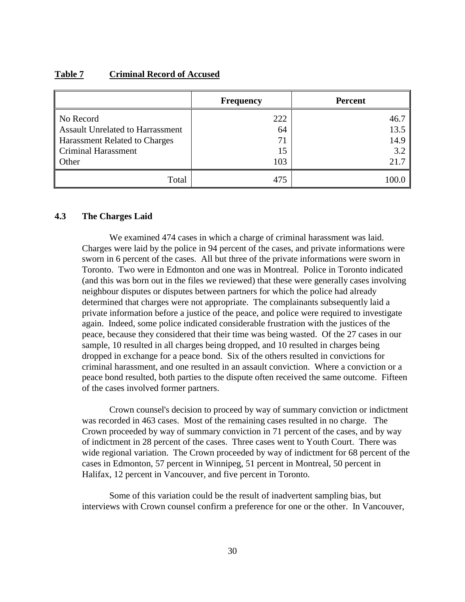### **Table 7 Criminal Record of Accused**

|                                  | <b>Frequency</b> | <b>Percent</b> |
|----------------------------------|------------------|----------------|
| No Record                        | 222              | 46.7           |
| Assault Unrelated to Harrassment | 64               | 13.5           |
| Harassment Related to Charges    | 71               | 14.9           |
| Criminal Harassment              | 15               | 3.2            |
| <b>Other</b>                     | 103              | 21.7           |
| Total                            | 475              | 100.0          |

## **4.3 The Charges Laid**

We examined 474 cases in which a charge of criminal harassment was laid. Charges were laid by the police in 94 percent of the cases, and private informations were sworn in 6 percent of the cases. All but three of the private informations were sworn in Toronto. Two were in Edmonton and one was in Montreal. Police in Toronto indicated (and this was born out in the files we reviewed) that these were generally cases involving neighbour disputes or disputes between partners for which the police had already determined that charges were not appropriate. The complainants subsequently laid a private information before a justice of the peace, and police were required to investigate again. Indeed, some police indicated considerable frustration with the justices of the peace, because they considered that their time was being wasted. Of the 27 cases in our sample, 10 resulted in all charges being dropped, and 10 resulted in charges being dropped in exchange for a peace bond. Six of the others resulted in convictions for criminal harassment, and one resulted in an assault conviction. Where a conviction or a peace bond resulted, both parties to the dispute often received the same outcome. Fifteen of the cases involved former partners.

Crown counsel's decision to proceed by way of summary conviction or indictment was recorded in 463 cases. Most of the remaining cases resulted in no charge. The Crown proceeded by way of summary conviction in 71 percent of the cases, and by way of indictment in 28 percent of the cases. Three cases went to Youth Court. There was wide regional variation. The Crown proceeded by way of indictment for 68 percent of the cases in Edmonton, 57 percent in Winnipeg, 51 percent in Montreal, 50 percent in Halifax, 12 percent in Vancouver, and five percent in Toronto.

Some of this variation could be the result of inadvertent sampling bias, but interviews with Crown counsel confirm a preference for one or the other. In Vancouver,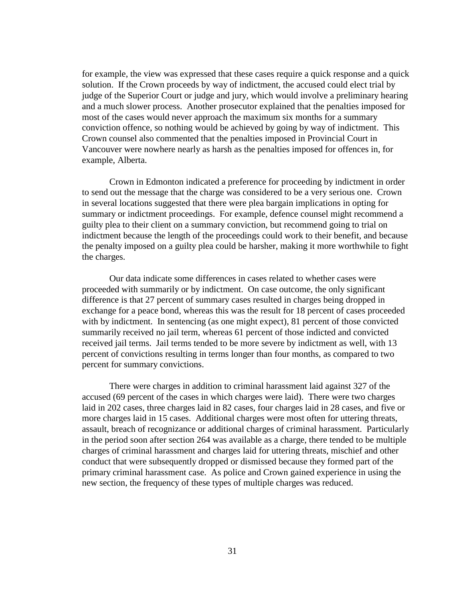for example, the view was expressed that these cases require a quick response and a quick solution. If the Crown proceeds by way of indictment, the accused could elect trial by judge of the Superior Court or judge and jury, which would involve a preliminary hearing and a much slower process. Another prosecutor explained that the penalties imposed for most of the cases would never approach the maximum six months for a summary conviction offence, so nothing would be achieved by going by way of indictment. This Crown counsel also commented that the penalties imposed in Provincial Court in Vancouver were nowhere nearly as harsh as the penalties imposed for offences in, for example, Alberta.

Crown in Edmonton indicated a preference for proceeding by indictment in order to send out the message that the charge was considered to be a very serious one. Crown in several locations suggested that there were plea bargain implications in opting for summary or indictment proceedings. For example, defence counsel might recommend a guilty plea to their client on a summary conviction, but recommend going to trial on indictment because the length of the proceedings could work to their benefit, and because the penalty imposed on a guilty plea could be harsher, making it more worthwhile to fight the charges.

Our data indicate some differences in cases related to whether cases were proceeded with summarily or by indictment. On case outcome, the only significant difference is that 27 percent of summary cases resulted in charges being dropped in exchange for a peace bond, whereas this was the result for 18 percent of cases proceeded with by indictment. In sentencing (as one might expect), 81 percent of those convicted summarily received no jail term, whereas 61 percent of those indicted and convicted received jail terms. Jail terms tended to be more severe by indictment as well, with 13 percent of convictions resulting in terms longer than four months, as compared to two percent for summary convictions.

There were charges in addition to criminal harassment laid against 327 of the accused (69 percent of the cases in which charges were laid). There were two charges laid in 202 cases, three charges laid in 82 cases, four charges laid in 28 cases, and five or more charges laid in 15 cases. Additional charges were most often for uttering threats, assault, breach of recognizance or additional charges of criminal harassment. Particularly in the period soon after section 264 was available as a charge, there tended to be multiple charges of criminal harassment and charges laid for uttering threats, mischief and other conduct that were subsequently dropped or dismissed because they formed part of the primary criminal harassment case. As police and Crown gained experience in using the new section, the frequency of these types of multiple charges was reduced.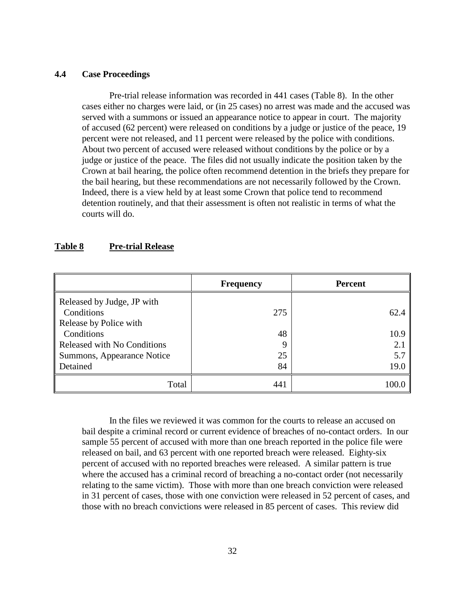### **4.4 Case Proceedings**

Pre-trial release information was recorded in 441 cases (Table 8). In the other cases either no charges were laid, or (in 25 cases) no arrest was made and the accused was served with a summons or issued an appearance notice to appear in court. The majority of accused (62 percent) were released on conditions by a judge or justice of the peace, 19 percent were not released, and 11 percent were released by the police with conditions. About two percent of accused were released without conditions by the police or by a judge or justice of the peace. The files did not usually indicate the position taken by the Crown at bail hearing, the police often recommend detention in the briefs they prepare for the bail hearing, but these recommendations are not necessarily followed by the Crown. Indeed, there is a view held by at least some Crown that police tend to recommend detention routinely, and that their assessment is often not realistic in terms of what the courts will do.

### **Table 8 Pre-trial Release**

| <b>Frequency</b>                         |     | <b>Percent</b> |  |
|------------------------------------------|-----|----------------|--|
| Released by Judge, JP with<br>Conditions | 275 | 62.4           |  |
| Release by Police with                   |     |                |  |
| Conditions                               | 48  | 10.9           |  |
| Released with No Conditions              | 9   | 2.1            |  |
| Summons, Appearance Notice               | 25  | 5.7            |  |
| Detained                                 | 84  | 19.0           |  |
| Total                                    | 441 | 100.0          |  |

In the files we reviewed it was common for the courts to release an accused on bail despite a criminal record or current evidence of breaches of no-contact orders. In our sample 55 percent of accused with more than one breach reported in the police file were released on bail, and 63 percent with one reported breach were released. Eighty-six percent of accused with no reported breaches were released. A similar pattern is true where the accused has a criminal record of breaching a no-contact order (not necessarily relating to the same victim). Those with more than one breach conviction were released in 31 percent of cases, those with one conviction were released in 52 percent of cases, and those with no breach convictions were released in 85 percent of cases. This review did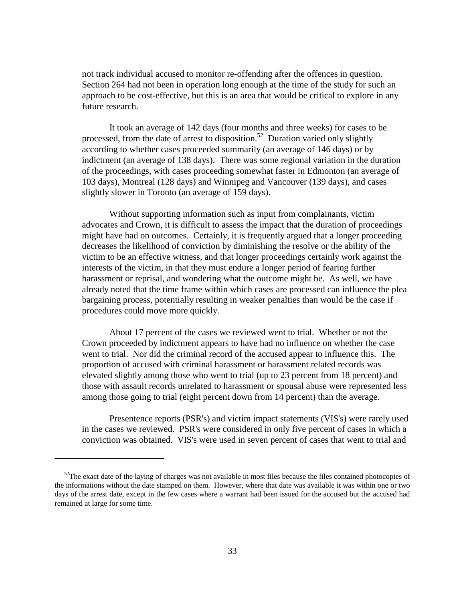not track individual accused to monitor re-offending after the offences in question. Section 264 had not been in operation long enough at the time of the study for such an approach to be cost-effective, but this is an area that would be critical to explore in any future research.

It took an average of 142 days (four months and three weeks) for cases to be processed, from the date of arrest to disposition.<sup>52</sup> Duration varied only slightly according to whether cases proceeded summarily (an average of 146 days) or by indictment (an average of 138 days). There was some regional variation in the duration of the proceedings, with cases proceeding somewhat faster in Edmonton (an average of 103 days), Montreal (128 days) and Winnipeg and Vancouver (139 days), and cases slightly slower in Toronto (an average of 159 days).

Without supporting information such as input from complainants, victim advocates and Crown, it is difficult to assess the impact that the duration of proceedings might have had on outcomes. Certainly, it is frequently argued that a longer proceeding decreases the likelihood of conviction by diminishing the resolve or the ability of the victim to be an effective witness, and that longer proceedings certainly work against the interests of the victim, in that they must endure a longer period of fearing further harassment or reprisal, and wondering what the outcome might be. As well, we have already noted that the time frame within which cases are processed can influence the plea bargaining process, potentially resulting in weaker penalties than would be the case if procedures could move more quickly.

About 17 percent of the cases we reviewed went to trial. Whether or not the Crown proceeded by indictment appears to have had no influence on whether the case went to trial. Nor did the criminal record of the accused appear to influence this. The proportion of accused with criminal harassment or harassment related records was elevated slightly among those who went to trial (up to 23 percent from 18 percent) and those with assault records unrelated to harassment or spousal abuse were represented less among those going to trial (eight percent down from 14 percent) than the average.

Presentence reports (PSR's) and victim impact statements (VIS's) were rarely used in the cases we reviewed. PSR's were considered in only five percent of cases in which a conviction was obtained. VIS's were used in seven percent of cases that went to trial and

 $\overline{a}$ 

 $52$ The exact date of the laying of charges was not available in most files because the files contained photocopies of the informations without the date stamped on them. However, where that date was available it was within one or two days of the arrest date, except in the few cases where a warrant had been issued for the accused but the accused had remained at large for some time.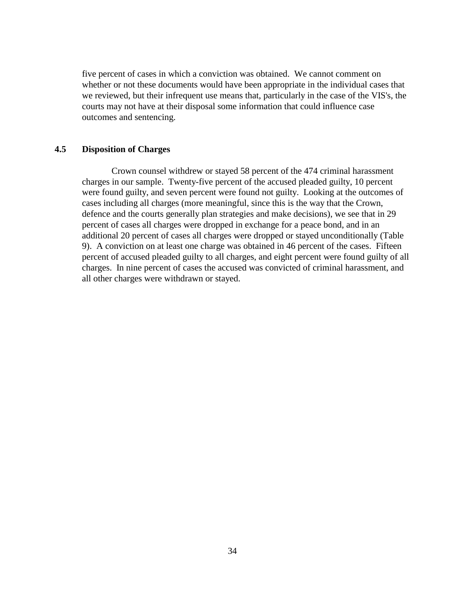five percent of cases in which a conviction was obtained. We cannot comment on whether or not these documents would have been appropriate in the individual cases that we reviewed, but their infrequent use means that, particularly in the case of the VIS's, the courts may not have at their disposal some information that could influence case outcomes and sentencing.

### **4.5 Disposition of Charges**

 Crown counsel withdrew or stayed 58 percent of the 474 criminal harassment charges in our sample. Twenty-five percent of the accused pleaded guilty, 10 percent were found guilty, and seven percent were found not guilty. Looking at the outcomes of cases including all charges (more meaningful, since this is the way that the Crown, defence and the courts generally plan strategies and make decisions), we see that in 29 percent of cases all charges were dropped in exchange for a peace bond, and in an additional 20 percent of cases all charges were dropped or stayed unconditionally (Table 9). A conviction on at least one charge was obtained in 46 percent of the cases. Fifteen percent of accused pleaded guilty to all charges, and eight percent were found guilty of all charges. In nine percent of cases the accused was convicted of criminal harassment, and all other charges were withdrawn or stayed.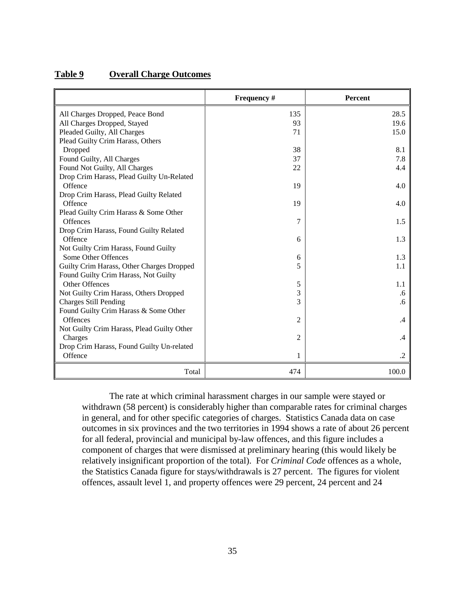| Table 9 | <b>Overall Charge Outcomes</b> |  |
|---------|--------------------------------|--|
|         |                                |  |

|                                            | Frequency #    | Percent   |
|--------------------------------------------|----------------|-----------|
| All Charges Dropped, Peace Bond            | 135            | 28.5      |
| All Charges Dropped, Stayed                | 93             | 19.6      |
| Pleaded Guilty, All Charges                | 71             | 15.0      |
| Plead Guilty Crim Harass, Others           |                |           |
| Dropped                                    | 38             | 8.1       |
| Found Guilty, All Charges                  | 37             | 7.8       |
| Found Not Guilty, All Charges              | 22             | 4.4       |
| Drop Crim Harass, Plead Guilty Un-Related  |                |           |
| Offence                                    | 19             | 4.0       |
| Drop Crim Harass, Plead Guilty Related     |                |           |
| Offence                                    | 19             | 4.0       |
| Plead Guilty Crim Harass & Some Other      |                |           |
| <b>Offences</b>                            | 7              | 1.5       |
| Drop Crim Harass, Found Guilty Related     |                |           |
| Offence                                    | 6              | 1.3       |
| Not Guilty Crim Harass, Found Guilty       |                |           |
| Some Other Offences                        | 6              | 1.3       |
| Guilty Crim Harass, Other Charges Dropped  | 5              | 1.1       |
| Found Guilty Crim Harass, Not Guilty       |                |           |
| Other Offences                             | 5              | 1.1       |
| Not Guilty Crim Harass, Others Dropped     | 3              | .6        |
| <b>Charges Still Pending</b>               | 3              | $.6 \,$   |
| Found Guilty Crim Harass & Some Other      |                |           |
| Offences                                   | 2              | $\cdot$   |
| Not Guilty Crim Harass, Plead Guilty Other |                |           |
| Charges                                    | $\overline{c}$ | .4        |
| Drop Crim Harass, Found Guilty Un-related  |                |           |
| Offence                                    | 1              | $\cdot$ 2 |
| Total                                      | 474            | 100.0     |

The rate at which criminal harassment charges in our sample were stayed or withdrawn (58 percent) is considerably higher than comparable rates for criminal charges in general, and for other specific categories of charges. Statistics Canada data on case outcomes in six provinces and the two territories in 1994 shows a rate of about 26 percent for all federal, provincial and municipal by-law offences, and this figure includes a component of charges that were dismissed at preliminary hearing (this would likely be relatively insignificant proportion of the total). For *Criminal Code* offences as a whole, the Statistics Canada figure for stays/withdrawals is 27 percent. The figures for violent offences, assault level 1, and property offences were 29 percent, 24 percent and 24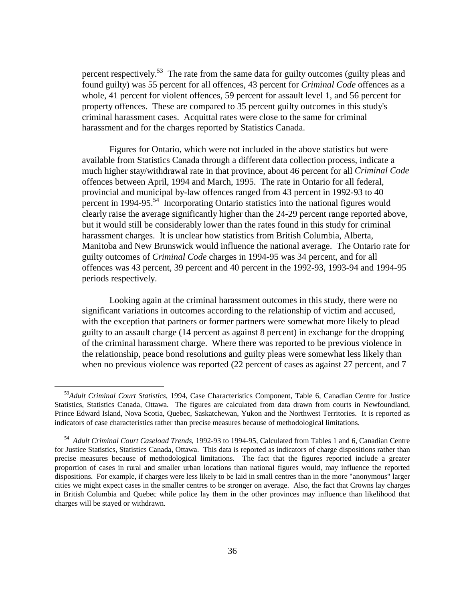percent respectively.<sup>53</sup> The rate from the same data for guilty outcomes (guilty pleas and found guilty) was 55 percent for all offences, 43 percent for *Criminal Code* offences as a whole, 41 percent for violent offences, 59 percent for assault level 1, and 56 percent for property offences. These are compared to 35 percent guilty outcomes in this study's criminal harassment cases. Acquittal rates were close to the same for criminal harassment and for the charges reported by Statistics Canada.

Figures for Ontario, which were not included in the above statistics but were available from Statistics Canada through a different data collection process, indicate a much higher stay/withdrawal rate in that province, about 46 percent for all *Criminal Code* offences between April, 1994 and March, 1995. The rate in Ontario for all federal, provincial and municipal by-law offences ranged from 43 percent in 1992-93 to 40 percent in 1994-95.54 Incorporating Ontario statistics into the national figures would clearly raise the average significantly higher than the 24-29 percent range reported above, but it would still be considerably lower than the rates found in this study for criminal harassment charges. It is unclear how statistics from British Columbia, Alberta, Manitoba and New Brunswick would influence the national average. The Ontario rate for guilty outcomes of *Criminal Code* charges in 1994-95 was 34 percent, and for all offences was 43 percent, 39 percent and 40 percent in the 1992-93, 1993-94 and 1994-95 periods respectively.

Looking again at the criminal harassment outcomes in this study, there were no significant variations in outcomes according to the relationship of victim and accused, with the exception that partners or former partners were somewhat more likely to plead guilty to an assault charge (14 percent as against 8 percent) in exchange for the dropping of the criminal harassment charge. Where there was reported to be previous violence in the relationship, peace bond resolutions and guilty pleas were somewhat less likely than when no previous violence was reported (22 percent of cases as against 27 percent, and 7

 $\overline{a}$ 

<sup>53</sup>*Adult Criminal Court Statistics*, 1994, Case Characteristics Component, Table 6, Canadian Centre for Justice Statistics, Statistics Canada, Ottawa. The figures are calculated from data drawn from courts in Newfoundland, Prince Edward Island, Nova Scotia, Quebec, Saskatchewan, Yukon and the Northwest Territories. It is reported as indicators of case characteristics rather than precise measures because of methodological limitations.

54 *Adult Criminal Court Caseload Trends*, 1992-93 to 1994-95, Calculated from Tables 1 and 6, Canadian Centre for Justice Statistics, Statistics Canada, Ottawa. This data is reported as indicators of charge dispositions rather than precise measures because of methodological limitations. The fact that the figures reported include a greater proportion of cases in rural and smaller urban locations than national figures would, may influence the reported dispositions. For example, if charges were less likely to be laid in small centres than in the more "anonymous" larger cities we might expect cases in the smaller centres to be stronger on average. Also, the fact that Crowns lay charges in British Columbia and Quebec while police lay them in the other provinces may influence than likelihood that charges will be stayed or withdrawn.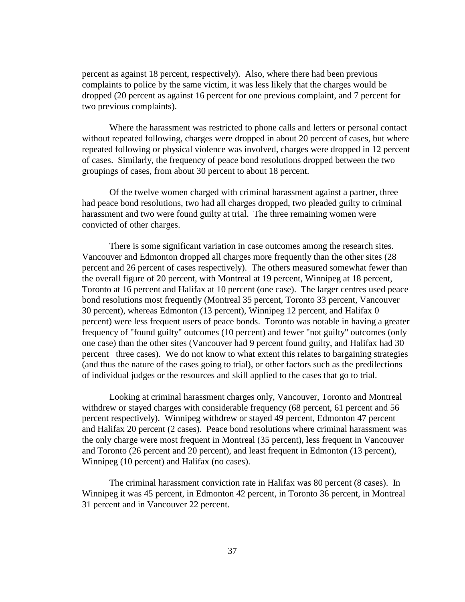percent as against 18 percent, respectively). Also, where there had been previous complaints to police by the same victim, it was less likely that the charges would be dropped (20 percent as against 16 percent for one previous complaint, and 7 percent for two previous complaints).

Where the harassment was restricted to phone calls and letters or personal contact without repeated following, charges were dropped in about 20 percent of cases, but where repeated following or physical violence was involved, charges were dropped in 12 percent of cases. Similarly, the frequency of peace bond resolutions dropped between the two groupings of cases, from about 30 percent to about 18 percent.

Of the twelve women charged with criminal harassment against a partner, three had peace bond resolutions, two had all charges dropped, two pleaded guilty to criminal harassment and two were found guilty at trial. The three remaining women were convicted of other charges.

There is some significant variation in case outcomes among the research sites. Vancouver and Edmonton dropped all charges more frequently than the other sites (28 percent and 26 percent of cases respectively). The others measured somewhat fewer than the overall figure of 20 percent, with Montreal at 19 percent, Winnipeg at 18 percent, Toronto at 16 percent and Halifax at 10 percent (one case). The larger centres used peace bond resolutions most frequently (Montreal 35 percent, Toronto 33 percent, Vancouver 30 percent), whereas Edmonton (13 percent), Winnipeg 12 percent, and Halifax 0 percent) were less frequent users of peace bonds. Toronto was notable in having a greater frequency of "found guilty" outcomes (10 percent) and fewer "not guilty" outcomes (only one case) than the other sites (Vancouver had 9 percent found guilty, and Halifax had 30 percent three cases). We do not know to what extent this relates to bargaining strategies (and thus the nature of the cases going to trial), or other factors such as the predilections of individual judges or the resources and skill applied to the cases that go to trial.

Looking at criminal harassment charges only, Vancouver, Toronto and Montreal withdrew or stayed charges with considerable frequency (68 percent, 61 percent and 56 percent respectively). Winnipeg withdrew or stayed 49 percent, Edmonton 47 percent and Halifax 20 percent (2 cases). Peace bond resolutions where criminal harassment was the only charge were most frequent in Montreal (35 percent), less frequent in Vancouver and Toronto (26 percent and 20 percent), and least frequent in Edmonton (13 percent), Winnipeg (10 percent) and Halifax (no cases).

The criminal harassment conviction rate in Halifax was 80 percent (8 cases). In Winnipeg it was 45 percent, in Edmonton 42 percent, in Toronto 36 percent, in Montreal 31 percent and in Vancouver 22 percent.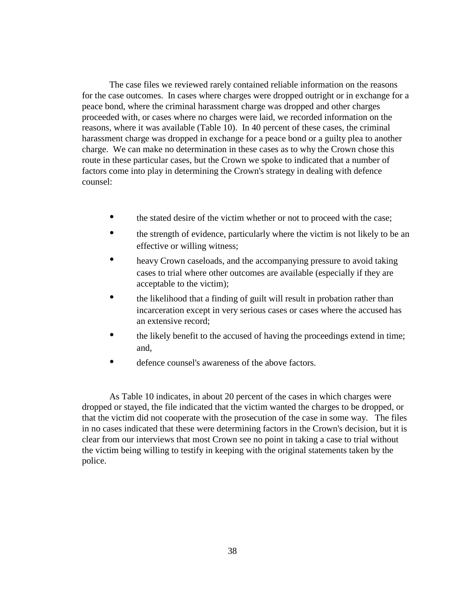The case files we reviewed rarely contained reliable information on the reasons for the case outcomes. In cases where charges were dropped outright or in exchange for a peace bond, where the criminal harassment charge was dropped and other charges proceeded with, or cases where no charges were laid, we recorded information on the reasons, where it was available (Table 10). In 40 percent of these cases, the criminal harassment charge was dropped in exchange for a peace bond or a guilty plea to another charge. We can make no determination in these cases as to why the Crown chose this route in these particular cases, but the Crown we spoke to indicated that a number of factors come into play in determining the Crown's strategy in dealing with defence counsel:

- the stated desire of the victim whether or not to proceed with the case;
- the strength of evidence, particularly where the victim is not likely to be an effective or willing witness;
- heavy Crown caseloads, and the accompanying pressure to avoid taking cases to trial where other outcomes are available (especially if they are acceptable to the victim);
- the likelihood that a finding of guilt will result in probation rather than incarceration except in very serious cases or cases where the accused has an extensive record;
- the likely benefit to the accused of having the proceedings extend in time; and,
- defence counsel's awareness of the above factors.

As Table 10 indicates, in about 20 percent of the cases in which charges were dropped or stayed, the file indicated that the victim wanted the charges to be dropped, or that the victim did not cooperate with the prosecution of the case in some way. The files in no cases indicated that these were determining factors in the Crown's decision, but it is clear from our interviews that most Crown see no point in taking a case to trial without the victim being willing to testify in keeping with the original statements taken by the police.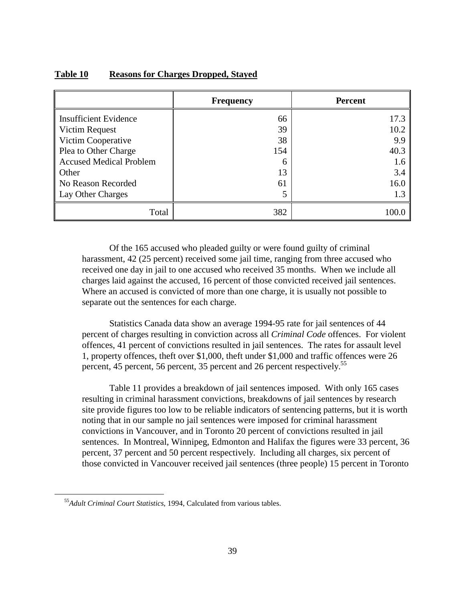|                                | <b>Frequency</b> | <b>Percent</b> |
|--------------------------------|------------------|----------------|
| <b>Insufficient Evidence</b>   | 66               | 17.3           |
| Victim Request                 | 39               | 10.2           |
| Victim Cooperative             | 38               | 9.9            |
| Plea to Other Charge           | 154              | 40.3           |
| <b>Accused Medical Problem</b> | 6                | 1.6            |
| Other                          | 13               | 3.4            |
| No Reason Recorded             | 61               | 16.0           |
| Lay Other Charges              | 5                |                |
| Total                          | 382              |                |

### **Table 10 Reasons for Charges Dropped, Stayed**

Of the 165 accused who pleaded guilty or were found guilty of criminal harassment, 42 (25 percent) received some jail time, ranging from three accused who received one day in jail to one accused who received 35 months. When we include all charges laid against the accused, 16 percent of those convicted received jail sentences. Where an accused is convicted of more than one charge, it is usually not possible to separate out the sentences for each charge.

Statistics Canada data show an average 1994-95 rate for jail sentences of 44 percent of charges resulting in conviction across all *Criminal Code* offences. For violent offences, 41 percent of convictions resulted in jail sentences. The rates for assault level 1, property offences, theft over \$1,000, theft under \$1,000 and traffic offences were 26 percent, 45 percent, 56 percent, 35 percent and 26 percent respectively.<sup>55</sup>

Table 11 provides a breakdown of jail sentences imposed. With only 165 cases resulting in criminal harassment convictions, breakdowns of jail sentences by research site provide figures too low to be reliable indicators of sentencing patterns, but it is worth noting that in our sample no jail sentences were imposed for criminal harassment convictions in Vancouver, and in Toronto 20 percent of convictions resulted in jail sentences. In Montreal, Winnipeg, Edmonton and Halifax the figures were 33 percent, 36 percent, 37 percent and 50 percent respectively. Including all charges, six percent of those convicted in Vancouver received jail sentences (three people) 15 percent in Toronto

 $\overline{a}$ 

<sup>55</sup>*Adult Criminal Court Statistics*, 1994, Calculated from various tables.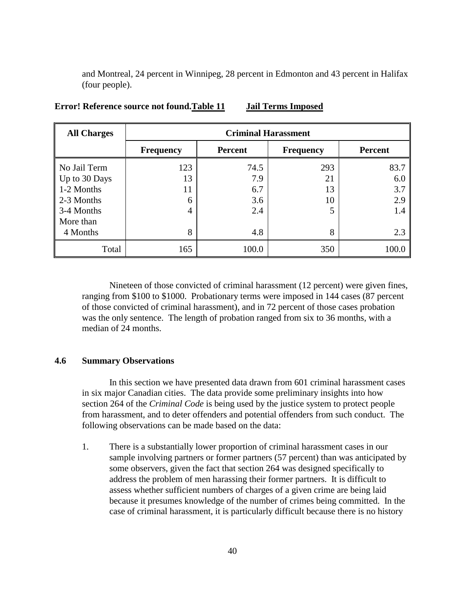and Montreal, 24 percent in Winnipeg, 28 percent in Edmonton and 43 percent in Halifax (four people).

| <b>All Charges</b> | <b>Criminal Harassment</b> |                |                  |                |
|--------------------|----------------------------|----------------|------------------|----------------|
|                    | <b>Frequency</b>           | <b>Percent</b> | <b>Frequency</b> | <b>Percent</b> |
| No Jail Term       | 123                        | 74.5           | 293              | 83.7           |
| Up to 30 Days      | 13                         | 7.9            | 21               | 6.0            |
| 1-2 Months         | 11                         | 6.7            | 13               | 3.7            |
| 2-3 Months         | 6                          | 3.6            | 10               | 2.9            |
| 3-4 Months         | 4                          | 2.4            | 5                | 1.4            |
| More than          |                            |                |                  |                |
| 4 Months           | 8                          | 4.8            | 8                | 2.3            |
| Total              | 165                        | 100.0          | 350              | 100.0          |

**[Error! Reference source not found.T](#page-10-0)able 11 Jail Terms Imposed**

Nineteen of those convicted of criminal harassment (12 percent) were given fines, ranging from \$100 to \$1000. Probationary terms were imposed in 144 cases (87 percent of those convicted of criminal harassment), and in 72 percent of those cases probation was the only sentence. The length of probation ranged from six to 36 months, with a median of 24 months.

# **4.6 Summary Observations**

In this section we have presented data drawn from 601 criminal harassment cases in six major Canadian cities. The data provide some preliminary insights into how section 264 of the *Criminal Code* is being used by the justice system to protect people from harassment, and to deter offenders and potential offenders from such conduct. The following observations can be made based on the data:

1. There is a substantially lower proportion of criminal harassment cases in our sample involving partners or former partners (57 percent) than was anticipated by some observers, given the fact that section 264 was designed specifically to address the problem of men harassing their former partners. It is difficult to assess whether sufficient numbers of charges of a given crime are being laid because it presumes knowledge of the number of crimes being committed. In the case of criminal harassment, it is particularly difficult because there is no history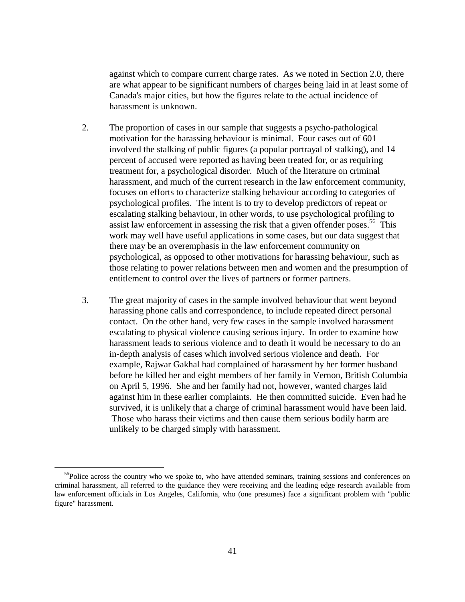against which to compare current charge rates. As we noted in Section 2.0, there are what appear to be significant numbers of charges being laid in at least some of Canada's major cities, but how the figures relate to the actual incidence of harassment is unknown.

- 2. The proportion of cases in our sample that suggests a psycho-pathological motivation for the harassing behaviour is minimal. Four cases out of 601 involved the stalking of public figures (a popular portrayal of stalking), and 14 percent of accused were reported as having been treated for, or as requiring treatment for, a psychological disorder. Much of the literature on criminal harassment, and much of the current research in the law enforcement community, focuses on efforts to characterize stalking behaviour according to categories of psychological profiles. The intent is to try to develop predictors of repeat or escalating stalking behaviour, in other words, to use psychological profiling to assist law enforcement in assessing the risk that a given offender poses.<sup>56</sup> This work may well have useful applications in some cases, but our data suggest that there may be an overemphasis in the law enforcement community on psychological, as opposed to other motivations for harassing behaviour, such as those relating to power relations between men and women and the presumption of entitlement to control over the lives of partners or former partners.
- 3. The great majority of cases in the sample involved behaviour that went beyond harassing phone calls and correspondence, to include repeated direct personal contact. On the other hand, very few cases in the sample involved harassment escalating to physical violence causing serious injury. In order to examine how harassment leads to serious violence and to death it would be necessary to do an in-depth analysis of cases which involved serious violence and death. For example, Rajwar Gakhal had complained of harassment by her former husband before he killed her and eight members of her family in Vernon, British Columbia on April 5, 1996. She and her family had not, however, wanted charges laid against him in these earlier complaints. He then committed suicide. Even had he survived, it is unlikely that a charge of criminal harassment would have been laid. Those who harass their victims and then cause them serious bodily harm are unlikely to be charged simply with harassment.

 $\overline{a}$ 

<sup>&</sup>lt;sup>56</sup>Police across the country who we spoke to, who have attended seminars, training sessions and conferences on criminal harassment, all referred to the guidance they were receiving and the leading edge research available from law enforcement officials in Los Angeles, California, who (one presumes) face a significant problem with "public figure" harassment.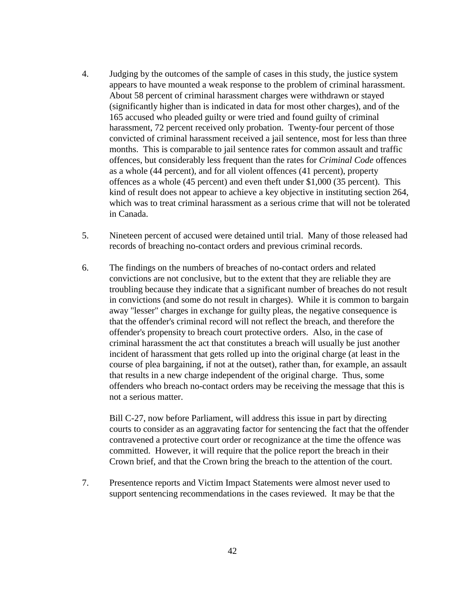- 4. Judging by the outcomes of the sample of cases in this study, the justice system appears to have mounted a weak response to the problem of criminal harassment. About 58 percent of criminal harassment charges were withdrawn or stayed (significantly higher than is indicated in data for most other charges), and of the 165 accused who pleaded guilty or were tried and found guilty of criminal harassment, 72 percent received only probation. Twenty-four percent of those convicted of criminal harassment received a jail sentence, most for less than three months. This is comparable to jail sentence rates for common assault and traffic offences, but considerably less frequent than the rates for *Criminal Code* offences as a whole (44 percent), and for all violent offences (41 percent), property offences as a whole (45 percent) and even theft under \$1,000 (35 percent). This kind of result does not appear to achieve a key objective in instituting section 264, which was to treat criminal harassment as a serious crime that will not be tolerated in Canada.
- 5. Nineteen percent of accused were detained until trial. Many of those released had records of breaching no-contact orders and previous criminal records.
- 6. The findings on the numbers of breaches of no-contact orders and related convictions are not conclusive, but to the extent that they are reliable they are troubling because they indicate that a significant number of breaches do not result in convictions (and some do not result in charges). While it is common to bargain away "lesser" charges in exchange for guilty pleas, the negative consequence is that the offender's criminal record will not reflect the breach, and therefore the offender's propensity to breach court protective orders. Also, in the case of criminal harassment the act that constitutes a breach will usually be just another incident of harassment that gets rolled up into the original charge (at least in the course of plea bargaining, if not at the outset), rather than, for example, an assault that results in a new charge independent of the original charge. Thus, some offenders who breach no-contact orders may be receiving the message that this is not a serious matter.

Bill C-27, now before Parliament, will address this issue in part by directing courts to consider as an aggravating factor for sentencing the fact that the offender contravened a protective court order or recognizance at the time the offence was committed. However, it will require that the police report the breach in their Crown brief, and that the Crown bring the breach to the attention of the court.

7. Presentence reports and Victim Impact Statements were almost never used to support sentencing recommendations in the cases reviewed. It may be that the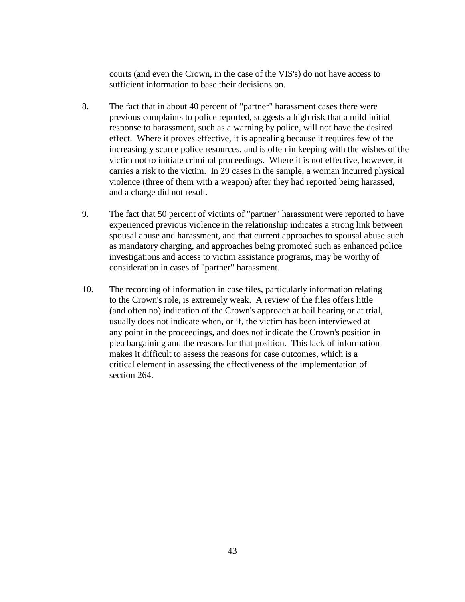courts (and even the Crown, in the case of the VIS's) do not have access to sufficient information to base their decisions on.

- 8. The fact that in about 40 percent of "partner" harassment cases there were previous complaints to police reported, suggests a high risk that a mild initial response to harassment, such as a warning by police, will not have the desired effect. Where it proves effective, it is appealing because it requires few of the increasingly scarce police resources, and is often in keeping with the wishes of the victim not to initiate criminal proceedings. Where it is not effective, however, it carries a risk to the victim. In 29 cases in the sample, a woman incurred physical violence (three of them with a weapon) after they had reported being harassed, and a charge did not result.
- 9. The fact that 50 percent of victims of "partner" harassment were reported to have experienced previous violence in the relationship indicates a strong link between spousal abuse and harassment, and that current approaches to spousal abuse such as mandatory charging, and approaches being promoted such as enhanced police investigations and access to victim assistance programs, may be worthy of consideration in cases of "partner" harassment.
- 10. The recording of information in case files, particularly information relating to the Crown's role, is extremely weak. A review of the files offers little (and often no) indication of the Crown's approach at bail hearing or at trial, usually does not indicate when, or if, the victim has been interviewed at any point in the proceedings, and does not indicate the Crown's position in plea bargaining and the reasons for that position. This lack of information makes it difficult to assess the reasons for case outcomes, which is a critical element in assessing the effectiveness of the implementation of section 264.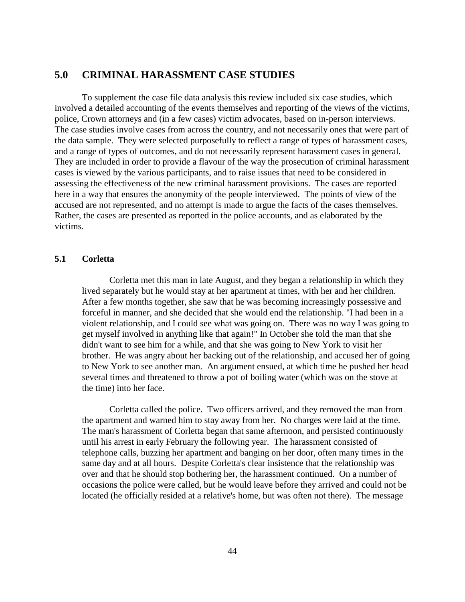# **5.0 CRIMINAL HARASSMENT CASE STUDIES**

To supplement the case file data analysis this review included six case studies, which involved a detailed accounting of the events themselves and reporting of the views of the victims, police, Crown attorneys and (in a few cases) victim advocates, based on in-person interviews. The case studies involve cases from across the country, and not necessarily ones that were part of the data sample. They were selected purposefully to reflect a range of types of harassment cases, and a range of types of outcomes, and do not necessarily represent harassment cases in general. They are included in order to provide a flavour of the way the prosecution of criminal harassment cases is viewed by the various participants, and to raise issues that need to be considered in assessing the effectiveness of the new criminal harassment provisions. The cases are reported here in a way that ensures the anonymity of the people interviewed. The points of view of the accused are not represented, and no attempt is made to argue the facts of the cases themselves. Rather, the cases are presented as reported in the police accounts, and as elaborated by the victims.

### **5.1 Corletta**

Corletta met this man in late August, and they began a relationship in which they lived separately but he would stay at her apartment at times, with her and her children. After a few months together, she saw that he was becoming increasingly possessive and forceful in manner, and she decided that she would end the relationship. "I had been in a violent relationship, and I could see what was going on. There was no way I was going to get myself involved in anything like that again!" In October she told the man that she didn't want to see him for a while, and that she was going to New York to visit her brother. He was angry about her backing out of the relationship, and accused her of going to New York to see another man. An argument ensued, at which time he pushed her head several times and threatened to throw a pot of boiling water (which was on the stove at the time) into her face.

Corletta called the police. Two officers arrived, and they removed the man from the apartment and warned him to stay away from her. No charges were laid at the time. The man's harassment of Corletta began that same afternoon, and persisted continuously until his arrest in early February the following year. The harassment consisted of telephone calls, buzzing her apartment and banging on her door, often many times in the same day and at all hours. Despite Corletta's clear insistence that the relationship was over and that he should stop bothering her, the harassment continued. On a number of occasions the police were called, but he would leave before they arrived and could not be located (he officially resided at a relative's home, but was often not there). The message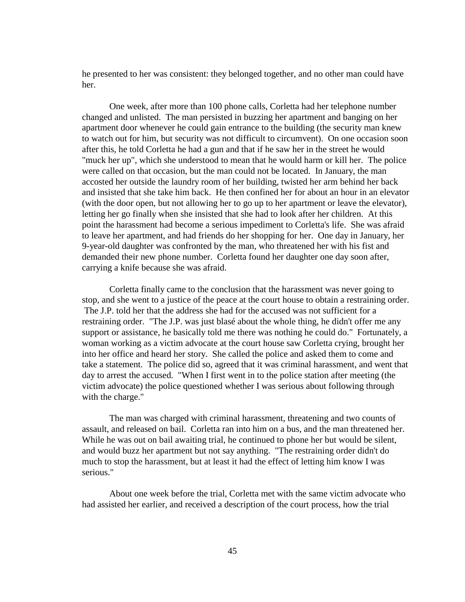he presented to her was consistent: they belonged together, and no other man could have her.

One week, after more than 100 phone calls, Corletta had her telephone number changed and unlisted. The man persisted in buzzing her apartment and banging on her apartment door whenever he could gain entrance to the building (the security man knew to watch out for him, but security was not difficult to circumvent). On one occasion soon after this, he told Corletta he had a gun and that if he saw her in the street he would "muck her up", which she understood to mean that he would harm or kill her. The police were called on that occasion, but the man could not be located. In January, the man accosted her outside the laundry room of her building, twisted her arm behind her back and insisted that she take him back. He then confined her for about an hour in an elevator (with the door open, but not allowing her to go up to her apartment or leave the elevator), letting her go finally when she insisted that she had to look after her children. At this point the harassment had become a serious impediment to Corletta's life. She was afraid to leave her apartment, and had friends do her shopping for her. One day in January, her 9-year-old daughter was confronted by the man, who threatened her with his fist and demanded their new phone number. Corletta found her daughter one day soon after, carrying a knife because she was afraid.

Corletta finally came to the conclusion that the harassment was never going to stop, and she went to a justice of the peace at the court house to obtain a restraining order. The J.P. told her that the address she had for the accused was not sufficient for a restraining order. "The J.P. was just blasé about the whole thing, he didn't offer me any support or assistance, he basically told me there was nothing he could do." Fortunately, a woman working as a victim advocate at the court house saw Corletta crying, brought her into her office and heard her story. She called the police and asked them to come and take a statement. The police did so, agreed that it was criminal harassment, and went that day to arrest the accused. "When I first went in to the police station after meeting (the victim advocate) the police questioned whether I was serious about following through with the charge."

The man was charged with criminal harassment, threatening and two counts of assault, and released on bail. Corletta ran into him on a bus, and the man threatened her. While he was out on bail awaiting trial, he continued to phone her but would be silent, and would buzz her apartment but not say anything. "The restraining order didn't do much to stop the harassment, but at least it had the effect of letting him know I was serious."

About one week before the trial, Corletta met with the same victim advocate who had assisted her earlier, and received a description of the court process, how the trial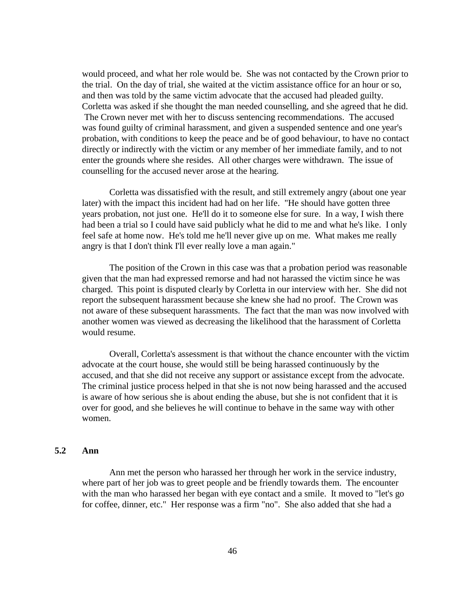would proceed, and what her role would be. She was not contacted by the Crown prior to the trial. On the day of trial, she waited at the victim assistance office for an hour or so, and then was told by the same victim advocate that the accused had pleaded guilty. Corletta was asked if she thought the man needed counselling, and she agreed that he did. The Crown never met with her to discuss sentencing recommendations. The accused was found guilty of criminal harassment, and given a suspended sentence and one year's probation, with conditions to keep the peace and be of good behaviour, to have no contact directly or indirectly with the victim or any member of her immediate family, and to not enter the grounds where she resides. All other charges were withdrawn. The issue of counselling for the accused never arose at the hearing.

Corletta was dissatisfied with the result, and still extremely angry (about one year later) with the impact this incident had had on her life. "He should have gotten three years probation, not just one. He'll do it to someone else for sure. In a way, I wish there had been a trial so I could have said publicly what he did to me and what he's like. I only feel safe at home now. He's told me he'll never give up on me. What makes me really angry is that I don't think I'll ever really love a man again."

The position of the Crown in this case was that a probation period was reasonable given that the man had expressed remorse and had not harassed the victim since he was charged. This point is disputed clearly by Corletta in our interview with her. She did not report the subsequent harassment because she knew she had no proof. The Crown was not aware of these subsequent harassments. The fact that the man was now involved with another women was viewed as decreasing the likelihood that the harassment of Corletta would resume.

Overall, Corletta's assessment is that without the chance encounter with the victim advocate at the court house, she would still be being harassed continuously by the accused, and that she did not receive any support or assistance except from the advocate. The criminal justice process helped in that she is not now being harassed and the accused is aware of how serious she is about ending the abuse, but she is not confident that it is over for good, and she believes he will continue to behave in the same way with other women.

## **5.2 Ann**

Ann met the person who harassed her through her work in the service industry, where part of her job was to greet people and be friendly towards them. The encounter with the man who harassed her began with eye contact and a smile. It moved to "let's go for coffee, dinner, etc." Her response was a firm "no". She also added that she had a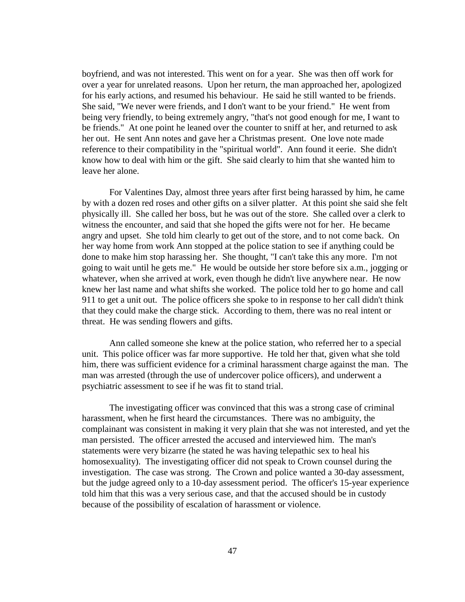boyfriend, and was not interested. This went on for a year. She was then off work for over a year for unrelated reasons. Upon her return, the man approached her, apologized for his early actions, and resumed his behaviour. He said he still wanted to be friends. She said, "We never were friends, and I don't want to be your friend." He went from being very friendly, to being extremely angry, "that's not good enough for me, I want to be friends." At one point he leaned over the counter to sniff at her, and returned to ask her out. He sent Ann notes and gave her a Christmas present. One love note made reference to their compatibility in the "spiritual world". Ann found it eerie. She didn't know how to deal with him or the gift. She said clearly to him that she wanted him to leave her alone.

For Valentines Day, almost three years after first being harassed by him, he came by with a dozen red roses and other gifts on a silver platter. At this point she said she felt physically ill. She called her boss, but he was out of the store. She called over a clerk to witness the encounter, and said that she hoped the gifts were not for her. He became angry and upset. She told him clearly to get out of the store, and to not come back. On her way home from work Ann stopped at the police station to see if anything could be done to make him stop harassing her. She thought, "I can't take this any more. I'm not going to wait until he gets me." He would be outside her store before six a.m., jogging or whatever, when she arrived at work, even though he didn't live anywhere near. He now knew her last name and what shifts she worked. The police told her to go home and call 911 to get a unit out. The police officers she spoke to in response to her call didn't think that they could make the charge stick. According to them, there was no real intent or threat. He was sending flowers and gifts.

Ann called someone she knew at the police station, who referred her to a special unit. This police officer was far more supportive. He told her that, given what she told him, there was sufficient evidence for a criminal harassment charge against the man. The man was arrested (through the use of undercover police officers), and underwent a psychiatric assessment to see if he was fit to stand trial.

The investigating officer was convinced that this was a strong case of criminal harassment, when he first heard the circumstances. There was no ambiguity, the complainant was consistent in making it very plain that she was not interested, and yet the man persisted. The officer arrested the accused and interviewed him. The man's statements were very bizarre (he stated he was having telepathic sex to heal his homosexuality). The investigating officer did not speak to Crown counsel during the investigation. The case was strong. The Crown and police wanted a 30-day assessment, but the judge agreed only to a 10-day assessment period. The officer's 15-year experience told him that this was a very serious case, and that the accused should be in custody because of the possibility of escalation of harassment or violence.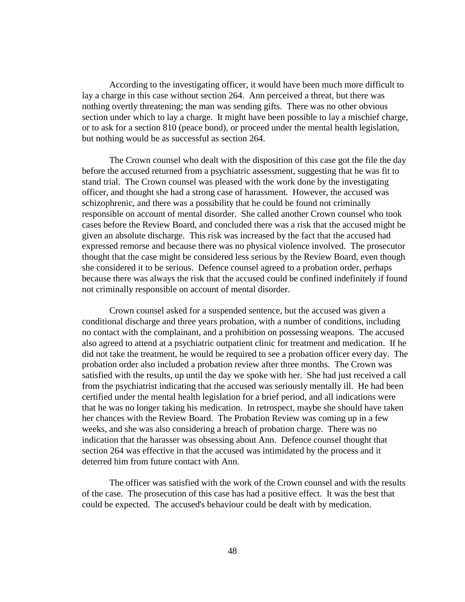According to the investigating officer, it would have been much more difficult to lay a charge in this case without section 264. Ann perceived a threat, but there was nothing overtly threatening; the man was sending gifts. There was no other obvious section under which to lay a charge. It might have been possible to lay a mischief charge, or to ask for a section 810 (peace bond), or proceed under the mental health legislation, but nothing would be as successful as section 264.

The Crown counsel who dealt with the disposition of this case got the file the day before the accused returned from a psychiatric assessment, suggesting that he was fit to stand trial. The Crown counsel was pleased with the work done by the investigating officer, and thought she had a strong case of harassment. However, the accused was schizophrenic, and there was a possibility that he could be found not criminally responsible on account of mental disorder. She called another Crown counsel who took cases before the Review Board, and concluded there was a risk that the accused might be given an absolute discharge. This risk was increased by the fact that the accused had expressed remorse and because there was no physical violence involved. The prosecutor thought that the case might be considered less serious by the Review Board, even though she considered it to be serious. Defence counsel agreed to a probation order, perhaps because there was always the risk that the accused could be confined indefinitely if found not criminally responsible on account of mental disorder.

Crown counsel asked for a suspended sentence, but the accused was given a conditional discharge and three years probation, with a number of conditions, including no contact with the complainant, and a prohibition on possessing weapons. The accused also agreed to attend at a psychiatric outpatient clinic for treatment and medication. If he did not take the treatment, he would be required to see a probation officer every day. The probation order also included a probation review after three months. The Crown was satisfied with the results, up until the day we spoke with her. She had just received a call from the psychiatrist indicating that the accused was seriously mentally ill. He had been certified under the mental health legislation for a brief period, and all indications were that he was no longer taking his medication. In retrospect, maybe she should have taken her chances with the Review Board. The Probation Review was coming up in a few weeks, and she was also considering a breach of probation charge. There was no indication that the harasser was obsessing about Ann. Defence counsel thought that section 264 was effective in that the accused was intimidated by the process and it deterred him from future contact with Ann.

The officer was satisfied with the work of the Crown counsel and with the results of the case. The prosecution of this case has had a positive effect. It was the best that could be expected. The accused's behaviour could be dealt with by medication.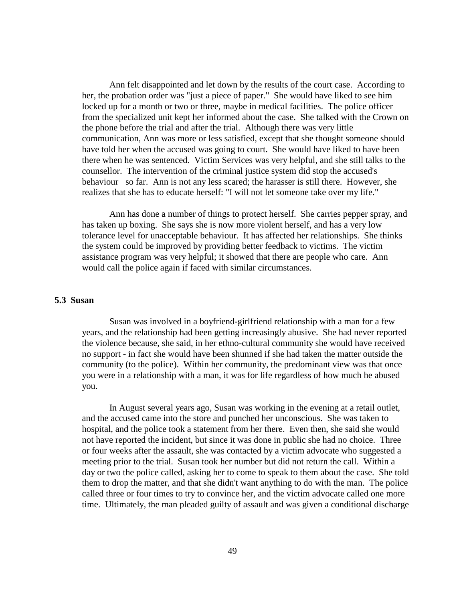Ann felt disappointed and let down by the results of the court case. According to her, the probation order was "just a piece of paper." She would have liked to see him locked up for a month or two or three, maybe in medical facilities. The police officer from the specialized unit kept her informed about the case. She talked with the Crown on the phone before the trial and after the trial. Although there was very little communication, Ann was more or less satisfied, except that she thought someone should have told her when the accused was going to court. She would have liked to have been there when he was sentenced. Victim Services was very helpful, and she still talks to the counsellor. The intervention of the criminal justice system did stop the accused's behaviour so far. Ann is not any less scared; the harasser is still there. However, she realizes that she has to educate herself: "I will not let someone take over my life."

Ann has done a number of things to protect herself. She carries pepper spray, and has taken up boxing. She says she is now more violent herself, and has a very low tolerance level for unacceptable behaviour. It has affected her relationships. She thinks the system could be improved by providing better feedback to victims. The victim assistance program was very helpful; it showed that there are people who care. Ann would call the police again if faced with similar circumstances.

### **5.3 Susan**

Susan was involved in a boyfriend-girlfriend relationship with a man for a few years, and the relationship had been getting increasingly abusive. She had never reported the violence because, she said, in her ethno-cultural community she would have received no support - in fact she would have been shunned if she had taken the matter outside the community (to the police). Within her community, the predominant view was that once you were in a relationship with a man, it was for life regardless of how much he abused you.

In August several years ago, Susan was working in the evening at a retail outlet, and the accused came into the store and punched her unconscious. She was taken to hospital, and the police took a statement from her there. Even then, she said she would not have reported the incident, but since it was done in public she had no choice. Three or four weeks after the assault, she was contacted by a victim advocate who suggested a meeting prior to the trial. Susan took her number but did not return the call. Within a day or two the police called, asking her to come to speak to them about the case. She told them to drop the matter, and that she didn't want anything to do with the man. The police called three or four times to try to convince her, and the victim advocate called one more time. Ultimately, the man pleaded guilty of assault and was given a conditional discharge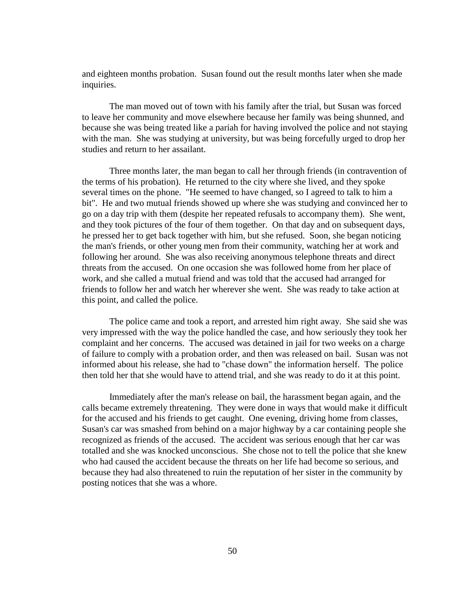and eighteen months probation. Susan found out the result months later when she made inquiries.

The man moved out of town with his family after the trial, but Susan was forced to leave her community and move elsewhere because her family was being shunned, and because she was being treated like a pariah for having involved the police and not staying with the man. She was studying at university, but was being forcefully urged to drop her studies and return to her assailant.

Three months later, the man began to call her through friends (in contravention of the terms of his probation). He returned to the city where she lived, and they spoke several times on the phone. "He seemed to have changed, so I agreed to talk to him a bit". He and two mutual friends showed up where she was studying and convinced her to go on a day trip with them (despite her repeated refusals to accompany them). She went, and they took pictures of the four of them together. On that day and on subsequent days, he pressed her to get back together with him, but she refused. Soon, she began noticing the man's friends, or other young men from their community, watching her at work and following her around. She was also receiving anonymous telephone threats and direct threats from the accused. On one occasion she was followed home from her place of work, and she called a mutual friend and was told that the accused had arranged for friends to follow her and watch her wherever she went. She was ready to take action at this point, and called the police.

The police came and took a report, and arrested him right away. She said she was very impressed with the way the police handled the case, and how seriously they took her complaint and her concerns. The accused was detained in jail for two weeks on a charge of failure to comply with a probation order, and then was released on bail. Susan was not informed about his release, she had to "chase down" the information herself. The police then told her that she would have to attend trial, and she was ready to do it at this point.

Immediately after the man's release on bail, the harassment began again, and the calls became extremely threatening. They were done in ways that would make it difficult for the accused and his friends to get caught. One evening, driving home from classes, Susan's car was smashed from behind on a major highway by a car containing people she recognized as friends of the accused. The accident was serious enough that her car was totalled and she was knocked unconscious. She chose not to tell the police that she knew who had caused the accident because the threats on her life had become so serious, and because they had also threatened to ruin the reputation of her sister in the community by posting notices that she was a whore.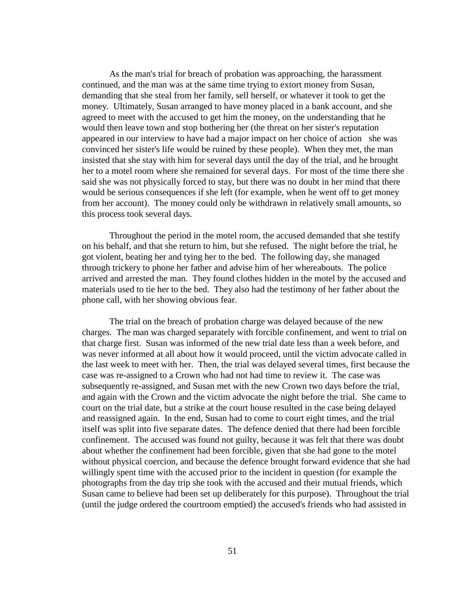As the man's trial for breach of probation was approaching, the harassment continued, and the man was at the same time trying to extort money from Susan, demanding that she steal from her family, sell herself, or whatever it took to get the money. Ultimately, Susan arranged to have money placed in a bank account, and she agreed to meet with the accused to get him the money, on the understanding that he would then leave town and stop bothering her (the threat on her sister's reputation appeared in our interview to have had a major impact on her choice of action she was convinced her sister's life would be ruined by these people). When they met, the man insisted that she stay with him for several days until the day of the trial, and he brought her to a motel room where she remained for several days. For most of the time there she said she was not physically forced to stay, but there was no doubt in her mind that there would be serious consequences if she left (for example, when he went off to get money from her account). The money could only be withdrawn in relatively small amounts, so this process took several days.

Throughout the period in the motel room, the accused demanded that she testify on his behalf, and that she return to him, but she refused. The night before the trial, he got violent, beating her and tying her to the bed. The following day, she managed through trickery to phone her father and advise him of her whereabouts. The police arrived and arrested the man. They found clothes hidden in the motel by the accused and materials used to tie her to the bed. They also had the testimony of her father about the phone call, with her showing obvious fear.

The trial on the breach of probation charge was delayed because of the new charges. The man was charged separately with forcible confinement, and went to trial on that charge first. Susan was informed of the new trial date less than a week before, and was never informed at all about how it would proceed, until the victim advocate called in the last week to meet with her. Then, the trial was delayed several times, first because the case was re-assigned to a Crown who had not had time to review it. The case was subsequently re-assigned, and Susan met with the new Crown two days before the trial, and again with the Crown and the victim advocate the night before the trial. She came to court on the trial date, but a strike at the court house resulted in the case being delayed and reassigned again. In the end, Susan had to come to court eight times, and the trial itself was split into five separate dates. The defence denied that there had been forcible confinement. The accused was found not guilty, because it was felt that there was doubt about whether the confinement had been forcible, given that she had gone to the motel without physical coercion, and because the defence brought forward evidence that she had willingly spent time with the accused prior to the incident in question (for example the photographs from the day trip she took with the accused and their mutual friends, which Susan came to believe had been set up deliberately for this purpose). Throughout the trial (until the judge ordered the courtroom emptied) the accused's friends who had assisted in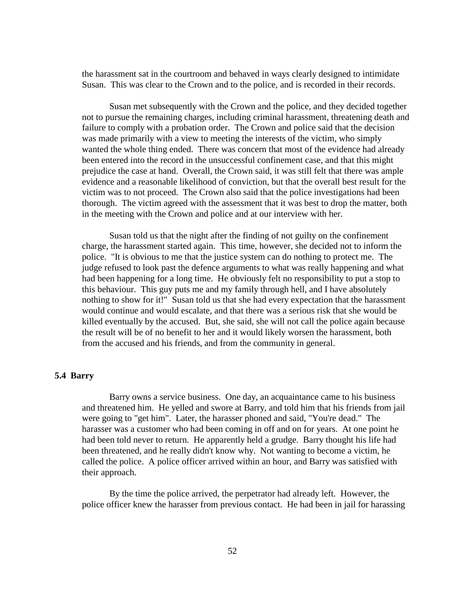the harassment sat in the courtroom and behaved in ways clearly designed to intimidate Susan. This was clear to the Crown and to the police, and is recorded in their records.

Susan met subsequently with the Crown and the police, and they decided together not to pursue the remaining charges, including criminal harassment, threatening death and failure to comply with a probation order. The Crown and police said that the decision was made primarily with a view to meeting the interests of the victim, who simply wanted the whole thing ended. There was concern that most of the evidence had already been entered into the record in the unsuccessful confinement case, and that this might prejudice the case at hand. Overall, the Crown said, it was still felt that there was ample evidence and a reasonable likelihood of conviction, but that the overall best result for the victim was to not proceed. The Crown also said that the police investigations had been thorough. The victim agreed with the assessment that it was best to drop the matter, both in the meeting with the Crown and police and at our interview with her.

Susan told us that the night after the finding of not guilty on the confinement charge, the harassment started again. This time, however, she decided not to inform the police. "It is obvious to me that the justice system can do nothing to protect me. The judge refused to look past the defence arguments to what was really happening and what had been happening for a long time. He obviously felt no responsibility to put a stop to this behaviour. This guy puts me and my family through hell, and I have absolutely nothing to show for it!" Susan told us that she had every expectation that the harassment would continue and would escalate, and that there was a serious risk that she would be killed eventually by the accused. But, she said, she will not call the police again because the result will be of no benefit to her and it would likely worsen the harassment, both from the accused and his friends, and from the community in general.

## **5.4 Barry**

Barry owns a service business. One day, an acquaintance came to his business and threatened him. He yelled and swore at Barry, and told him that his friends from jail were going to "get him". Later, the harasser phoned and said, "You're dead." The harasser was a customer who had been coming in off and on for years. At one point he had been told never to return. He apparently held a grudge. Barry thought his life had been threatened, and he really didn't know why. Not wanting to become a victim, he called the police. A police officer arrived within an hour, and Barry was satisfied with their approach.

By the time the police arrived, the perpetrator had already left. However, the police officer knew the harasser from previous contact. He had been in jail for harassing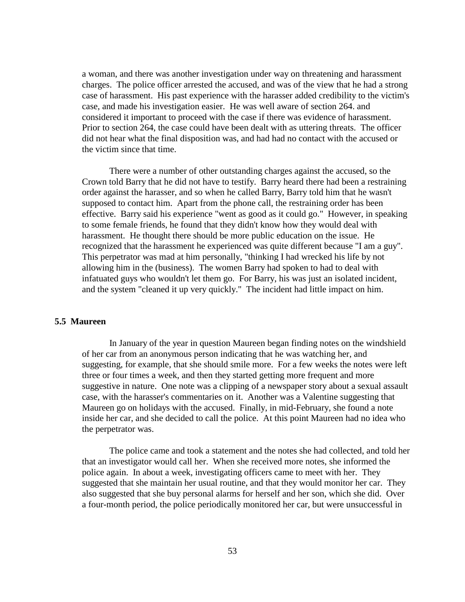a woman, and there was another investigation under way on threatening and harassment charges. The police officer arrested the accused, and was of the view that he had a strong case of harassment. His past experience with the harasser added credibility to the victim's case, and made his investigation easier. He was well aware of section 264. and considered it important to proceed with the case if there was evidence of harassment. Prior to section 264, the case could have been dealt with as uttering threats. The officer did not hear what the final disposition was, and had had no contact with the accused or the victim since that time.

There were a number of other outstanding charges against the accused, so the Crown told Barry that he did not have to testify. Barry heard there had been a restraining order against the harasser, and so when he called Barry, Barry told him that he wasn't supposed to contact him. Apart from the phone call, the restraining order has been effective. Barry said his experience "went as good as it could go." However, in speaking to some female friends, he found that they didn't know how they would deal with harassment. He thought there should be more public education on the issue. He recognized that the harassment he experienced was quite different because "I am a guy". This perpetrator was mad at him personally, "thinking I had wrecked his life by not allowing him in the (business). The women Barry had spoken to had to deal with infatuated guys who wouldn't let them go. For Barry, his was just an isolated incident, and the system "cleaned it up very quickly." The incident had little impact on him.

# **5.5 Maureen**

In January of the year in question Maureen began finding notes on the windshield of her car from an anonymous person indicating that he was watching her, and suggesting, for example, that she should smile more. For a few weeks the notes were left three or four times a week, and then they started getting more frequent and more suggestive in nature. One note was a clipping of a newspaper story about a sexual assault case, with the harasser's commentaries on it. Another was a Valentine suggesting that Maureen go on holidays with the accused. Finally, in mid-February, she found a note inside her car, and she decided to call the police. At this point Maureen had no idea who the perpetrator was.

The police came and took a statement and the notes she had collected, and told her that an investigator would call her. When she received more notes, she informed the police again. In about a week, investigating officers came to meet with her. They suggested that she maintain her usual routine, and that they would monitor her car. They also suggested that she buy personal alarms for herself and her son, which she did. Over a four-month period, the police periodically monitored her car, but were unsuccessful in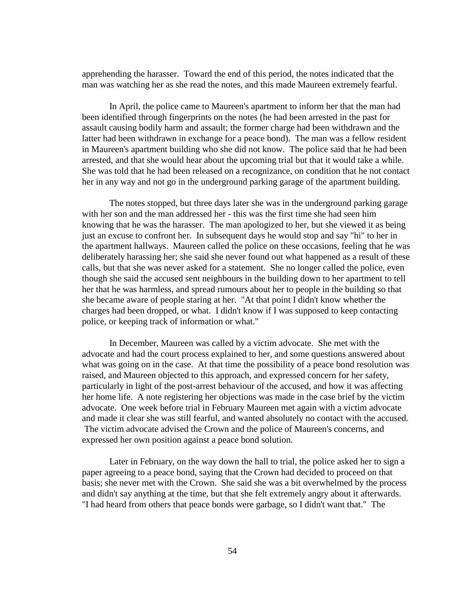apprehending the harasser. Toward the end of this period, the notes indicated that the man was watching her as she read the notes, and this made Maureen extremely fearful.

In April, the police came to Maureen's apartment to inform her that the man had been identified through fingerprints on the notes (he had been arrested in the past for assault causing bodily harm and assault; the former charge had been withdrawn and the latter had been withdrawn in exchange for a peace bond). The man was a fellow resident in Maureen's apartment building who she did not know. The police said that he had been arrested, and that she would hear about the upcoming trial but that it would take a while. She was told that he had been released on a recognizance, on condition that he not contact her in any way and not go in the underground parking garage of the apartment building.

The notes stopped, but three days later she was in the underground parking garage with her son and the man addressed her - this was the first time she had seen him knowing that he was the harasser. The man apologized to her, but she viewed it as being just an excuse to confront her. In subsequent days he would stop and say "hi" to her in the apartment hallways. Maureen called the police on these occasions, feeling that he was deliberately harassing her; she said she never found out what happened as a result of these calls, but that she was never asked for a statement. She no longer called the police, even though she said the accused sent neighbours in the building down to her apartment to tell her that he was harmless, and spread rumours about her to people in the building so that she became aware of people staring at her. "At that point I didn't know whether the charges had been dropped, or what. I didn't know if I was supposed to keep contacting police, or keeping track of information or what."

In December, Maureen was called by a victim advocate. She met with the advocate and had the court process explained to her, and some questions answered about what was going on in the case. At that time the possibility of a peace bond resolution was raised, and Maureen objected to this approach, and expressed concern for her safety, particularly in light of the post-arrest behaviour of the accused, and how it was affecting her home life. A note registering her objections was made in the case brief by the victim advocate. One week before trial in February Maureen met again with a victim advocate and made it clear she was still fearful, and wanted absolutely no contact with the accused. The victim advocate advised the Crown and the police of Maureen's concerns, and expressed her own position against a peace bond solution.

Later in February, on the way down the hall to trial, the police asked her to sign a paper agreeing to a peace bond, saying that the Crown had decided to proceed on that basis; she never met with the Crown. She said she was a bit overwhelmed by the process and didn't say anything at the time, but that she felt extremely angry about it afterwards. "I had heard from others that peace bonds were garbage, so I didn't want that." The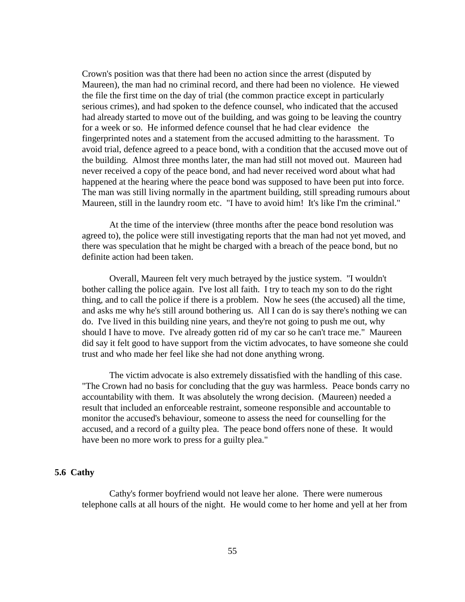Crown's position was that there had been no action since the arrest (disputed by Maureen), the man had no criminal record, and there had been no violence. He viewed the file the first time on the day of trial (the common practice except in particularly serious crimes), and had spoken to the defence counsel, who indicated that the accused had already started to move out of the building, and was going to be leaving the country for a week or so. He informed defence counsel that he had clear evidence the fingerprinted notes and a statement from the accused admitting to the harassment. To avoid trial, defence agreed to a peace bond, with a condition that the accused move out of the building. Almost three months later, the man had still not moved out. Maureen had never received a copy of the peace bond, and had never received word about what had happened at the hearing where the peace bond was supposed to have been put into force. The man was still living normally in the apartment building, still spreading rumours about Maureen, still in the laundry room etc. "I have to avoid him! It's like I'm the criminal."

At the time of the interview (three months after the peace bond resolution was agreed to), the police were still investigating reports that the man had not yet moved, and there was speculation that he might be charged with a breach of the peace bond, but no definite action had been taken.

Overall, Maureen felt very much betrayed by the justice system. "I wouldn't bother calling the police again. I've lost all faith. I try to teach my son to do the right thing, and to call the police if there is a problem. Now he sees (the accused) all the time, and asks me why he's still around bothering us. All I can do is say there's nothing we can do. I've lived in this building nine years, and they're not going to push me out, why should I have to move. I've already gotten rid of my car so he can't trace me." Maureen did say it felt good to have support from the victim advocates, to have someone she could trust and who made her feel like she had not done anything wrong.

The victim advocate is also extremely dissatisfied with the handling of this case. "The Crown had no basis for concluding that the guy was harmless. Peace bonds carry no accountability with them. It was absolutely the wrong decision. (Maureen) needed a result that included an enforceable restraint, someone responsible and accountable to monitor the accused's behaviour, someone to assess the need for counselling for the accused, and a record of a guilty plea. The peace bond offers none of these. It would have been no more work to press for a guilty plea."

### **5.6 Cathy**

Cathy's former boyfriend would not leave her alone. There were numerous telephone calls at all hours of the night. He would come to her home and yell at her from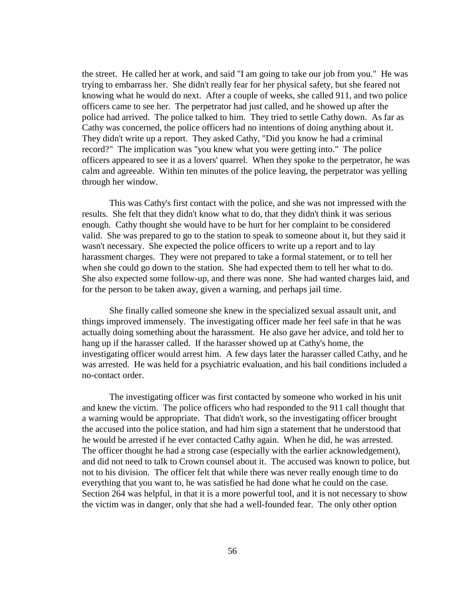the street. He called her at work, and said "I am going to take our job from you." He was trying to embarrass her. She didn't really fear for her physical safety, but she feared not knowing what he would do next. After a couple of weeks, she called 911, and two police officers came to see her. The perpetrator had just called, and he showed up after the police had arrived. The police talked to him. They tried to settle Cathy down. As far as Cathy was concerned, the police officers had no intentions of doing anything about it. They didn't write up a report. They asked Cathy, "Did you know he had a criminal record?" The implication was "you knew what you were getting into." The police officers appeared to see it as a lovers' quarrel. When they spoke to the perpetrator, he was calm and agreeable. Within ten minutes of the police leaving, the perpetrator was yelling through her window.

This was Cathy's first contact with the police, and she was not impressed with the results. She felt that they didn't know what to do, that they didn't think it was serious enough. Cathy thought she would have to be hurt for her complaint to be considered valid. She was prepared to go to the station to speak to someone about it, but they said it wasn't necessary. She expected the police officers to write up a report and to lay harassment charges. They were not prepared to take a formal statement, or to tell her when she could go down to the station. She had expected them to tell her what to do. She also expected some follow-up, and there was none. She had wanted charges laid, and for the person to be taken away, given a warning, and perhaps jail time.

She finally called someone she knew in the specialized sexual assault unit, and things improved immensely. The investigating officer made her feel safe in that he was actually doing something about the harassment. He also gave her advice, and told her to hang up if the harasser called. If the harasser showed up at Cathy's home, the investigating officer would arrest him. A few days later the harasser called Cathy, and he was arrested. He was held for a psychiatric evaluation, and his bail conditions included a no-contact order.

The investigating officer was first contacted by someone who worked in his unit and knew the victim. The police officers who had responded to the 911 call thought that a warning would be appropriate. That didn't work, so the investigating officer brought the accused into the police station, and had him sign a statement that he understood that he would be arrested if he ever contacted Cathy again. When he did, he was arrested. The officer thought he had a strong case (especially with the earlier acknowledgement), and did not need to talk to Crown counsel about it. The accused was known to police, but not to his division. The officer felt that while there was never really enough time to do everything that you want to, he was satisfied he had done what he could on the case. Section 264 was helpful, in that it is a more powerful tool, and it is not necessary to show the victim was in danger, only that she had a well-founded fear. The only other option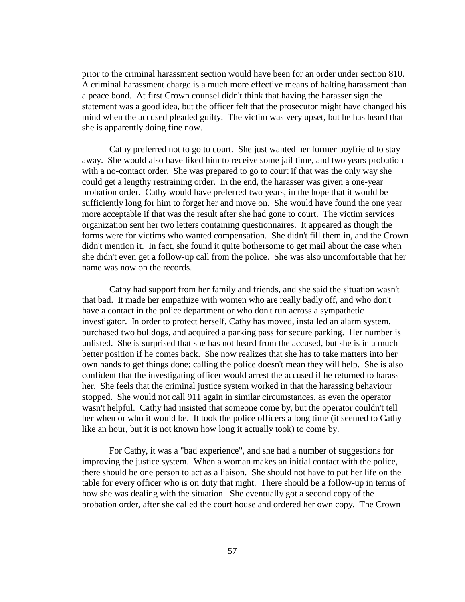prior to the criminal harassment section would have been for an order under section 810. A criminal harassment charge is a much more effective means of halting harassment than a peace bond. At first Crown counsel didn't think that having the harasser sign the statement was a good idea, but the officer felt that the prosecutor might have changed his mind when the accused pleaded guilty. The victim was very upset, but he has heard that she is apparently doing fine now.

Cathy preferred not to go to court. She just wanted her former boyfriend to stay away. She would also have liked him to receive some jail time, and two years probation with a no-contact order. She was prepared to go to court if that was the only way she could get a lengthy restraining order. In the end, the harasser was given a one-year probation order. Cathy would have preferred two years, in the hope that it would be sufficiently long for him to forget her and move on. She would have found the one year more acceptable if that was the result after she had gone to court. The victim services organization sent her two letters containing questionnaires. It appeared as though the forms were for victims who wanted compensation. She didn't fill them in, and the Crown didn't mention it. In fact, she found it quite bothersome to get mail about the case when she didn't even get a follow-up call from the police. She was also uncomfortable that her name was now on the records.

Cathy had support from her family and friends, and she said the situation wasn't that bad. It made her empathize with women who are really badly off, and who don't have a contact in the police department or who don't run across a sympathetic investigator. In order to protect herself, Cathy has moved, installed an alarm system, purchased two bulldogs, and acquired a parking pass for secure parking. Her number is unlisted. She is surprised that she has not heard from the accused, but she is in a much better position if he comes back. She now realizes that she has to take matters into her own hands to get things done; calling the police doesn't mean they will help. She is also confident that the investigating officer would arrest the accused if he returned to harass her. She feels that the criminal justice system worked in that the harassing behaviour stopped. She would not call 911 again in similar circumstances, as even the operator wasn't helpful. Cathy had insisted that someone come by, but the operator couldn't tell her when or who it would be. It took the police officers a long time (it seemed to Cathy like an hour, but it is not known how long it actually took) to come by.

For Cathy, it was a "bad experience", and she had a number of suggestions for improving the justice system. When a woman makes an initial contact with the police, there should be one person to act as a liaison. She should not have to put her life on the table for every officer who is on duty that night. There should be a follow-up in terms of how she was dealing with the situation. She eventually got a second copy of the probation order, after she called the court house and ordered her own copy. The Crown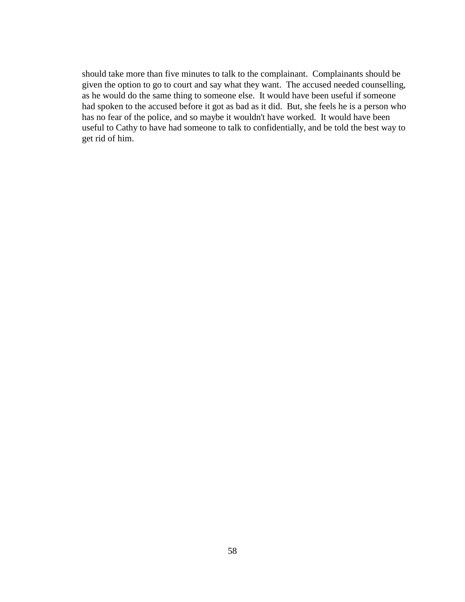should take more than five minutes to talk to the complainant. Complainants should be given the option to go to court and say what they want. The accused needed counselling, as he would do the same thing to someone else. It would have been useful if someone had spoken to the accused before it got as bad as it did. But, she feels he is a person who has no fear of the police, and so maybe it wouldn't have worked. It would have been useful to Cathy to have had someone to talk to confidentially, and be told the best way to get rid of him.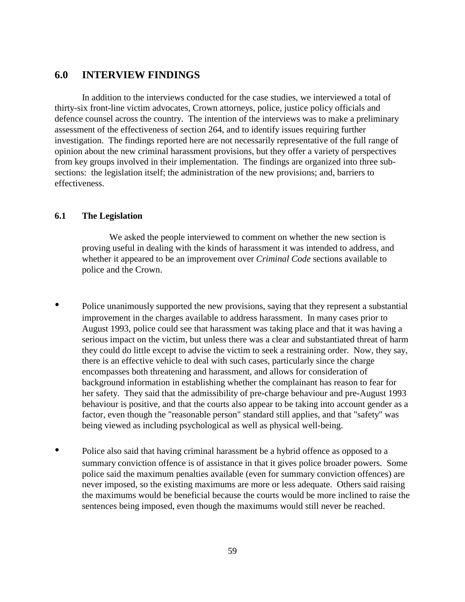# **6.0 INTERVIEW FINDINGS**

In addition to the interviews conducted for the case studies, we interviewed a total of thirty-six front-line victim advocates, Crown attorneys, police, justice policy officials and defence counsel across the country. The intention of the interviews was to make a preliminary assessment of the effectiveness of section 264, and to identify issues requiring further investigation. The findings reported here are not necessarily representative of the full range of opinion about the new criminal harassment provisions, but they offer a variety of perspectives from key groups involved in their implementation. The findings are organized into three subsections: the legislation itself; the administration of the new provisions; and, barriers to effectiveness.

## **6.1 The Legislation**

We asked the people interviewed to comment on whether the new section is proving useful in dealing with the kinds of harassment it was intended to address, and whether it appeared to be an improvement over *Criminal Code* sections available to police and the Crown.

- Police unanimously supported the new provisions, saying that they represent a substantial improvement in the charges available to address harassment. In many cases prior to August 1993, police could see that harassment was taking place and that it was having a serious impact on the victim, but unless there was a clear and substantiated threat of harm they could do little except to advise the victim to seek a restraining order. Now, they say, there is an effective vehicle to deal with such cases, particularly since the charge encompasses both threatening and harassment, and allows for consideration of background information in establishing whether the complainant has reason to fear for her safety. They said that the admissibility of pre-charge behaviour and pre-August 1993 behaviour is positive, and that the courts also appear to be taking into account gender as a factor, even though the "reasonable person" standard still applies, and that "safety" was being viewed as including psychological as well as physical well-being.
- Police also said that having criminal harassment be a hybrid offence as opposed to a summary conviction offence is of assistance in that it gives police broader powers. Some police said the maximum penalties available (even for summary conviction offences) are never imposed, so the existing maximums are more or less adequate. Others said raising the maximums would be beneficial because the courts would be more inclined to raise the sentences being imposed, even though the maximums would still never be reached.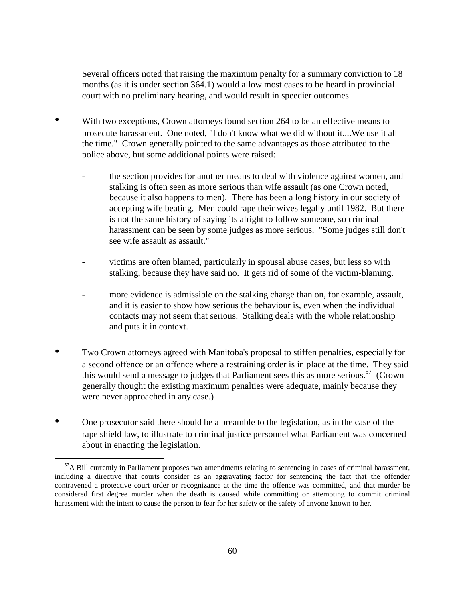Several officers noted that raising the maximum penalty for a summary conviction to 18 months (as it is under section 364.1) would allow most cases to be heard in provincial court with no preliminary hearing, and would result in speedier outcomes.

- With two exceptions, Crown attorneys found section 264 to be an effective means to prosecute harassment. One noted, "I don't know what we did without it....We use it all the time." Crown generally pointed to the same advantages as those attributed to the police above, but some additional points were raised:
	- the section provides for another means to deal with violence against women, and stalking is often seen as more serious than wife assault (as one Crown noted, because it also happens to men). There has been a long history in our society of accepting wife beating. Men could rape their wives legally until 1982. But there is not the same history of saying its alright to follow someone, so criminal harassment can be seen by some judges as more serious. "Some judges still don't see wife assault as assault."
	- victims are often blamed, particularly in spousal abuse cases, but less so with stalking, because they have said no. It gets rid of some of the victim-blaming.
	- more evidence is admissible on the stalking charge than on, for example, assault, and it is easier to show how serious the behaviour is, even when the individual contacts may not seem that serious. Stalking deals with the whole relationship and puts it in context.
- Two Crown attorneys agreed with Manitoba's proposal to stiffen penalties, especially for a second offence or an offence where a restraining order is in place at the time. They said this would send a message to judges that Parliament sees this as more serious.<sup>57</sup> (Crown generally thought the existing maximum penalties were adequate, mainly because they were never approached in any case.)
- One prosecutor said there should be a preamble to the legislation, as in the case of the rape shield law, to illustrate to criminal justice personnel what Parliament was concerned about in enacting the legislation.

 $\overline{a}$ 

 $<sup>57</sup>$ A Bill currently in Parliament proposes two amendments relating to sentencing in cases of criminal harassment,</sup> including a directive that courts consider as an aggravating factor for sentencing the fact that the offender contravened a protective court order or recognizance at the time the offence was committed, and that murder be considered first degree murder when the death is caused while committing or attempting to commit criminal harassment with the intent to cause the person to fear for her safety or the safety of anyone known to her.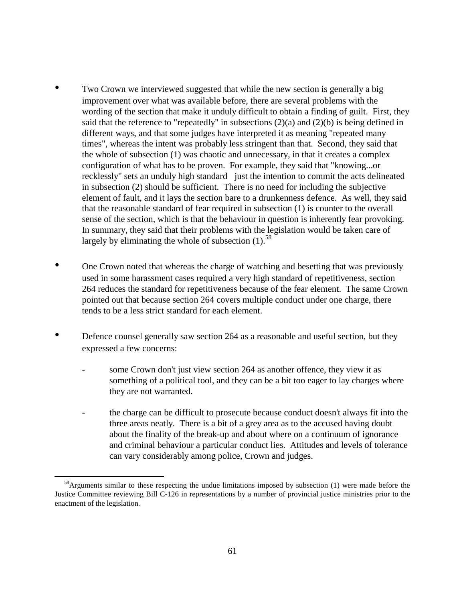- Two Crown we interviewed suggested that while the new section is generally a big improvement over what was available before, there are several problems with the wording of the section that make it unduly difficult to obtain a finding of guilt. First, they said that the reference to "repeatedly" in subsections  $(2)(a)$  and  $(2)(b)$  is being defined in different ways, and that some judges have interpreted it as meaning "repeated many times", whereas the intent was probably less stringent than that. Second, they said that the whole of subsection (1) was chaotic and unnecessary, in that it creates a complex configuration of what has to be proven. For example, they said that "knowing...or recklessly" sets an unduly high standard just the intention to commit the acts delineated in subsection (2) should be sufficient. There is no need for including the subjective element of fault, and it lays the section bare to a drunkenness defence. As well, they said that the reasonable standard of fear required in subsection (1) is counter to the overall sense of the section, which is that the behaviour in question is inherently fear provoking. In summary, they said that their problems with the legislation would be taken care of largely by eliminating the whole of subsection  $(1)$ .<sup>58</sup>
- One Crown noted that whereas the charge of watching and besetting that was previously used in some harassment cases required a very high standard of repetitiveness, section 264 reduces the standard for repetitiveness because of the fear element. The same Crown pointed out that because section 264 covers multiple conduct under one charge, there tends to be a less strict standard for each element.
- Defence counsel generally saw section 264 as a reasonable and useful section, but they expressed a few concerns:
	- some Crown don't just view section 264 as another offence, they view it as something of a political tool, and they can be a bit too eager to lay charges where they are not warranted.
	- the charge can be difficult to prosecute because conduct doesn't always fit into the three areas neatly. There is a bit of a grey area as to the accused having doubt about the finality of the break-up and about where on a continuum of ignorance and criminal behaviour a particular conduct lies. Attitudes and levels of tolerance can vary considerably among police, Crown and judges.

 $\overline{a}$ 

<sup>&</sup>lt;sup>58</sup>Arguments similar to these respecting the undue limitations imposed by subsection (1) were made before the Justice Committee reviewing Bill C-126 in representations by a number of provincial justice ministries prior to the enactment of the legislation.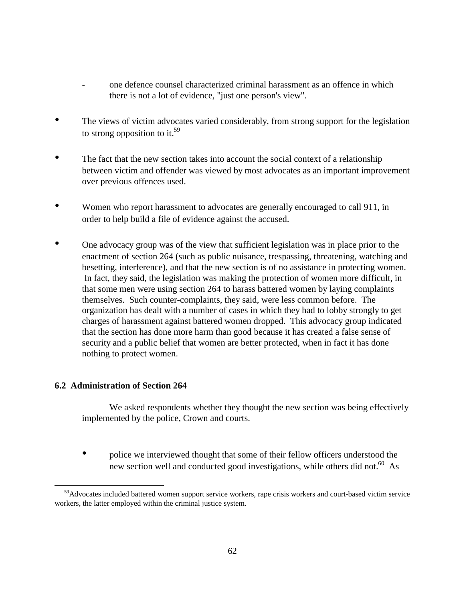- one defence counsel characterized criminal harassment as an offence in which there is not a lot of evidence, "just one person's view".
- The views of victim advocates varied considerably, from strong support for the legislation to strong opposition to it.<sup>59</sup>
- The fact that the new section takes into account the social context of a relationship between victim and offender was viewed by most advocates as an important improvement over previous offences used.
- Women who report harassment to advocates are generally encouraged to call 911, in order to help build a file of evidence against the accused.
- One advocacy group was of the view that sufficient legislation was in place prior to the enactment of section 264 (such as public nuisance, trespassing, threatening, watching and besetting, interference), and that the new section is of no assistance in protecting women. In fact, they said, the legislation was making the protection of women more difficult, in that some men were using section 264 to harass battered women by laying complaints themselves. Such counter-complaints, they said, were less common before. The organization has dealt with a number of cases in which they had to lobby strongly to get charges of harassment against battered women dropped. This advocacy group indicated that the section has done more harm than good because it has created a false sense of security and a public belief that women are better protected, when in fact it has done nothing to protect women.

# **6.2 Administration of Section 264**

 $\overline{a}$ 

We asked respondents whether they thought the new section was being effectively implemented by the police, Crown and courts.

• police we interviewed thought that some of their fellow officers understood the new section well and conducted good investigations, while others did not.<sup>60</sup> As

<sup>&</sup>lt;sup>59</sup>Advocates included battered women support service workers, rape crisis workers and court-based victim service workers, the latter employed within the criminal justice system.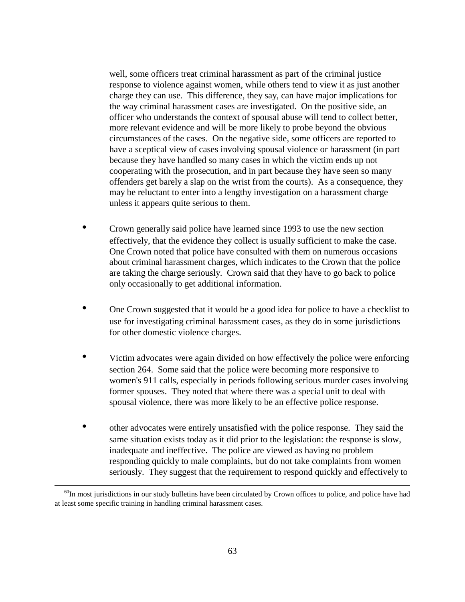well, some officers treat criminal harassment as part of the criminal justice response to violence against women, while others tend to view it as just another charge they can use. This difference, they say, can have major implications for the way criminal harassment cases are investigated. On the positive side, an officer who understands the context of spousal abuse will tend to collect better, more relevant evidence and will be more likely to probe beyond the obvious circumstances of the cases. On the negative side, some officers are reported to have a sceptical view of cases involving spousal violence or harassment (in part because they have handled so many cases in which the victim ends up not cooperating with the prosecution, and in part because they have seen so many offenders get barely a slap on the wrist from the courts). As a consequence, they may be reluctant to enter into a lengthy investigation on a harassment charge unless it appears quite serious to them.

- Crown generally said police have learned since 1993 to use the new section effectively, that the evidence they collect is usually sufficient to make the case. One Crown noted that police have consulted with them on numerous occasions about criminal harassment charges, which indicates to the Crown that the police are taking the charge seriously. Crown said that they have to go back to police only occasionally to get additional information.
- One Crown suggested that it would be a good idea for police to have a checklist to use for investigating criminal harassment cases, as they do in some jurisdictions for other domestic violence charges.
- Victim advocates were again divided on how effectively the police were enforcing section 264. Some said that the police were becoming more responsive to women's 911 calls, especially in periods following serious murder cases involving former spouses. They noted that where there was a special unit to deal with spousal violence, there was more likely to be an effective police response.
- other advocates were entirely unsatisfied with the police response. They said the same situation exists today as it did prior to the legislation: the response is slow, inadequate and ineffective. The police are viewed as having no problem responding quickly to male complaints, but do not take complaints from women seriously. They suggest that the requirement to respond quickly and effectively to

 $\overline{a}$ 

 $60$ In most jurisdictions in our study bulletins have been circulated by Crown offices to police, and police have had at least some specific training in handling criminal harassment cases.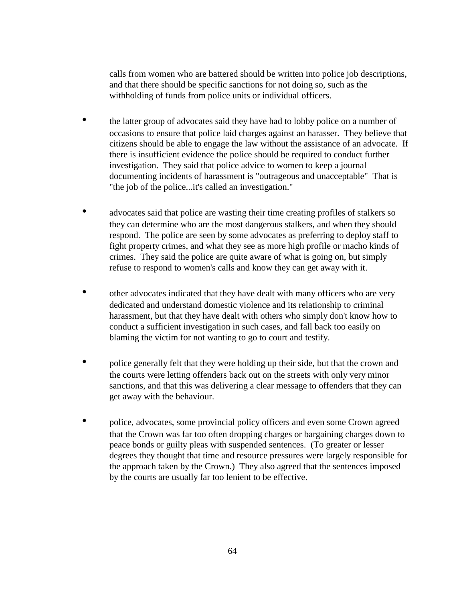calls from women who are battered should be written into police job descriptions, and that there should be specific sanctions for not doing so, such as the withholding of funds from police units or individual officers.

- the latter group of advocates said they have had to lobby police on a number of occasions to ensure that police laid charges against an harasser. They believe that citizens should be able to engage the law without the assistance of an advocate. If there is insufficient evidence the police should be required to conduct further investigation. They said that police advice to women to keep a journal documenting incidents of harassment is "outrageous and unacceptable" That is "the job of the police...it's called an investigation."
- advocates said that police are wasting their time creating profiles of stalkers so they can determine who are the most dangerous stalkers, and when they should respond. The police are seen by some advocates as preferring to deploy staff to fight property crimes, and what they see as more high profile or macho kinds of crimes. They said the police are quite aware of what is going on, but simply refuse to respond to women's calls and know they can get away with it.
- other advocates indicated that they have dealt with many officers who are very dedicated and understand domestic violence and its relationship to criminal harassment, but that they have dealt with others who simply don't know how to conduct a sufficient investigation in such cases, and fall back too easily on blaming the victim for not wanting to go to court and testify.
- police generally felt that they were holding up their side, but that the crown and the courts were letting offenders back out on the streets with only very minor sanctions, and that this was delivering a clear message to offenders that they can get away with the behaviour.
- police, advocates, some provincial policy officers and even some Crown agreed that the Crown was far too often dropping charges or bargaining charges down to peace bonds or guilty pleas with suspended sentences. (To greater or lesser degrees they thought that time and resource pressures were largely responsible for the approach taken by the Crown.) They also agreed that the sentences imposed by the courts are usually far too lenient to be effective.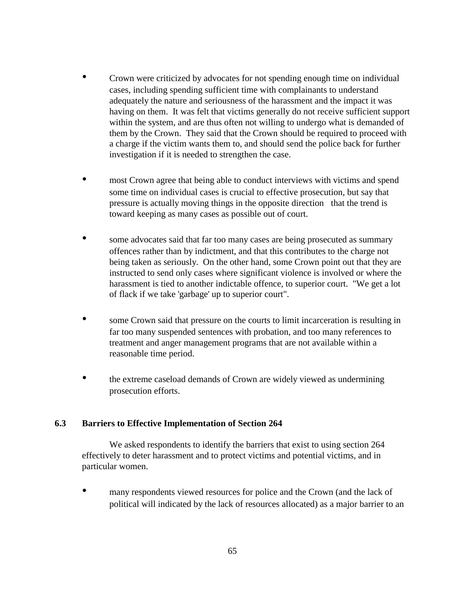- Crown were criticized by advocates for not spending enough time on individual cases, including spending sufficient time with complainants to understand adequately the nature and seriousness of the harassment and the impact it was having on them. It was felt that victims generally do not receive sufficient support within the system, and are thus often not willing to undergo what is demanded of them by the Crown. They said that the Crown should be required to proceed with a charge if the victim wants them to, and should send the police back for further investigation if it is needed to strengthen the case.
- most Crown agree that being able to conduct interviews with victims and spend some time on individual cases is crucial to effective prosecution, but say that pressure is actually moving things in the opposite direction that the trend is toward keeping as many cases as possible out of court.
- some advocates said that far too many cases are being prosecuted as summary offences rather than by indictment, and that this contributes to the charge not being taken as seriously. On the other hand, some Crown point out that they are instructed to send only cases where significant violence is involved or where the harassment is tied to another indictable offence, to superior court. "We get a lot of flack if we take 'garbage' up to superior court".
- some Crown said that pressure on the courts to limit incarceration is resulting in far too many suspended sentences with probation, and too many references to treatment and anger management programs that are not available within a reasonable time period.
- the extreme caseload demands of Crown are widely viewed as undermining prosecution efforts.

#### **6.3 Barriers to Effective Implementation of Section 264**

We asked respondents to identify the barriers that exist to using section 264 effectively to deter harassment and to protect victims and potential victims, and in particular women.

many respondents viewed resources for police and the Crown (and the lack of political will indicated by the lack of resources allocated) as a major barrier to an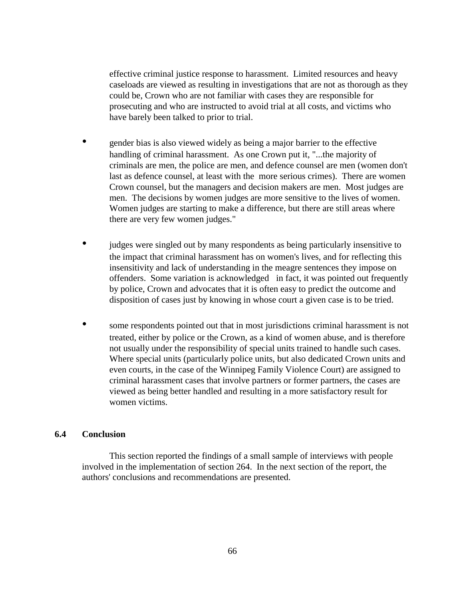effective criminal justice response to harassment. Limited resources and heavy caseloads are viewed as resulting in investigations that are not as thorough as they could be, Crown who are not familiar with cases they are responsible for prosecuting and who are instructed to avoid trial at all costs, and victims who have barely been talked to prior to trial.

- gender bias is also viewed widely as being a major barrier to the effective handling of criminal harassment. As one Crown put it, "...the majority of criminals are men, the police are men, and defence counsel are men (women don't last as defence counsel, at least with the more serious crimes). There are women Crown counsel, but the managers and decision makers are men. Most judges are men. The decisions by women judges are more sensitive to the lives of women. Women judges are starting to make a difference, but there are still areas where there are very few women judges."
- judges were singled out by many respondents as being particularly insensitive to the impact that criminal harassment has on women's lives, and for reflecting this insensitivity and lack of understanding in the meagre sentences they impose on offenders. Some variation is acknowledgedin fact, it was pointed out frequently by police, Crown and advocates that it is often easy to predict the outcome and disposition of cases just by knowing in whose court a given case is to be tried.
- some respondents pointed out that in most jurisdictions criminal harassment is not treated, either by police or the Crown, as a kind of women abuse, and is therefore not usually under the responsibility of special units trained to handle such cases. Where special units (particularly police units, but also dedicated Crown units and even courts, in the case of the Winnipeg Family Violence Court) are assigned to criminal harassment cases that involve partners or former partners, the cases are viewed as being better handled and resulting in a more satisfactory result for women victims.

#### **6.4 Conclusion**

This section reported the findings of a small sample of interviews with people involved in the implementation of section 264. In the next section of the report, the authors' conclusions and recommendations are presented.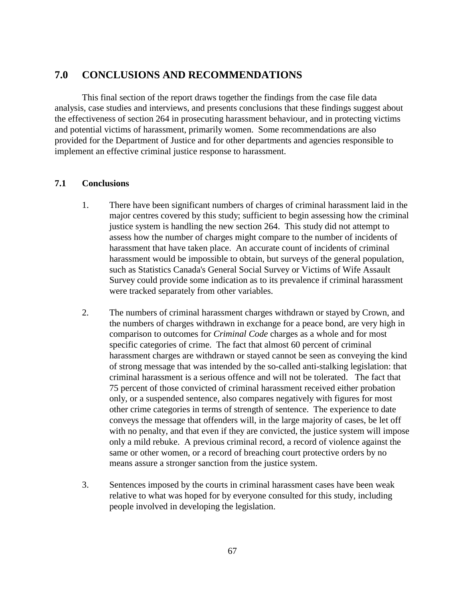# **7.0 CONCLUSIONS AND RECOMMENDATIONS**

This final section of the report draws together the findings from the case file data analysis, case studies and interviews, and presents conclusions that these findings suggest about the effectiveness of section 264 in prosecuting harassment behaviour, and in protecting victims and potential victims of harassment, primarily women. Some recommendations are also provided for the Department of Justice and for other departments and agencies responsible to implement an effective criminal justice response to harassment.

#### **7.1 Conclusions**

- 1. There have been significant numbers of charges of criminal harassment laid in the major centres covered by this study; sufficient to begin assessing how the criminal justice system is handling the new section 264. This study did not attempt to assess how the number of charges might compare to the number of incidents of harassment that have taken place. An accurate count of incidents of criminal harassment would be impossible to obtain, but surveys of the general population, such as Statistics Canada's General Social Survey or Victims of Wife Assault Survey could provide some indication as to its prevalence if criminal harassment were tracked separately from other variables.
- 2. The numbers of criminal harassment charges withdrawn or stayed by Crown, and the numbers of charges withdrawn in exchange for a peace bond, are very high in comparison to outcomes for *Criminal Code* charges as a whole and for most specific categories of crime. The fact that almost 60 percent of criminal harassment charges are withdrawn or stayed cannot be seen as conveying the kind of strong message that was intended by the so-called anti-stalking legislation: that criminal harassment is a serious offence and will not be tolerated. The fact that 75 percent of those convicted of criminal harassment received either probation only, or a suspended sentence, also compares negatively with figures for most other crime categories in terms of strength of sentence. The experience to date conveys the message that offenders will, in the large majority of cases, be let off with no penalty, and that even if they are convicted, the justice system will impose only a mild rebuke. A previous criminal record, a record of violence against the same or other women, or a record of breaching court protective orders by no means assure a stronger sanction from the justice system.
- 3. Sentences imposed by the courts in criminal harassment cases have been weak relative to what was hoped for by everyone consulted for this study, including people involved in developing the legislation.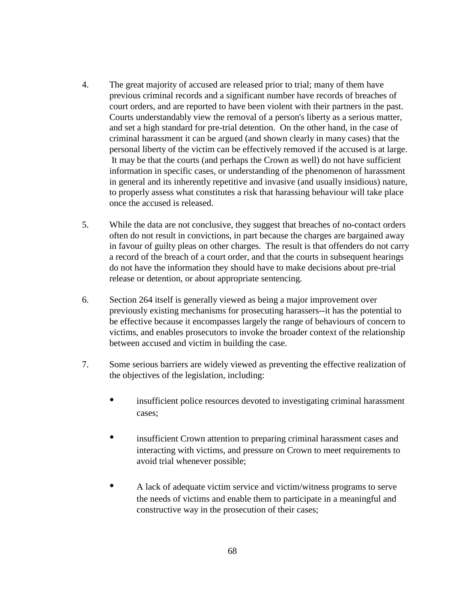- 4. The great majority of accused are released prior to trial; many of them have previous criminal records and a significant number have records of breaches of court orders, and are reported to have been violent with their partners in the past. Courts understandably view the removal of a person's liberty as a serious matter, and set a high standard for pre-trial detention. On the other hand, in the case of criminal harassment it can be argued (and shown clearly in many cases) that the personal liberty of the victim can be effectively removed if the accused is at large. It may be that the courts (and perhaps the Crown as well) do not have sufficient information in specific cases, or understanding of the phenomenon of harassment in general and its inherently repetitive and invasive (and usually insidious) nature, to properly assess what constitutes a risk that harassing behaviour will take place once the accused is released.
- 5. While the data are not conclusive, they suggest that breaches of no-contact orders often do not result in convictions, in part because the charges are bargained away in favour of guilty pleas on other charges. The result is that offenders do not carry a record of the breach of a court order, and that the courts in subsequent hearings do not have the information they should have to make decisions about pre-trial release or detention, or about appropriate sentencing.
- 6. Section 264 itself is generally viewed as being a major improvement over previously existing mechanisms for prosecuting harassers--it has the potential to be effective because it encompasses largely the range of behaviours of concern to victims, and enables prosecutors to invoke the broader context of the relationship between accused and victim in building the case.
- 7. Some serious barriers are widely viewed as preventing the effective realization of the objectives of the legislation, including:
	- insufficient police resources devoted to investigating criminal harassment cases;
	- insufficient Crown attention to preparing criminal harassment cases and interacting with victims, and pressure on Crown to meet requirements to avoid trial whenever possible;
	- A lack of adequate victim service and victim/witness programs to serve the needs of victims and enable them to participate in a meaningful and constructive way in the prosecution of their cases;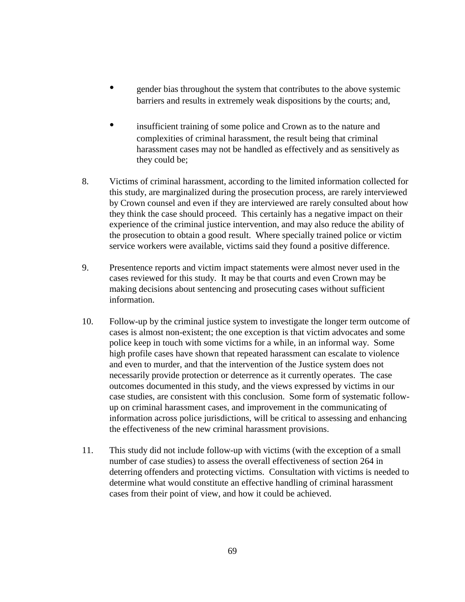- gender bias throughout the system that contributes to the above systemic barriers and results in extremely weak dispositions by the courts; and,
- insufficient training of some police and Crown as to the nature and complexities of criminal harassment, the result being that criminal harassment cases may not be handled as effectively and as sensitively as they could be;
- 8. Victims of criminal harassment, according to the limited information collected for this study, are marginalized during the prosecution process, are rarely interviewed by Crown counsel and even if they are interviewed are rarely consulted about how they think the case should proceed. This certainly has a negative impact on their experience of the criminal justice intervention, and may also reduce the ability of the prosecution to obtain a good result. Where specially trained police or victim service workers were available, victims said they found a positive difference.
- 9. Presentence reports and victim impact statements were almost never used in the cases reviewed for this study. It may be that courts and even Crown may be making decisions about sentencing and prosecuting cases without sufficient information.
- 10. Follow-up by the criminal justice system to investigate the longer term outcome of cases is almost non-existent; the one exception is that victim advocates and some police keep in touch with some victims for a while, in an informal way. Some high profile cases have shown that repeated harassment can escalate to violence and even to murder, and that the intervention of the Justice system does not necessarily provide protection or deterrence as it currently operates. The case outcomes documented in this study, and the views expressed by victims in our case studies, are consistent with this conclusion. Some form of systematic followup on criminal harassment cases, and improvement in the communicating of information across police jurisdictions, will be critical to assessing and enhancing the effectiveness of the new criminal harassment provisions.
- 11. This study did not include follow-up with victims (with the exception of a small number of case studies) to assess the overall effectiveness of section 264 in deterring offenders and protecting victims. Consultation with victims is needed to determine what would constitute an effective handling of criminal harassment cases from their point of view, and how it could be achieved.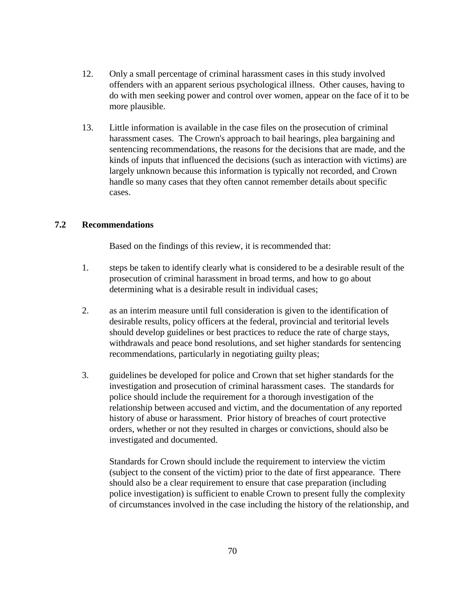- 12. Only a small percentage of criminal harassment cases in this study involved offenders with an apparent serious psychological illness. Other causes, having to do with men seeking power and control over women, appear on the face of it to be more plausible.
- 13. Little information is available in the case files on the prosecution of criminal harassment cases. The Crown's approach to bail hearings, plea bargaining and sentencing recommendations, the reasons for the decisions that are made, and the kinds of inputs that influenced the decisions (such as interaction with victims) are largely unknown because this information is typically not recorded, and Crown handle so many cases that they often cannot remember details about specific cases.

### **7.2 Recommendations**

Based on the findings of this review, it is recommended that:

- 1. steps be taken to identify clearly what is considered to be a desirable result of the prosecution of criminal harassment in broad terms, and how to go about determining what is a desirable result in individual cases;
- 2. as an interim measure until full consideration is given to the identification of desirable results, policy officers at the federal, provincial and teritorial levels should develop guidelines or best practices to reduce the rate of charge stays, withdrawals and peace bond resolutions, and set higher standards for sentencing recommendations, particularly in negotiating guilty pleas;
- 3. guidelines be developed for police and Crown that set higher standards for the investigation and prosecution of criminal harassment cases. The standards for police should include the requirement for a thorough investigation of the relationship between accused and victim, and the documentation of any reported history of abuse or harassment. Prior history of breaches of court protective orders, whether or not they resulted in charges or convictions, should also be investigated and documented.

Standards for Crown should include the requirement to interview the victim (subject to the consent of the victim) prior to the date of first appearance. There should also be a clear requirement to ensure that case preparation (including police investigation) is sufficient to enable Crown to present fully the complexity of circumstances involved in the case including the history of the relationship, and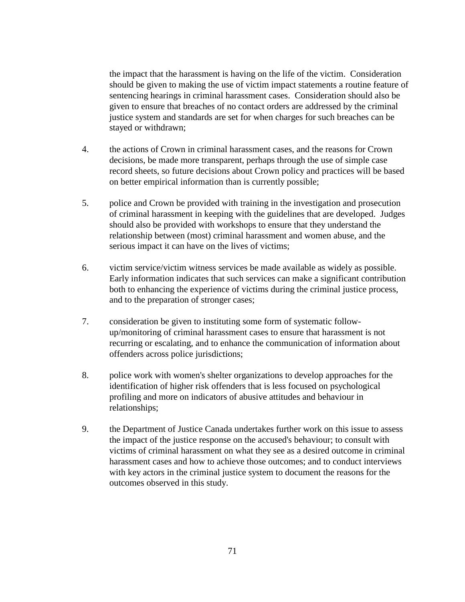the impact that the harassment is having on the life of the victim. Consideration should be given to making the use of victim impact statements a routine feature of sentencing hearings in criminal harassment cases. Consideration should also be given to ensure that breaches of no contact orders are addressed by the criminal justice system and standards are set for when charges for such breaches can be stayed or withdrawn;

- 4. the actions of Crown in criminal harassment cases, and the reasons for Crown decisions, be made more transparent, perhaps through the use of simple case record sheets, so future decisions about Crown policy and practices will be based on better empirical information than is currently possible;
- 5. police and Crown be provided with training in the investigation and prosecution of criminal harassment in keeping with the guidelines that are developed. Judges should also be provided with workshops to ensure that they understand the relationship between (most) criminal harassment and women abuse, and the serious impact it can have on the lives of victims;
- 6. victim service/victim witness services be made available as widely as possible. Early information indicates that such services can make a significant contribution both to enhancing the experience of victims during the criminal justice process, and to the preparation of stronger cases;
- 7. consideration be given to instituting some form of systematic followup/monitoring of criminal harassment cases to ensure that harassment is not recurring or escalating, and to enhance the communication of information about offenders across police jurisdictions;
- 8. police work with women's shelter organizations to develop approaches for the identification of higher risk offenders that is less focused on psychological profiling and more on indicators of abusive attitudes and behaviour in relationships;
- 9. the Department of Justice Canada undertakes further work on this issue to assess the impact of the justice response on the accused's behaviour; to consult with victims of criminal harassment on what they see as a desired outcome in criminal harassment cases and how to achieve those outcomes; and to conduct interviews with key actors in the criminal justice system to document the reasons for the outcomes observed in this study.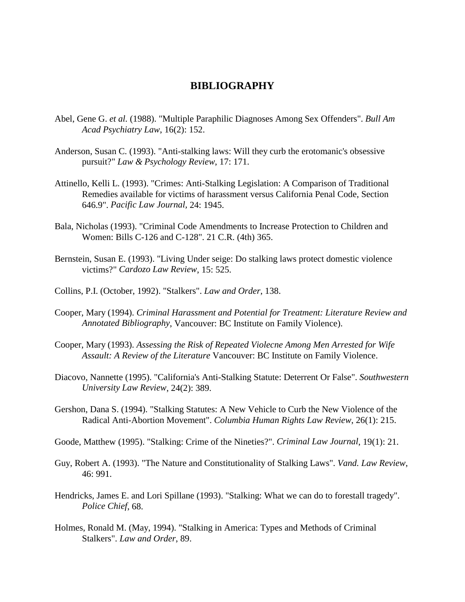## **BIBLIOGRAPHY**

- Abel, Gene G. *et al.* (1988). "Multiple Paraphilic Diagnoses Among Sex Offenders". *Bull Am Acad Psychiatry Law*, 16(2): 152.
- Anderson, Susan C. (1993). "Anti-stalking laws: Will they curb the erotomanic's obsessive pursuit?" *Law & Psychology Review*, 17: 171.
- Attinello, Kelli L. (1993). "Crimes: Anti-Stalking Legislation: A Comparison of Traditional Remedies available for victims of harassment versus California Penal Code, Section 646.9". *Pacific Law Journal,* 24: 1945.
- Bala, Nicholas (1993). "Criminal Code Amendments to Increase Protection to Children and Women: Bills C-126 and C-128". 21 C.R. (4th) 365.
- Bernstein, Susan E. (1993). "Living Under seige: Do stalking laws protect domestic violence victims?" *Cardozo Law Review*, 15: 525.
- Collins, P.I. (October, 1992). "Stalkers". *Law and Order*, 138.
- Cooper, Mary (1994). *Criminal Harassment and Potential for Treatment: Literature Review and Annotated Bibliography*, Vancouver: BC Institute on Family Violence).
- Cooper, Mary (1993). *Assessing the Risk of Repeated Violecne Among Men Arrested for Wife Assault: A Review of the Literature* Vancouver: BC Institute on Family Violence.
- Diacovo, Nannette (1995). "California's Anti-Stalking Statute: Deterrent Or False". *Southwestern University Law Review*, 24(2): 389.
- Gershon, Dana S. (1994). "Stalking Statutes: A New Vehicle to Curb the New Violence of the Radical Anti-Abortion Movement". *Columbia Human Rights Law Review*, 26(1): 215.
- Goode, Matthew (1995). "Stalking: Crime of the Nineties?". *Criminal Law Journal*, 19(1): 21.
- Guy, Robert A. (1993). "The Nature and Constitutionality of Stalking Laws". *Vand. Law Review*, 46: 991.
- Hendricks, James E. and Lori Spillane (1993). "Stalking: What we can do to forestall tragedy". *Police Chief*, 68.
- Holmes, Ronald M. (May, 1994). "Stalking in America: Types and Methods of Criminal Stalkers". *Law and Order*, 89.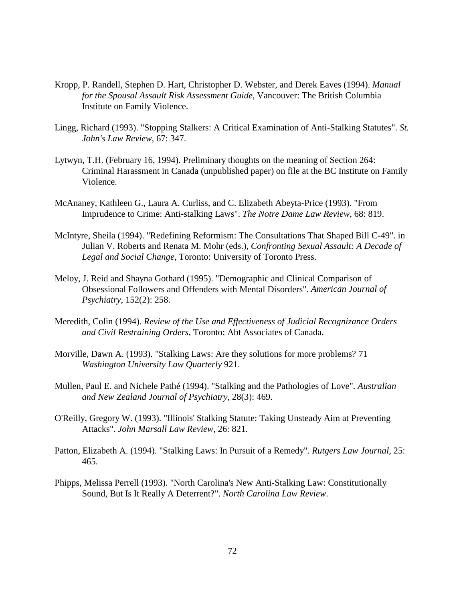- Kropp, P. Randell, Stephen D. Hart, Christopher D. Webster, and Derek Eaves (1994). *Manual for the Spousal Assault Risk Assessment Guide*, Vancouver: The British Columbia Institute on Family Violence.
- Lingg, Richard (1993). "Stopping Stalkers: A Critical Examination of Anti-Stalking Statutes". *St. John's Law Review*, 67: 347.
- Lytwyn, T.H. (February 16, 1994). Preliminary thoughts on the meaning of Section 264: Criminal Harassment in Canada (unpublished paper) on file at the BC Institute on Family Violence.
- McAnaney, Kathleen G., Laura A. Curliss, and C. Elizabeth Abeyta-Price (1993). "From Imprudence to Crime: Anti-stalking Laws". *The Notre Dame Law Review*, 68: 819.
- McIntyre, Sheila (1994). "Redefining Reformism: The Consultations That Shaped Bill C-49". in Julian V. Roberts and Renata M. Mohr (eds.), *Confronting Sexual Assault: A Decade of Legal and Social Change*, Toronto: University of Toronto Press.
- Meloy, J. Reid and Shayna Gothard (1995). "Demographic and Clinical Comparison of Obsessional Followers and Offenders with Mental Disorders". *American Journal of Psychiatry*, 152(2): 258.
- Meredith, Colin (1994). *Review of the Use and Effectiveness of Judicial Recognizance Orders and Civil Restraining Orders*, Toronto: Abt Associates of Canada.
- Morville, Dawn A. (1993). "Stalking Laws: Are they solutions for more problems? 71 *Washington University Law Quarterly* 921.
- Mullen, Paul E. and Nichele Pathé (1994). "Stalking and the Pathologies of Love". *Australian and New Zealand Journal of Psychiatry*, 28(3): 469.
- O'Reilly, Gregory W. (1993). "Illinois' Stalking Statute: Taking Unsteady Aim at Preventing Attacks". *John Marsall Law Review*, 26: 821.
- Patton, Elizabeth A. (1994). "Stalking Laws: In Pursuit of a Remedy". *Rutgers Law Journal*, 25: 465.
- Phipps, Melissa Perrell (1993). "North Carolina's New Anti-Stalking Law: Constitutionally Sound, But Is It Really A Deterrent?". *North Carolina Law Review*.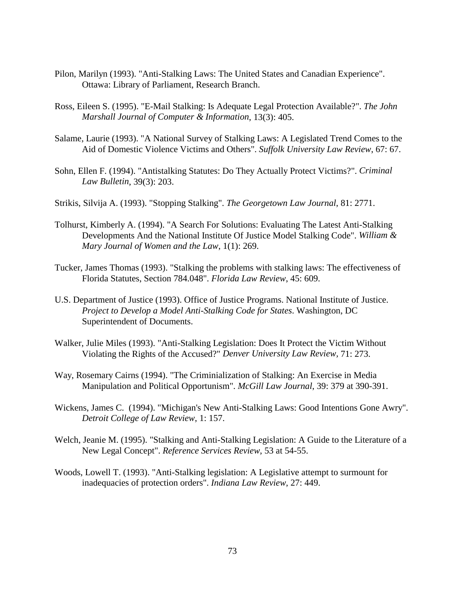- Pilon, Marilyn (1993). "Anti-Stalking Laws: The United States and Canadian Experience". Ottawa: Library of Parliament, Research Branch.
- Ross, Eileen S. (1995). "E-Mail Stalking: Is Adequate Legal Protection Available?". *The John Marshall Journal of Computer & Information*, 13(3): 405.
- Salame, Laurie (1993). "A National Survey of Stalking Laws: A Legislated Trend Comes to the Aid of Domestic Violence Victims and Others". *Suffolk University Law Review*, 67: 67.
- Sohn, Ellen F. (1994). "Antistalking Statutes: Do They Actually Protect Victims?". *Criminal Law Bulletin*, 39(3): 203.
- Strikis, Silvija A. (1993). "Stopping Stalking". *The Georgetown Law Journal*, 81: 2771.
- Tolhurst, Kimberly A. (1994). "A Search For Solutions: Evaluating The Latest Anti-Stalking Developments And the National Institute Of Justice Model Stalking Code". *William & Mary Journal of Women and the Law*, 1(1): 269.
- Tucker, James Thomas (1993). "Stalking the problems with stalking laws: The effectiveness of Florida Statutes, Section 784.048". *Florida Law Review*, 45: 609.
- U.S. Department of Justice (1993). Office of Justice Programs. National Institute of Justice. *Project to Develop a Model Anti-Stalking Code for States*. Washington, DC Superintendent of Documents.
- Walker, Julie Miles (1993). "Anti-Stalking Legislation: Does It Protect the Victim Without Violating the Rights of the Accused?" *Denver University Law Review,* 71: 273.
- Way, Rosemary Cairns (1994). "The Criminialization of Stalking: An Exercise in Media Manipulation and Political Opportunism". *McGill Law Journal*, 39: 379 at 390-391.
- Wickens, James C. (1994). "Michigan's New Anti-Stalking Laws: Good Intentions Gone Awry". *Detroit College of Law Review*, 1: 157.
- Welch, Jeanie M. (1995). "Stalking and Anti-Stalking Legislation: A Guide to the Literature of a New Legal Concept". *Reference Services Review*, 53 at 54-55.
- Woods, Lowell T. (1993). "Anti-Stalking legislation: A Legislative attempt to surmount for inadequacies of protection orders". *Indiana Law Review*, 27: 449.